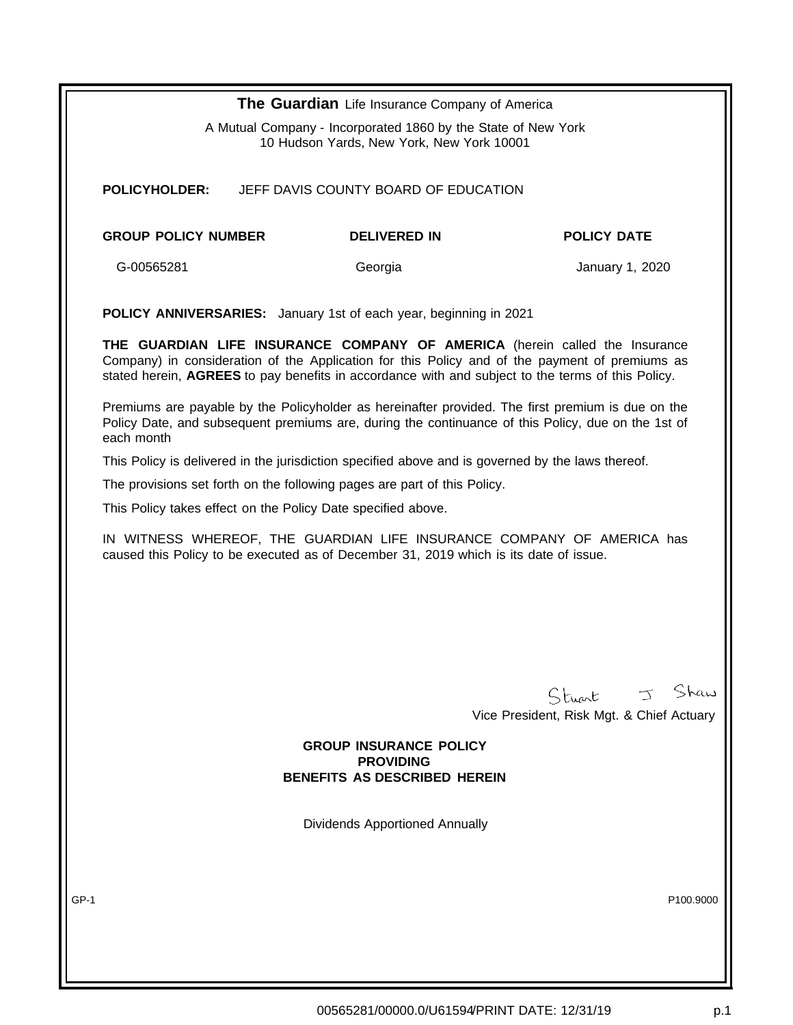|                                                                                                                                                                 | The Guardian Life Insurance Company of America                                                                                                                                                                                                                                     |                                           |
|-----------------------------------------------------------------------------------------------------------------------------------------------------------------|------------------------------------------------------------------------------------------------------------------------------------------------------------------------------------------------------------------------------------------------------------------------------------|-------------------------------------------|
| A Mutual Company - Incorporated 1860 by the State of New York<br>10 Hudson Yards, New York, New York 10001                                                      |                                                                                                                                                                                                                                                                                    |                                           |
| <b>POLICYHOLDER:</b>                                                                                                                                            | JEFF DAVIS COUNTY BOARD OF EDUCATION                                                                                                                                                                                                                                               |                                           |
|                                                                                                                                                                 |                                                                                                                                                                                                                                                                                    |                                           |
| <b>GROUP POLICY NUMBER</b>                                                                                                                                      | <b>DELIVERED IN</b>                                                                                                                                                                                                                                                                | <b>POLICY DATE</b>                        |
| G-00565281                                                                                                                                                      | Georgia                                                                                                                                                                                                                                                                            | January 1, 2020                           |
|                                                                                                                                                                 | <b>POLICY ANNIVERSARIES:</b> January 1st of each year, beginning in 2021                                                                                                                                                                                                           |                                           |
|                                                                                                                                                                 | THE GUARDIAN LIFE INSURANCE COMPANY OF AMERICA (herein called the Insurance<br>Company) in consideration of the Application for this Policy and of the payment of premiums as<br>stated herein, AGREES to pay benefits in accordance with and subject to the terms of this Policy. |                                           |
| each month                                                                                                                                                      | Premiums are payable by the Policyholder as hereinafter provided. The first premium is due on the<br>Policy Date, and subsequent premiums are, during the continuance of this Policy, due on the 1st of                                                                            |                                           |
|                                                                                                                                                                 | This Policy is delivered in the jurisdiction specified above and is governed by the laws thereof.                                                                                                                                                                                  |                                           |
|                                                                                                                                                                 | The provisions set forth on the following pages are part of this Policy.                                                                                                                                                                                                           |                                           |
|                                                                                                                                                                 | This Policy takes effect on the Policy Date specified above.                                                                                                                                                                                                                       |                                           |
|                                                                                                                                                                 |                                                                                                                                                                                                                                                                                    |                                           |
| IN WITNESS WHEREOF, THE GUARDIAN LIFE INSURANCE COMPANY OF AMERICA has<br>caused this Policy to be executed as of December 31, 2019 which is its date of issue. |                                                                                                                                                                                                                                                                                    |                                           |
|                                                                                                                                                                 |                                                                                                                                                                                                                                                                                    |                                           |
|                                                                                                                                                                 |                                                                                                                                                                                                                                                                                    |                                           |
|                                                                                                                                                                 |                                                                                                                                                                                                                                                                                    |                                           |
|                                                                                                                                                                 |                                                                                                                                                                                                                                                                                    |                                           |
|                                                                                                                                                                 |                                                                                                                                                                                                                                                                                    |                                           |
|                                                                                                                                                                 |                                                                                                                                                                                                                                                                                    |                                           |
|                                                                                                                                                                 |                                                                                                                                                                                                                                                                                    | Stuart J Shaw                             |
|                                                                                                                                                                 |                                                                                                                                                                                                                                                                                    | Vice President, Risk Mgt. & Chief Actuary |
|                                                                                                                                                                 | <b>GROUP INSURANCE POLICY</b>                                                                                                                                                                                                                                                      |                                           |
|                                                                                                                                                                 | <b>PROVIDING</b><br><b>BENEFITS AS DESCRIBED HEREIN</b>                                                                                                                                                                                                                            |                                           |
|                                                                                                                                                                 |                                                                                                                                                                                                                                                                                    |                                           |
|                                                                                                                                                                 | <b>Dividends Apportioned Annually</b>                                                                                                                                                                                                                                              |                                           |
|                                                                                                                                                                 |                                                                                                                                                                                                                                                                                    |                                           |
| GP-1                                                                                                                                                            |                                                                                                                                                                                                                                                                                    | P100.9000                                 |
|                                                                                                                                                                 |                                                                                                                                                                                                                                                                                    |                                           |
|                                                                                                                                                                 |                                                                                                                                                                                                                                                                                    |                                           |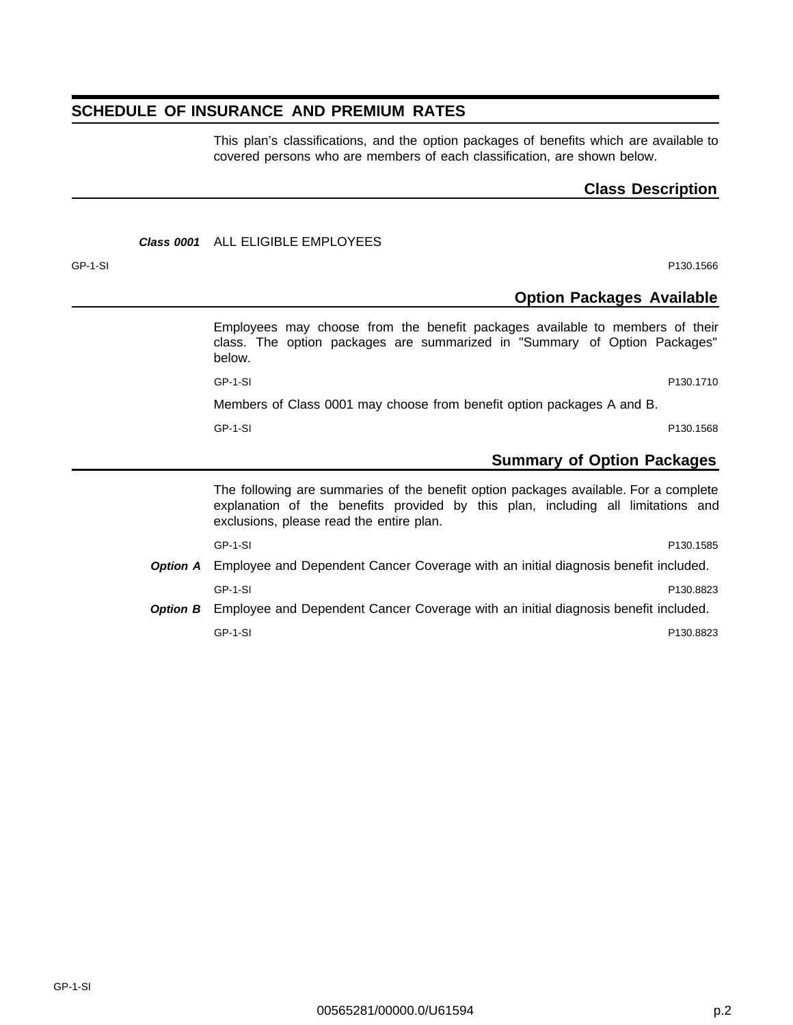## **SCHEDULE OF INSURANCE AND PREMIUM RATES**

This plan's classifications, and the option packages of benefits which are available to covered persons who are members of each classification, are shown below.

## **Class Description**

## **Class 0001** ALL ELIGIBLE EMPLOYEES

GP-1-SI P130.1566

## **Option Packages Available**

Employees may choose from the benefit packages available to members of their class. The option packages are summarized in "Summary of Option Packages" below.

GP-1-SI P130.1710

Members of Class 0001 may choose from benefit option packages A and B.

GP-1-SI P130.1568

## **Summary of Option Packages**

The following are summaries of the benefit option packages available. For a complete explanation of the benefits provided by this plan, including all limitations and exclusions, please read the entire plan.

GP-1-SI P130.1585 **Option A** Employee and Dependent Cancer Coverage with an initial diagnosis benefit included. GP-1-SI P130.8823

**Option B** Employee and Dependent Cancer Coverage with an initial diagnosis benefit included. GP-1-SI P130.8823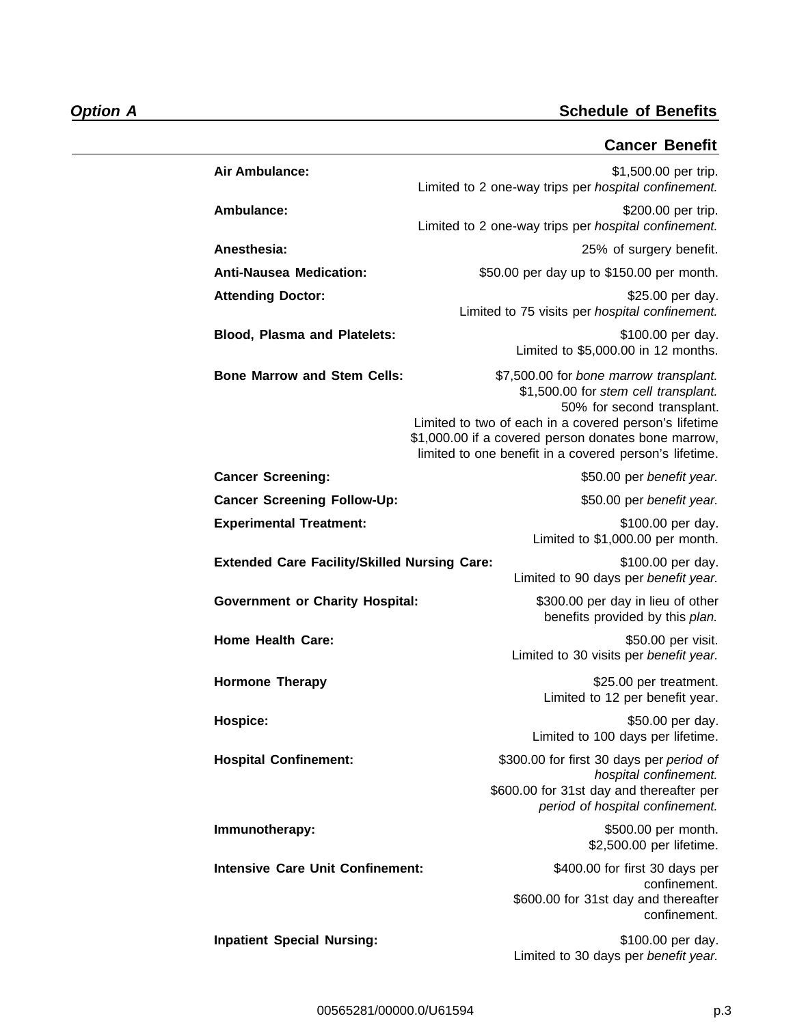## **Cancer Benefit**

| Air Ambulance:                                      | \$1,500.00 per trip.<br>Limited to 2 one-way trips per hospital confinement.                                                                                                                                                                                                           |
|-----------------------------------------------------|----------------------------------------------------------------------------------------------------------------------------------------------------------------------------------------------------------------------------------------------------------------------------------------|
| Ambulance:                                          | \$200.00 per trip.<br>Limited to 2 one-way trips per hospital confinement.                                                                                                                                                                                                             |
| Anesthesia:                                         | 25% of surgery benefit.                                                                                                                                                                                                                                                                |
| <b>Anti-Nausea Medication:</b>                      | \$50.00 per day up to \$150.00 per month.                                                                                                                                                                                                                                              |
| <b>Attending Doctor:</b>                            | \$25.00 per day.<br>Limited to 75 visits per hospital confinement.                                                                                                                                                                                                                     |
| <b>Blood, Plasma and Platelets:</b>                 | \$100.00 per day.<br>Limited to \$5,000.00 in 12 months.                                                                                                                                                                                                                               |
| <b>Bone Marrow and Stem Cells:</b>                  | \$7,500.00 for bone marrow transplant.<br>\$1,500.00 for stem cell transplant.<br>50% for second transplant.<br>Limited to two of each in a covered person's lifetime<br>\$1,000.00 if a covered person donates bone marrow,<br>limited to one benefit in a covered person's lifetime. |
| <b>Cancer Screening:</b>                            | \$50.00 per benefit year.                                                                                                                                                                                                                                                              |
| <b>Cancer Screening Follow-Up:</b>                  | \$50.00 per benefit year.                                                                                                                                                                                                                                                              |
| <b>Experimental Treatment:</b>                      | \$100.00 per day.<br>Limited to \$1,000.00 per month.                                                                                                                                                                                                                                  |
| <b>Extended Care Facility/Skilled Nursing Care:</b> | \$100.00 per day.<br>Limited to 90 days per benefit year.                                                                                                                                                                                                                              |
| <b>Government or Charity Hospital:</b>              | \$300.00 per day in lieu of other<br>benefits provided by this plan.                                                                                                                                                                                                                   |
| <b>Home Health Care:</b>                            | \$50.00 per visit.<br>Limited to 30 visits per benefit year.                                                                                                                                                                                                                           |
| <b>Hormone Therapy</b>                              | \$25.00 per treatment.<br>Limited to 12 per benefit year.                                                                                                                                                                                                                              |
| Hospice:                                            | \$50.00 per day.<br>Limited to 100 days per lifetime.                                                                                                                                                                                                                                  |
| <b>Hospital Confinement:</b>                        | \$300.00 for first 30 days per period of<br>hospital confinement.                                                                                                                                                                                                                      |
|                                                     | \$600.00 for 31st day and thereafter per<br>period of hospital confinement.                                                                                                                                                                                                            |
| Immunotherapy:                                      | \$500.00 per month.<br>\$2,500.00 per lifetime.                                                                                                                                                                                                                                        |
| <b>Intensive Care Unit Confinement:</b>             | \$400.00 for first 30 days per<br>confinement.<br>\$600.00 for 31st day and thereafter<br>confinement.                                                                                                                                                                                 |
| <b>Inpatient Special Nursing:</b>                   | \$100.00 per day.<br>Limited to 30 days per benefit year.                                                                                                                                                                                                                              |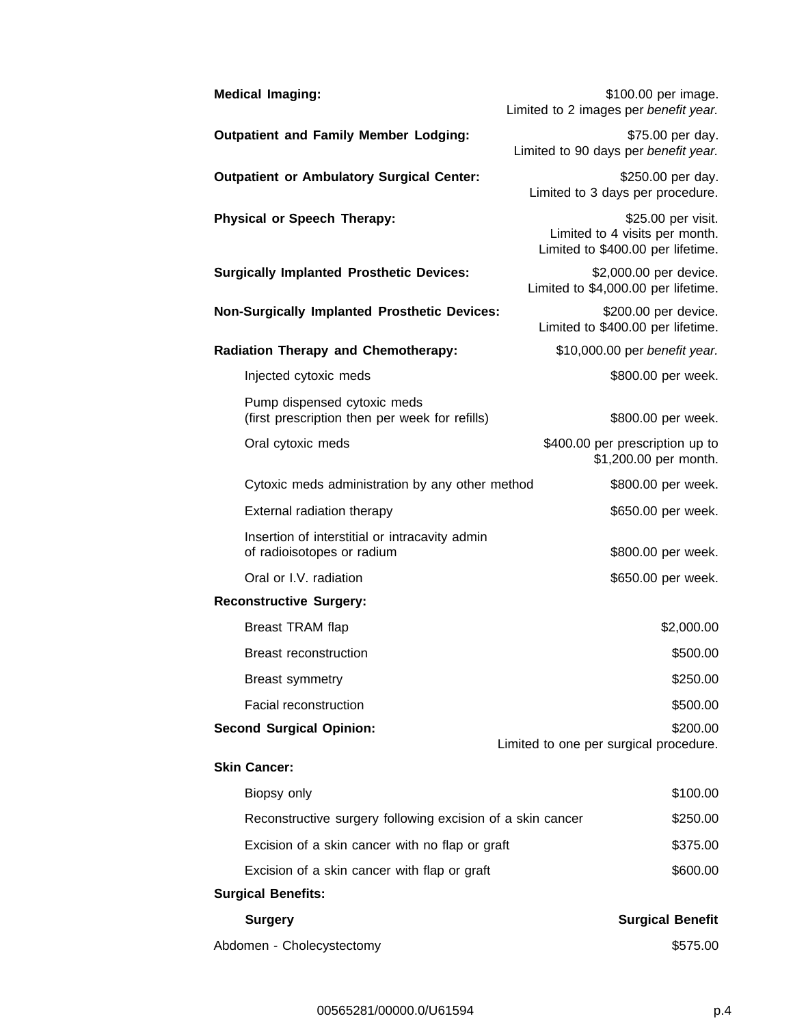| <b>Medical Imaging:</b>                                                       | \$100.00 per image.<br>Limited to 2 images per benefit year.                              |
|-------------------------------------------------------------------------------|-------------------------------------------------------------------------------------------|
| <b>Outpatient and Family Member Lodging:</b>                                  | \$75.00 per day.<br>Limited to 90 days per benefit year.                                  |
| <b>Outpatient or Ambulatory Surgical Center:</b>                              | \$250.00 per day.<br>Limited to 3 days per procedure.                                     |
| <b>Physical or Speech Therapy:</b>                                            | \$25.00 per visit.<br>Limited to 4 visits per month.<br>Limited to \$400.00 per lifetime. |
| <b>Surgically Implanted Prosthetic Devices:</b>                               | \$2,000.00 per device.<br>Limited to \$4,000.00 per lifetime.                             |
| <b>Non-Surgically Implanted Prosthetic Devices:</b>                           | \$200.00 per device.<br>Limited to \$400.00 per lifetime.                                 |
| <b>Radiation Therapy and Chemotherapy:</b>                                    | \$10,000.00 per benefit year.                                                             |
| Injected cytoxic meds                                                         | \$800.00 per week.                                                                        |
| Pump dispensed cytoxic meds<br>(first prescription then per week for refills) | \$800.00 per week.                                                                        |
| Oral cytoxic meds                                                             | \$400.00 per prescription up to<br>\$1,200.00 per month.                                  |
| Cytoxic meds administration by any other method                               | \$800.00 per week.                                                                        |
| External radiation therapy                                                    | \$650.00 per week.                                                                        |
| Insertion of interstitial or intracavity admin<br>of radioisotopes or radium  | \$800.00 per week.                                                                        |
| Oral or I.V. radiation                                                        | \$650.00 per week.                                                                        |
| <b>Reconstructive Surgery:</b>                                                |                                                                                           |
| Breast TRAM flap                                                              | \$2,000.00                                                                                |
| <b>Breast reconstruction</b>                                                  | \$500.00                                                                                  |
| <b>Breast symmetry</b>                                                        | \$250.00                                                                                  |
| <b>Facial reconstruction</b>                                                  | \$500.00                                                                                  |
| <b>Second Surgical Opinion:</b>                                               | \$200.00<br>Limited to one per surgical procedure.                                        |
| <b>Skin Cancer:</b>                                                           |                                                                                           |
| Biopsy only                                                                   | \$100.00                                                                                  |
| Reconstructive surgery following excision of a skin cancer                    | \$250.00                                                                                  |
| Excision of a skin cancer with no flap or graft                               | \$375.00                                                                                  |
| Excision of a skin cancer with flap or graft                                  | \$600.00                                                                                  |
| <b>Surgical Benefits:</b>                                                     |                                                                                           |
| <b>Surgery</b>                                                                | <b>Surgical Benefit</b>                                                                   |
| Abdomen - Cholecystectomy                                                     | \$575.00                                                                                  |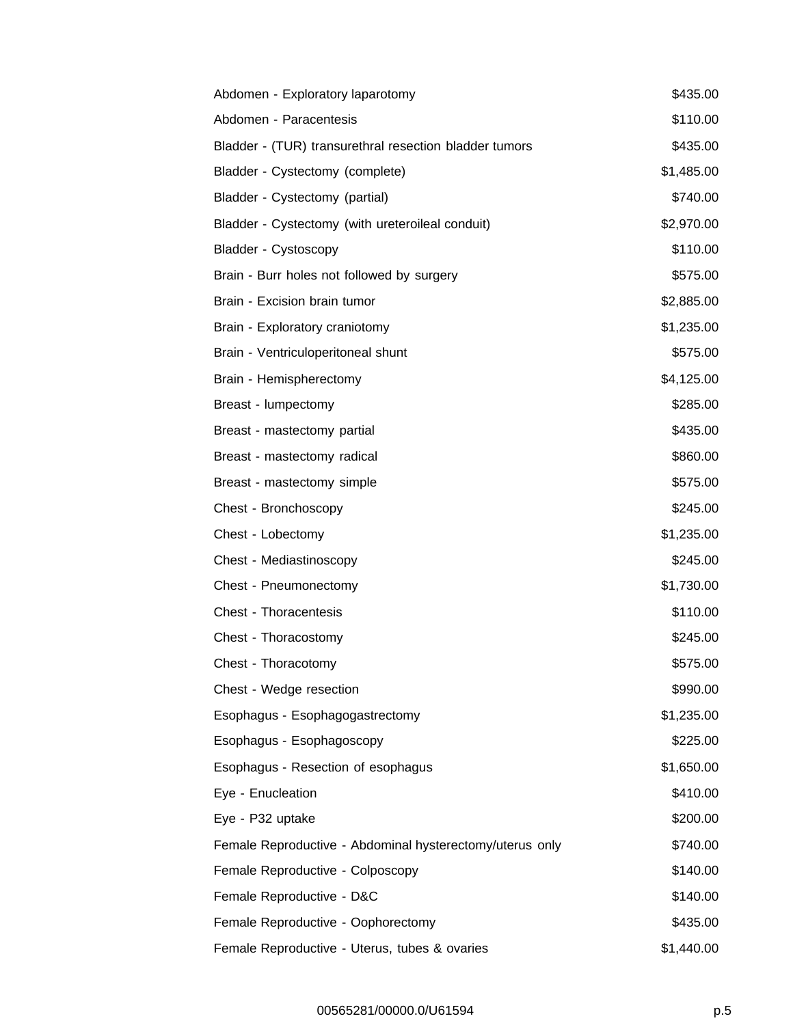| Abdomen - Exploratory laparotomy                         | \$435.00   |
|----------------------------------------------------------|------------|
| Abdomen - Paracentesis                                   | \$110.00   |
| Bladder - (TUR) transurethral resection bladder tumors   | \$435.00   |
| Bladder - Cystectomy (complete)                          | \$1,485.00 |
| Bladder - Cystectomy (partial)                           | \$740.00   |
| Bladder - Cystectomy (with ureteroileal conduit)         | \$2,970.00 |
| Bladder - Cystoscopy                                     | \$110.00   |
| Brain - Burr holes not followed by surgery               | \$575.00   |
| Brain - Excision brain tumor                             | \$2,885.00 |
| Brain - Exploratory craniotomy                           | \$1,235.00 |
| Brain - Ventriculoperitoneal shunt                       | \$575.00   |
| Brain - Hemispherectomy                                  | \$4,125.00 |
| Breast - lumpectomy                                      | \$285.00   |
| Breast - mastectomy partial                              | \$435.00   |
| Breast - mastectomy radical                              | \$860.00   |
| Breast - mastectomy simple                               | \$575.00   |
| Chest - Bronchoscopy                                     | \$245.00   |
| Chest - Lobectomy                                        | \$1,235.00 |
| Chest - Mediastinoscopy                                  | \$245.00   |
| Chest - Pneumonectomy                                    | \$1,730.00 |
| Chest - Thoracentesis                                    | \$110.00   |
| Chest - Thoracostomy                                     | \$245.00   |
| Chest - Thoracotomy                                      | \$575.00   |
| Chest - Wedge resection                                  | \$990.00   |
| Esophagus - Esophagogastrectomy                          | \$1,235.00 |
| Esophagus - Esophagoscopy                                | \$225.00   |
| Esophagus - Resection of esophagus                       | \$1,650.00 |
| Eye - Enucleation                                        | \$410.00   |
| Eye - P32 uptake                                         | \$200.00   |
| Female Reproductive - Abdominal hysterectomy/uterus only | \$740.00   |
| Female Reproductive - Colposcopy                         | \$140.00   |
| Female Reproductive - D&C                                | \$140.00   |
| Female Reproductive - Oophorectomy                       | \$435.00   |
| Female Reproductive - Uterus, tubes & ovaries            | \$1,440.00 |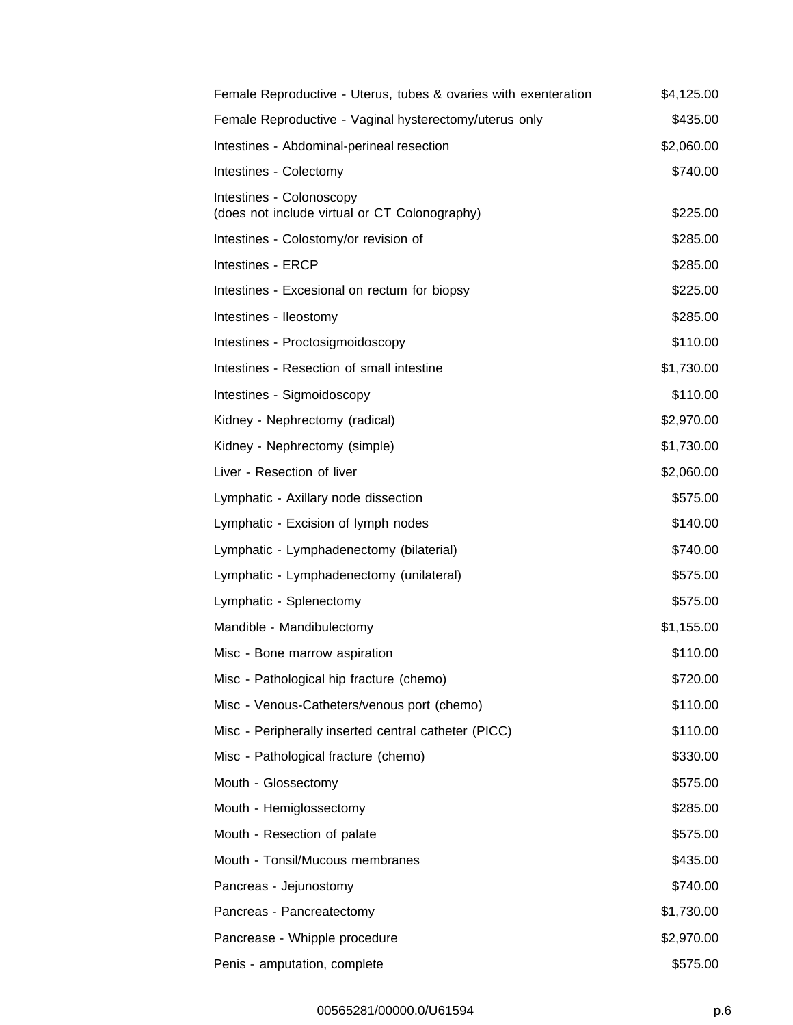| Female Reproductive - Uterus, tubes & ovaries with exenteration           | \$4,125.00 |
|---------------------------------------------------------------------------|------------|
| Female Reproductive - Vaginal hysterectomy/uterus only                    | \$435.00   |
| Intestines - Abdominal-perineal resection                                 | \$2,060.00 |
| Intestines - Colectomy                                                    | \$740.00   |
| Intestines - Colonoscopy<br>(does not include virtual or CT Colonography) | \$225.00   |
| Intestines - Colostomy/or revision of                                     | \$285.00   |
| Intestines - ERCP                                                         | \$285.00   |
| Intestines - Excesional on rectum for biopsy                              | \$225.00   |
| Intestines - Ileostomy                                                    | \$285.00   |
| Intestines - Proctosigmoidoscopy                                          | \$110.00   |
| Intestines - Resection of small intestine                                 | \$1,730.00 |
| Intestines - Sigmoidoscopy                                                | \$110.00   |
| Kidney - Nephrectomy (radical)                                            | \$2,970.00 |
| Kidney - Nephrectomy (simple)                                             | \$1,730.00 |
| Liver - Resection of liver                                                | \$2,060.00 |
| Lymphatic - Axillary node dissection                                      | \$575.00   |
| Lymphatic - Excision of lymph nodes                                       | \$140.00   |
| Lymphatic - Lymphadenectomy (bilaterial)                                  | \$740.00   |
| Lymphatic - Lymphadenectomy (unilateral)                                  | \$575.00   |
| Lymphatic - Splenectomy                                                   | \$575.00   |
| Mandible - Mandibulectomy                                                 | \$1,155.00 |
| Misc - Bone marrow aspiration                                             | \$110.00   |
| Misc - Pathological hip fracture (chemo)                                  | \$720.00   |
| Misc - Venous-Catheters/venous port (chemo)                               | \$110.00   |
| Misc - Peripherally inserted central catheter (PICC)                      | \$110.00   |
| Misc - Pathological fracture (chemo)                                      | \$330.00   |
| Mouth - Glossectomy                                                       | \$575.00   |
| Mouth - Hemiglossectomy                                                   | \$285.00   |
| Mouth - Resection of palate                                               | \$575.00   |
| Mouth - Tonsil/Mucous membranes                                           | \$435.00   |
| Pancreas - Jejunostomy                                                    | \$740.00   |
| Pancreas - Pancreatectomy                                                 | \$1,730.00 |
| Pancrease - Whipple procedure                                             | \$2,970.00 |
| Penis - amputation, complete                                              | \$575.00   |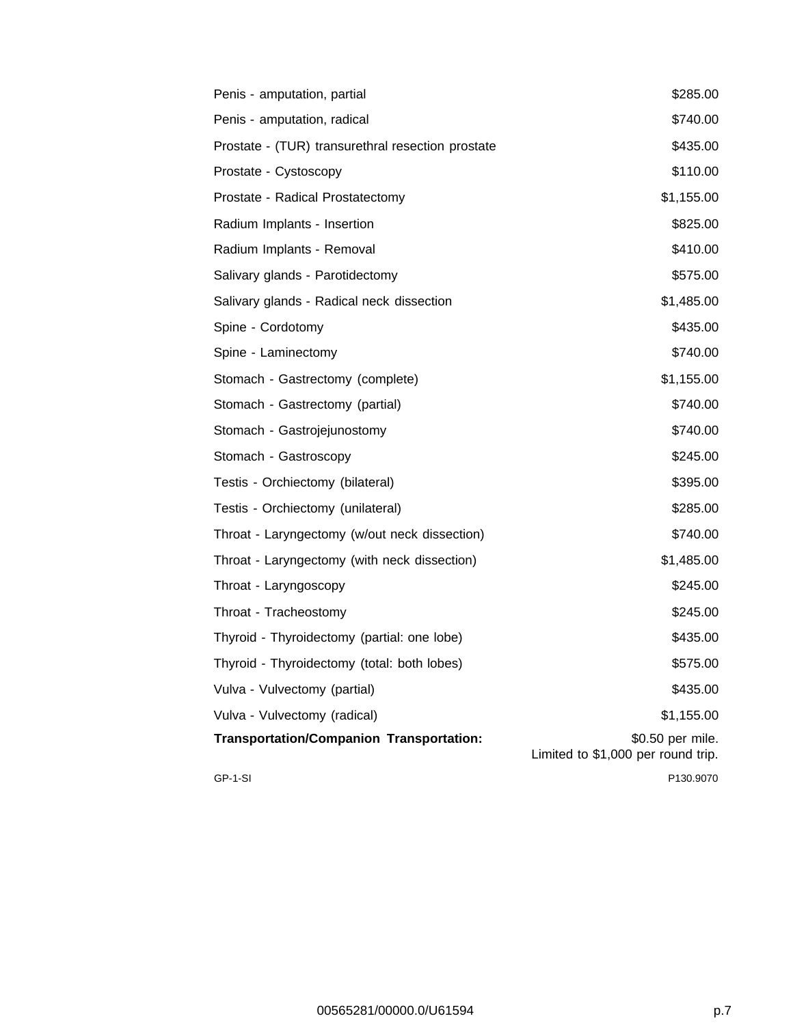| Penis - amputation, partial                       | \$285.00                                               |
|---------------------------------------------------|--------------------------------------------------------|
| Penis - amputation, radical                       | \$740.00                                               |
| Prostate - (TUR) transurethral resection prostate | \$435.00                                               |
| Prostate - Cystoscopy                             | \$110.00                                               |
| Prostate - Radical Prostatectomy                  | \$1,155.00                                             |
| Radium Implants - Insertion                       | \$825.00                                               |
| Radium Implants - Removal                         | \$410.00                                               |
| Salivary glands - Parotidectomy                   | \$575.00                                               |
| Salivary glands - Radical neck dissection         | \$1,485.00                                             |
| Spine - Cordotomy                                 | \$435.00                                               |
| Spine - Laminectomy                               | \$740.00                                               |
| Stomach - Gastrectomy (complete)                  | \$1,155.00                                             |
| Stomach - Gastrectomy (partial)                   | \$740.00                                               |
| Stomach - Gastrojejunostomy                       | \$740.00                                               |
| Stomach - Gastroscopy                             | \$245.00                                               |
| Testis - Orchiectomy (bilateral)                  | \$395.00                                               |
| Testis - Orchiectomy (unilateral)                 | \$285.00                                               |
| Throat - Laryngectomy (w/out neck dissection)     | \$740.00                                               |
| Throat - Laryngectomy (with neck dissection)      | \$1,485.00                                             |
| Throat - Laryngoscopy                             | \$245.00                                               |
| Throat - Tracheostomy                             | \$245.00                                               |
| Thyroid - Thyroidectomy (partial: one lobe)       | \$435.00                                               |
| Thyroid - Thyroidectomy (total: both lobes)       | \$575.00                                               |
| Vulva - Vulvectomy (partial)                      | \$435.00                                               |
| Vulva - Vulvectomy (radical)                      | \$1,155.00                                             |
| <b>Transportation/Companion Transportation:</b>   | \$0.50 per mile.<br>Limited to \$1,000 per round trip. |
| GP-1-SI                                           | P130.9070                                              |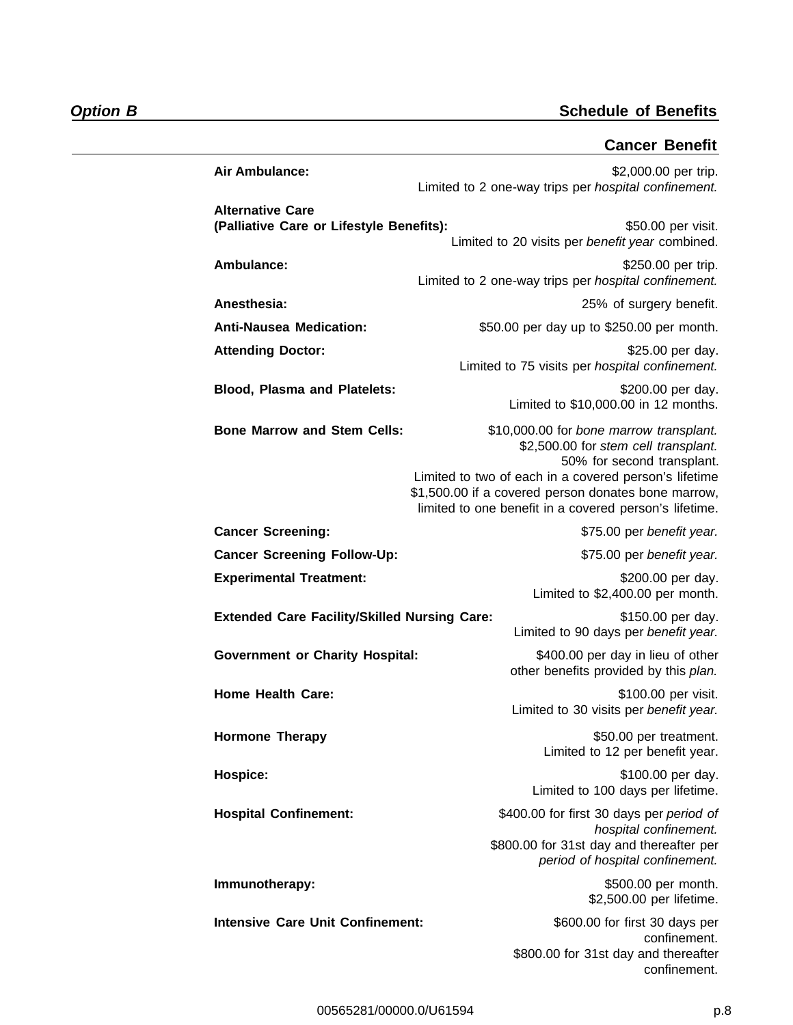## **Cancer Benefit**

| Air Ambulance:                                                      | \$2,000.00 per trip.<br>Limited to 2 one-way trips per hospital confinement.                                                                                                                                                                                                            |
|---------------------------------------------------------------------|-----------------------------------------------------------------------------------------------------------------------------------------------------------------------------------------------------------------------------------------------------------------------------------------|
| <b>Alternative Care</b><br>(Palliative Care or Lifestyle Benefits): | \$50.00 per visit.                                                                                                                                                                                                                                                                      |
|                                                                     | Limited to 20 visits per benefit year combined.                                                                                                                                                                                                                                         |
| Ambulance:                                                          | \$250.00 per trip.<br>Limited to 2 one-way trips per hospital confinement.                                                                                                                                                                                                              |
| Anesthesia:                                                         | 25% of surgery benefit.                                                                                                                                                                                                                                                                 |
| <b>Anti-Nausea Medication:</b>                                      | \$50.00 per day up to \$250.00 per month.                                                                                                                                                                                                                                               |
| <b>Attending Doctor:</b>                                            | \$25.00 per day.<br>Limited to 75 visits per hospital confinement.                                                                                                                                                                                                                      |
| <b>Blood, Plasma and Platelets:</b>                                 | \$200.00 per day.<br>Limited to \$10,000.00 in 12 months.                                                                                                                                                                                                                               |
| <b>Bone Marrow and Stem Cells:</b>                                  | \$10,000.00 for bone marrow transplant.<br>\$2,500.00 for stem cell transplant.<br>50% for second transplant.<br>Limited to two of each in a covered person's lifetime<br>\$1,500.00 if a covered person donates bone marrow,<br>limited to one benefit in a covered person's lifetime. |
| <b>Cancer Screening:</b>                                            | \$75.00 per benefit year.                                                                                                                                                                                                                                                               |
| <b>Cancer Screening Follow-Up:</b>                                  | \$75.00 per benefit year.                                                                                                                                                                                                                                                               |
| <b>Experimental Treatment:</b>                                      | \$200.00 per day.<br>Limited to \$2,400.00 per month.                                                                                                                                                                                                                                   |
| <b>Extended Care Facility/Skilled Nursing Care:</b>                 | \$150.00 per day.<br>Limited to 90 days per benefit year.                                                                                                                                                                                                                               |
| <b>Government or Charity Hospital:</b>                              | \$400.00 per day in lieu of other<br>other benefits provided by this plan.                                                                                                                                                                                                              |
| <b>Home Health Care:</b>                                            | \$100.00 per visit.<br>Limited to 30 visits per benefit year.                                                                                                                                                                                                                           |
| <b>Hormone Therapy</b>                                              | \$50.00 per treatment.<br>Limited to 12 per benefit year.                                                                                                                                                                                                                               |
| Hospice:                                                            | \$100.00 per day.<br>Limited to 100 days per lifetime.                                                                                                                                                                                                                                  |
| <b>Hospital Confinement:</b>                                        | \$400.00 for first 30 days per period of<br>hospital confinement.<br>\$800.00 for 31st day and thereafter per<br>period of hospital confinement.                                                                                                                                        |
| Immunotherapy:                                                      | \$500.00 per month.<br>\$2,500.00 per lifetime.                                                                                                                                                                                                                                         |
| <b>Intensive Care Unit Confinement:</b>                             | \$600.00 for first 30 days per                                                                                                                                                                                                                                                          |
|                                                                     | confinement.<br>\$800.00 for 31st day and thereafter<br>confinement.                                                                                                                                                                                                                    |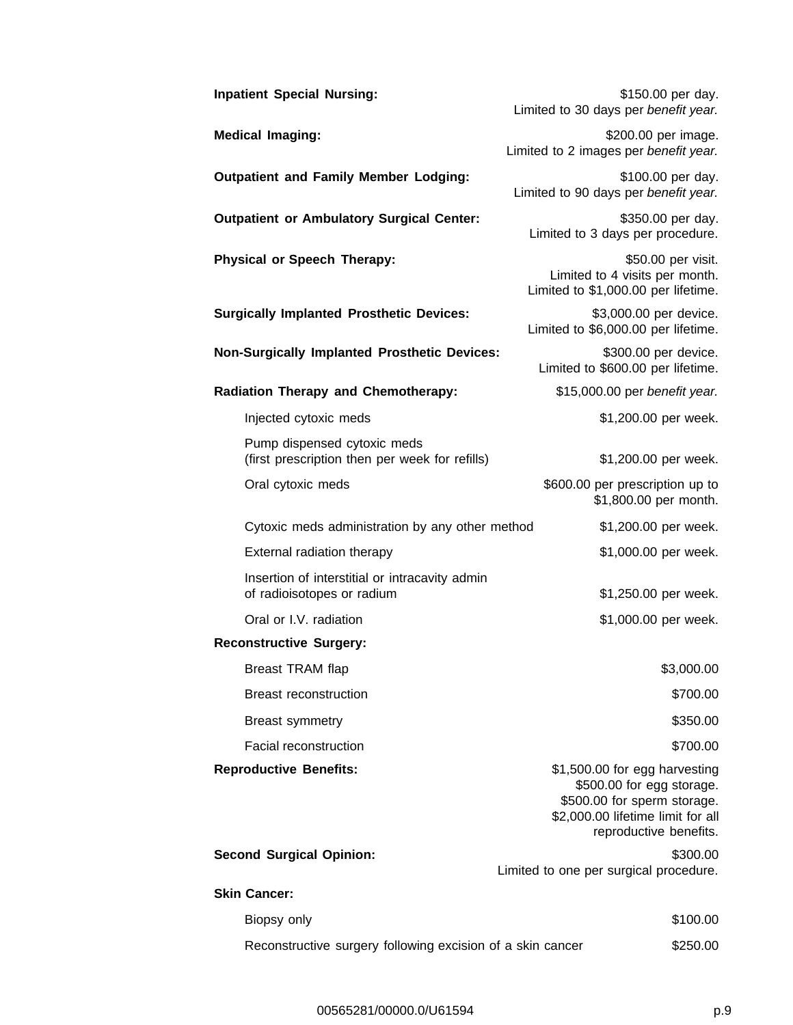| <b>Inpatient Special Nursing:</b>                                             | \$150.00 per day.<br>Limited to 30 days per benefit year.                                                                                                |
|-------------------------------------------------------------------------------|----------------------------------------------------------------------------------------------------------------------------------------------------------|
| <b>Medical Imaging:</b>                                                       | \$200.00 per image.<br>Limited to 2 images per benefit year.                                                                                             |
| <b>Outpatient and Family Member Lodging:</b>                                  | \$100.00 per day.<br>Limited to 90 days per benefit year.                                                                                                |
| <b>Outpatient or Ambulatory Surgical Center:</b>                              | \$350.00 per day.<br>Limited to 3 days per procedure.                                                                                                    |
| <b>Physical or Speech Therapy:</b>                                            | \$50.00 per visit.<br>Limited to 4 visits per month.<br>Limited to \$1,000.00 per lifetime.                                                              |
| <b>Surgically Implanted Prosthetic Devices:</b>                               | \$3,000.00 per device.<br>Limited to \$6,000.00 per lifetime.                                                                                            |
| <b>Non-Surgically Implanted Prosthetic Devices:</b>                           | \$300.00 per device.<br>Limited to \$600.00 per lifetime.                                                                                                |
| <b>Radiation Therapy and Chemotherapy:</b>                                    | \$15,000.00 per benefit year.                                                                                                                            |
| Injected cytoxic meds                                                         | \$1,200.00 per week.                                                                                                                                     |
| Pump dispensed cytoxic meds<br>(first prescription then per week for refills) | \$1,200.00 per week.                                                                                                                                     |
| Oral cytoxic meds                                                             | \$600.00 per prescription up to<br>\$1,800.00 per month.                                                                                                 |
| Cytoxic meds administration by any other method                               | \$1,200.00 per week.                                                                                                                                     |
| External radiation therapy                                                    | \$1,000.00 per week.                                                                                                                                     |
| Insertion of interstitial or intracavity admin<br>of radioisotopes or radium  | \$1,250.00 per week.                                                                                                                                     |
| Oral or I.V. radiation                                                        | \$1,000.00 per week.                                                                                                                                     |
| <b>Reconstructive Surgery:</b>                                                |                                                                                                                                                          |
| Breast TRAM flap                                                              | \$3,000.00                                                                                                                                               |
| <b>Breast reconstruction</b>                                                  | \$700.00                                                                                                                                                 |
| <b>Breast symmetry</b>                                                        | \$350.00                                                                                                                                                 |
| Facial reconstruction                                                         | \$700.00                                                                                                                                                 |
| <b>Reproductive Benefits:</b>                                                 | \$1,500.00 for egg harvesting<br>\$500.00 for egg storage.<br>\$500.00 for sperm storage.<br>\$2,000.00 lifetime limit for all<br>reproductive benefits. |
| <b>Second Surgical Opinion:</b>                                               | \$300.00<br>Limited to one per surgical procedure.                                                                                                       |
| <b>Skin Cancer:</b>                                                           |                                                                                                                                                          |
| Biopsy only                                                                   | \$100.00                                                                                                                                                 |
| Reconstructive surgery following excision of a skin cancer                    | \$250.00                                                                                                                                                 |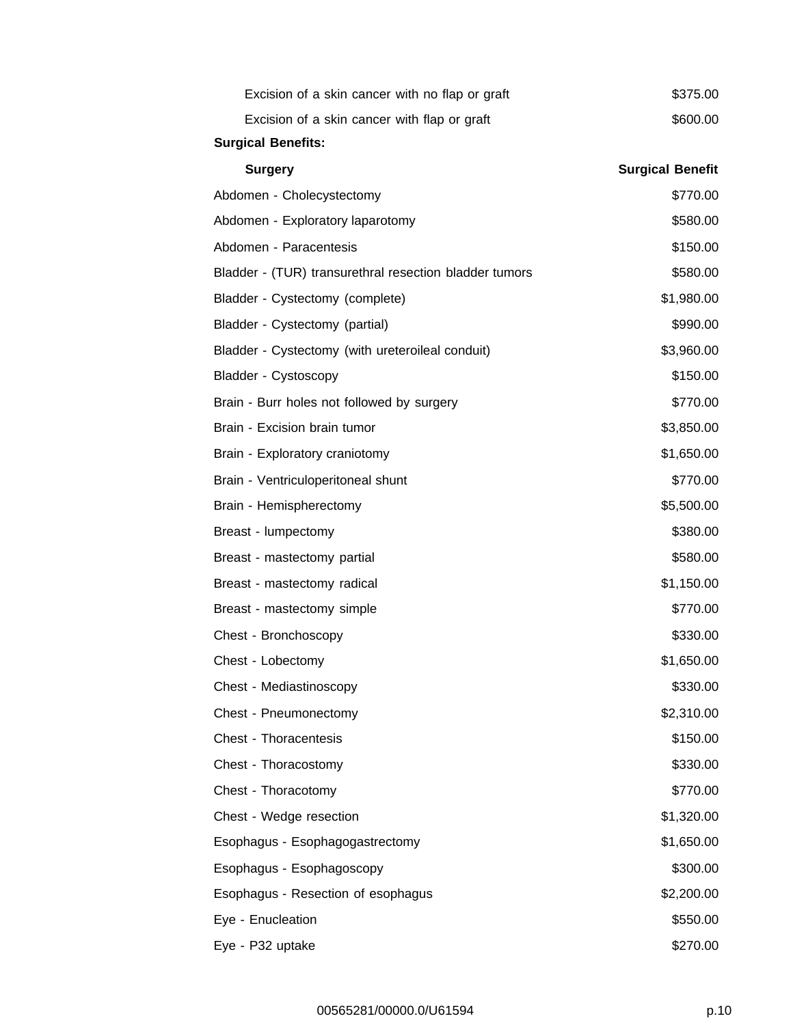| Excision of a skin cancer with no flap or graft        | \$375.00                |
|--------------------------------------------------------|-------------------------|
| Excision of a skin cancer with flap or graft           | \$600.00                |
| <b>Surgical Benefits:</b>                              |                         |
| <b>Surgery</b>                                         | <b>Surgical Benefit</b> |
| Abdomen - Cholecystectomy                              | \$770.00                |
| Abdomen - Exploratory laparotomy                       | \$580.00                |
| Abdomen - Paracentesis                                 | \$150.00                |
| Bladder - (TUR) transurethral resection bladder tumors | \$580.00                |
| Bladder - Cystectomy (complete)                        | \$1,980.00              |
| Bladder - Cystectomy (partial)                         | \$990.00                |
| Bladder - Cystectomy (with ureteroileal conduit)       | \$3,960.00              |
| Bladder - Cystoscopy                                   | \$150.00                |
| Brain - Burr holes not followed by surgery             | \$770.00                |
| Brain - Excision brain tumor                           | \$3,850.00              |
| Brain - Exploratory craniotomy                         | \$1,650.00              |
| Brain - Ventriculoperitoneal shunt                     | \$770.00                |
| Brain - Hemispherectomy                                | \$5,500.00              |
| Breast - lumpectomy                                    | \$380.00                |
| Breast - mastectomy partial                            | \$580.00                |
| Breast - mastectomy radical                            | \$1,150.00              |
| Breast - mastectomy simple                             | \$770.00                |
| Chest - Bronchoscopy                                   | \$330.00                |
| Chest - Lobectomy                                      | \$1,650.00              |
| Chest - Mediastinoscopy                                | \$330.00                |
| Chest - Pneumonectomy                                  | \$2,310.00              |
| Chest - Thoracentesis                                  | \$150.00                |
| Chest - Thoracostomy                                   | \$330.00                |
| Chest - Thoracotomy                                    | \$770.00                |
| Chest - Wedge resection                                | \$1,320.00              |
| Esophagus - Esophagogastrectomy                        | \$1,650.00              |
| Esophagus - Esophagoscopy                              | \$300.00                |
| Esophagus - Resection of esophagus                     | \$2,200.00              |
| Eye - Enucleation                                      | \$550.00                |
| Eye - P32 uptake                                       | \$270.00                |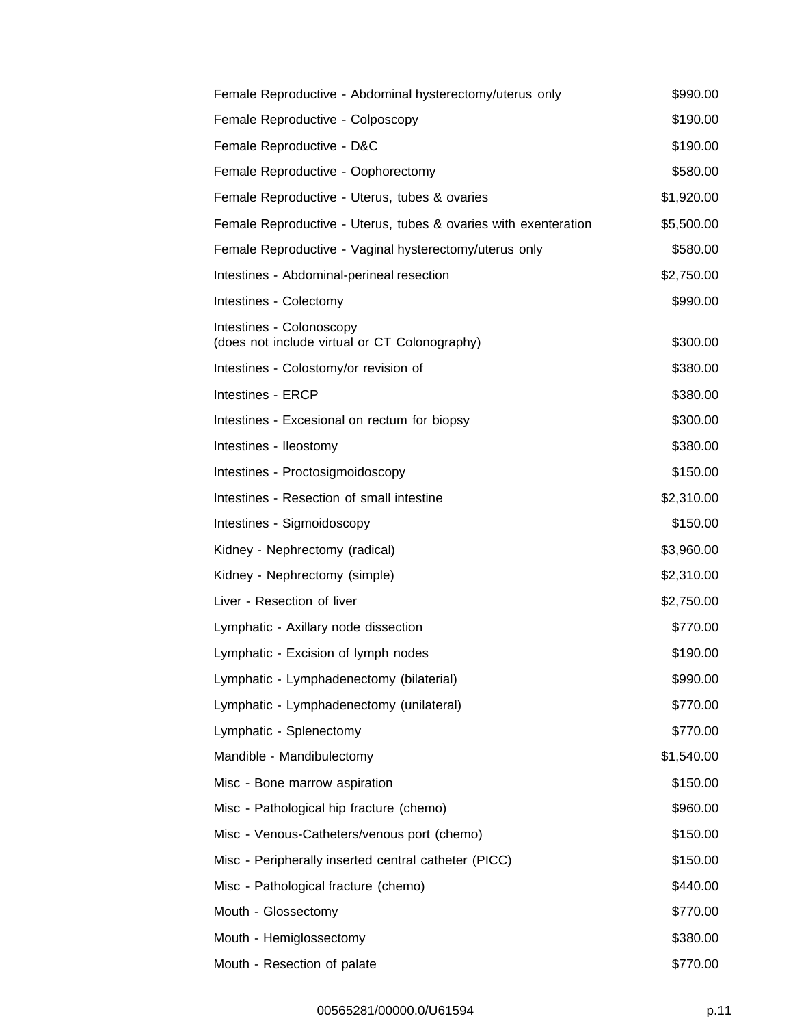| Female Reproductive - Abdominal hysterectomy/uterus only                  | \$990.00   |
|---------------------------------------------------------------------------|------------|
| Female Reproductive - Colposcopy                                          | \$190.00   |
| Female Reproductive - D&C                                                 | \$190.00   |
| Female Reproductive - Oophorectomy                                        | \$580.00   |
| Female Reproductive - Uterus, tubes & ovaries                             | \$1,920.00 |
| Female Reproductive - Uterus, tubes & ovaries with exenteration           | \$5,500.00 |
| Female Reproductive - Vaginal hysterectomy/uterus only                    | \$580.00   |
| Intestines - Abdominal-perineal resection                                 | \$2,750.00 |
| Intestines - Colectomy                                                    | \$990.00   |
| Intestines - Colonoscopy<br>(does not include virtual or CT Colonography) | \$300.00   |
| Intestines - Colostomy/or revision of                                     | \$380.00   |
| Intestines - ERCP                                                         | \$380.00   |
| Intestines - Excesional on rectum for biopsy                              | \$300.00   |
| Intestines - Ileostomy                                                    | \$380.00   |
| Intestines - Proctosigmoidoscopy                                          | \$150.00   |
| Intestines - Resection of small intestine                                 | \$2,310.00 |
| Intestines - Sigmoidoscopy                                                | \$150.00   |
| Kidney - Nephrectomy (radical)                                            | \$3,960.00 |
| Kidney - Nephrectomy (simple)                                             | \$2,310.00 |
| Liver - Resection of liver                                                | \$2,750.00 |
| Lymphatic - Axillary node dissection                                      | \$770.00   |
| Lymphatic - Excision of lymph nodes                                       | \$190.00   |
| Lymphatic - Lymphadenectomy (bilaterial)                                  | \$990.00   |
| Lymphatic - Lymphadenectomy (unilateral)                                  | \$770.00   |
| Lymphatic - Splenectomy                                                   | \$770.00   |
| Mandible - Mandibulectomy                                                 | \$1,540.00 |
| Misc - Bone marrow aspiration                                             | \$150.00   |
| Misc - Pathological hip fracture (chemo)                                  | \$960.00   |
| Misc - Venous-Catheters/venous port (chemo)                               | \$150.00   |
| Misc - Peripherally inserted central catheter (PICC)                      | \$150.00   |
| Misc - Pathological fracture (chemo)                                      | \$440.00   |
| Mouth - Glossectomy                                                       | \$770.00   |
| Mouth - Hemiglossectomy                                                   | \$380.00   |
| Mouth - Resection of palate                                               | \$770.00   |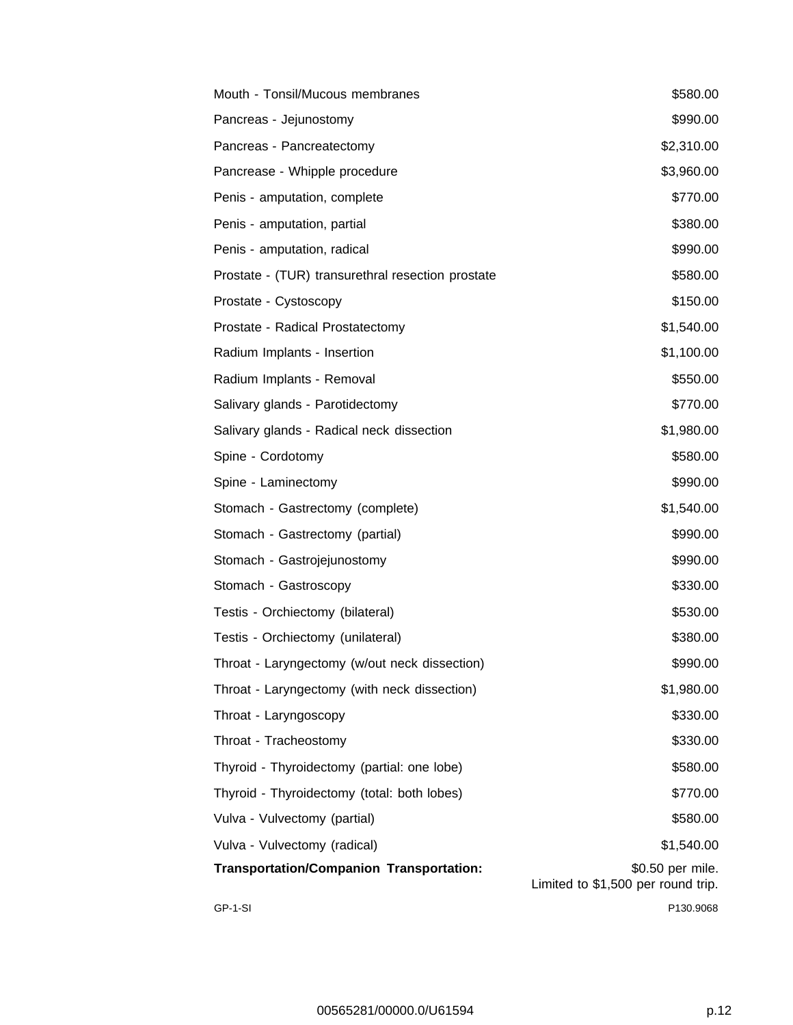| Mouth - Tonsil/Mucous membranes                   | \$580.00                                               |
|---------------------------------------------------|--------------------------------------------------------|
| Pancreas - Jejunostomy                            | \$990.00                                               |
| Pancreas - Pancreatectomy                         | \$2,310.00                                             |
| Pancrease - Whipple procedure                     | \$3,960.00                                             |
| Penis - amputation, complete                      | \$770.00                                               |
| Penis - amputation, partial                       | \$380.00                                               |
| Penis - amputation, radical                       | \$990.00                                               |
| Prostate - (TUR) transurethral resection prostate | \$580.00                                               |
| Prostate - Cystoscopy                             | \$150.00                                               |
| Prostate - Radical Prostatectomy                  | \$1,540.00                                             |
| Radium Implants - Insertion                       | \$1,100.00                                             |
| Radium Implants - Removal                         | \$550.00                                               |
| Salivary glands - Parotidectomy                   | \$770.00                                               |
| Salivary glands - Radical neck dissection         | \$1,980.00                                             |
| Spine - Cordotomy                                 | \$580.00                                               |
| Spine - Laminectomy                               | \$990.00                                               |
| Stomach - Gastrectomy (complete)                  | \$1,540.00                                             |
| Stomach - Gastrectomy (partial)                   | \$990.00                                               |
| Stomach - Gastrojejunostomy                       | \$990.00                                               |
| Stomach - Gastroscopy                             | \$330.00                                               |
| Testis - Orchiectomy (bilateral)                  | \$530.00                                               |
| Testis - Orchiectomy (unilateral)                 | \$380.00                                               |
| Throat - Laryngectomy (w/out neck dissection)     | \$990.00                                               |
| Throat - Laryngectomy (with neck dissection)      | \$1,980.00                                             |
| Throat - Laryngoscopy                             | \$330.00                                               |
| Throat - Tracheostomy                             | \$330.00                                               |
| Thyroid - Thyroidectomy (partial: one lobe)       | \$580.00                                               |
| Thyroid - Thyroidectomy (total: both lobes)       | \$770.00                                               |
| Vulva - Vulvectomy (partial)                      | \$580.00                                               |
| Vulva - Vulvectomy (radical)                      | \$1,540.00                                             |
| <b>Transportation/Companion Transportation:</b>   | \$0.50 per mile.<br>Limited to \$1,500 per round trip. |
| GP-1-SI                                           | P130.9068                                              |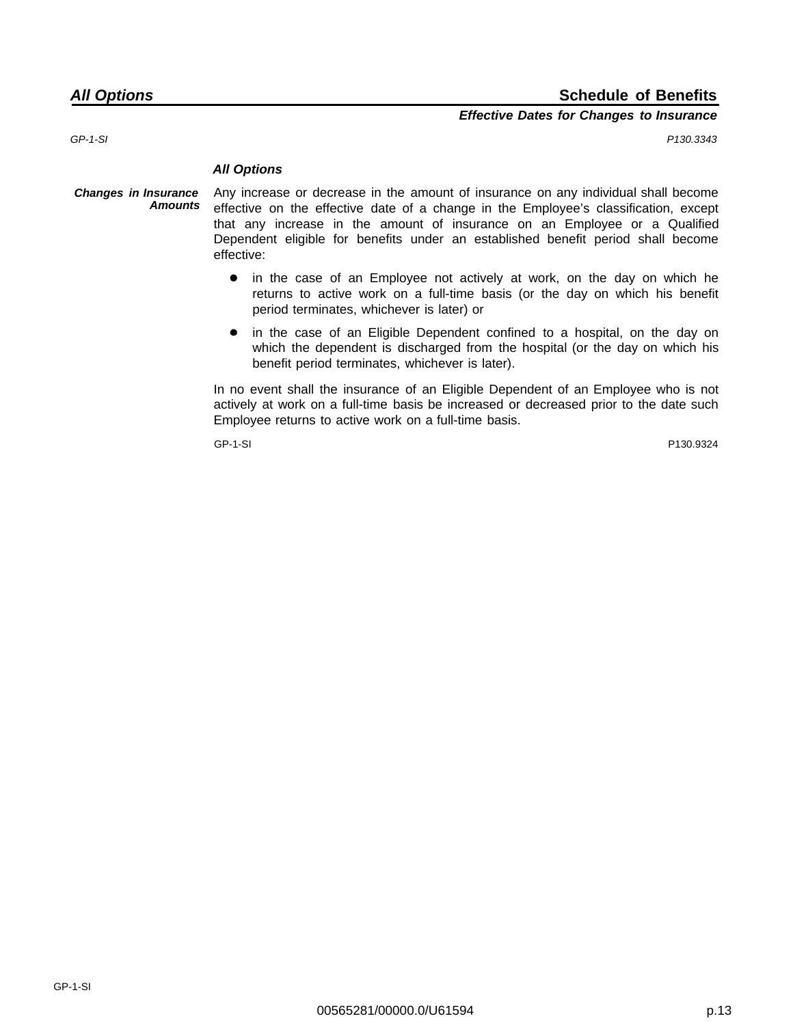## **All Options Schedule of Benefits**

## **Effective Dates for Changes to Insurance**

GP-1-SI P130.3343

#### **All Options**

- **Changes in Insurance Amounts** Any increase or decrease in the amount of insurance on any individual shall become effective on the effective date of a change in the Employee's classification, except that any increase in the amount of insurance on an Employee or a Qualified Dependent eligible for benefits under an established benefit period shall become effective:
	- in the case of an Employee not actively at work, on the day on which he  $\bullet$ returns to active work on a full-time basis (or the day on which his benefit period terminates, whichever is later) or
	- in the case of an Eligible Dependent confined to a hospital, on the day on  $\bullet$ which the dependent is discharged from the hospital (or the day on which his benefit period terminates, whichever is later).

In no event shall the insurance of an Eligible Dependent of an Employee who is not actively at work on a full-time basis be increased or decreased prior to the date such Employee returns to active work on a full-time basis.

GP-1-SI P130.9324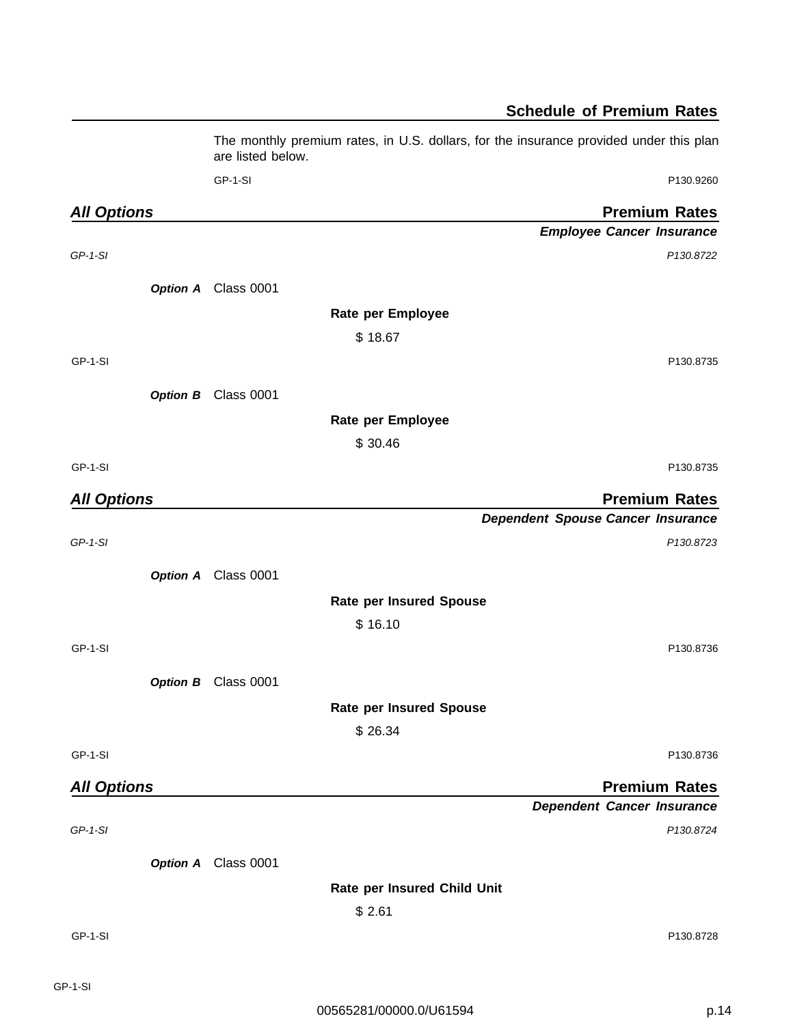|                    | The monthly premium rates, in U.S. dollars, for the insurance provided under this plan<br>are listed below. |  |
|--------------------|-------------------------------------------------------------------------------------------------------------|--|
|                    | GP-1-SI<br>P130.9260                                                                                        |  |
| <b>All Options</b> | <b>Premium Rates</b>                                                                                        |  |
|                    | <b>Employee Cancer Insurance</b>                                                                            |  |
| $GP-1-SI$          | P130.8722                                                                                                   |  |
|                    | Option A Class 0001                                                                                         |  |
|                    | Rate per Employee                                                                                           |  |
|                    | \$18.67                                                                                                     |  |
| GP-1-SI            | P130.8735                                                                                                   |  |
|                    | Option B Class 0001                                                                                         |  |
|                    | Rate per Employee                                                                                           |  |
|                    | \$30.46                                                                                                     |  |
| GP-1-SI            | P130.8735                                                                                                   |  |
| <b>All Options</b> | <b>Premium Rates</b>                                                                                        |  |
|                    | <b>Dependent Spouse Cancer Insurance</b>                                                                    |  |
| $GP-1-SI$          | P130.8723                                                                                                   |  |
|                    | Option A Class 0001                                                                                         |  |
|                    | <b>Rate per Insured Spouse</b>                                                                              |  |
|                    | \$16.10                                                                                                     |  |
| GP-1-SI            | P130.8736                                                                                                   |  |
|                    | Option B Class 0001                                                                                         |  |
|                    | <b>Rate per Insured Spouse</b>                                                                              |  |
|                    | \$26.34                                                                                                     |  |
| GP-1-SI            | P130.8736                                                                                                   |  |
| <b>All Options</b> | <b>Premium Rates</b>                                                                                        |  |
|                    | <b>Dependent Cancer Insurance</b>                                                                           |  |
| $GP-1-SI$          | P130.8724                                                                                                   |  |
|                    | Option A Class 0001                                                                                         |  |
|                    | Rate per Insured Child Unit                                                                                 |  |
|                    | \$2.61                                                                                                      |  |
| GP-1-SI            | P130.8728                                                                                                   |  |
|                    |                                                                                                             |  |
|                    |                                                                                                             |  |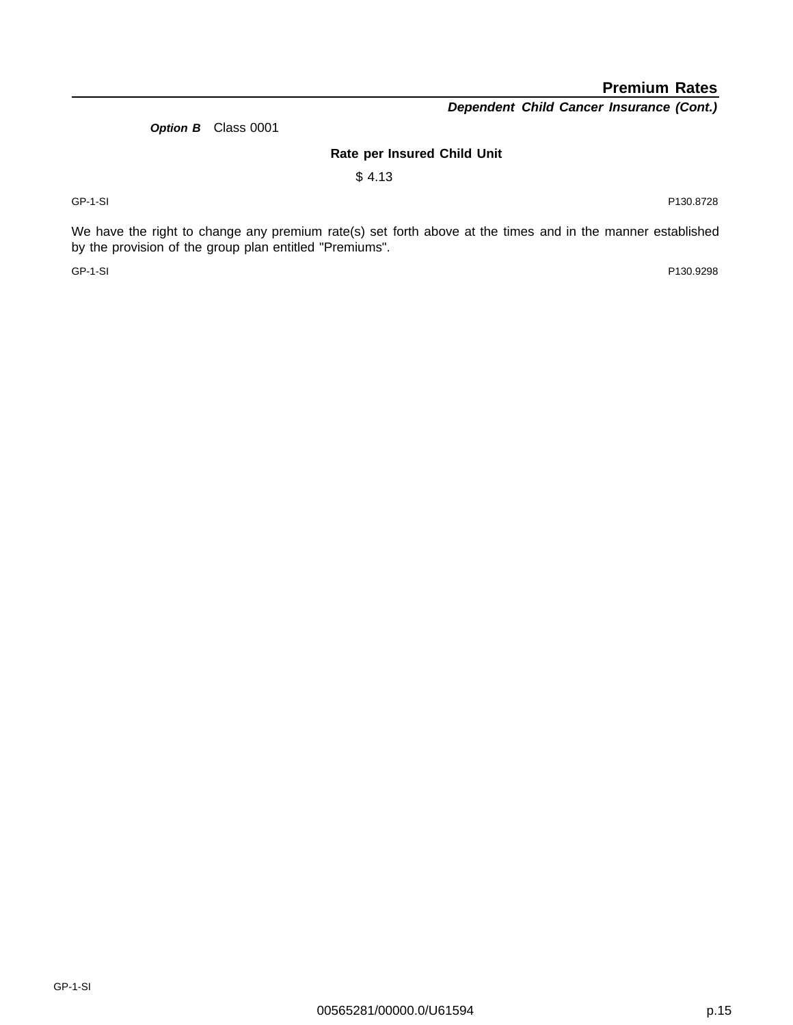**Premium Rates**

**Dependent Child Cancer Insurance (Cont.)**

**Option B** Class 0001

## **Rate per Insured Child Unit**

\$ 4.13

GP-1-SI P130.8728

We have the right to change any premium rate(s) set forth above at the times and in the manner established by the provision of the group plan entitled "Premiums".

GP-1-SI P130.9298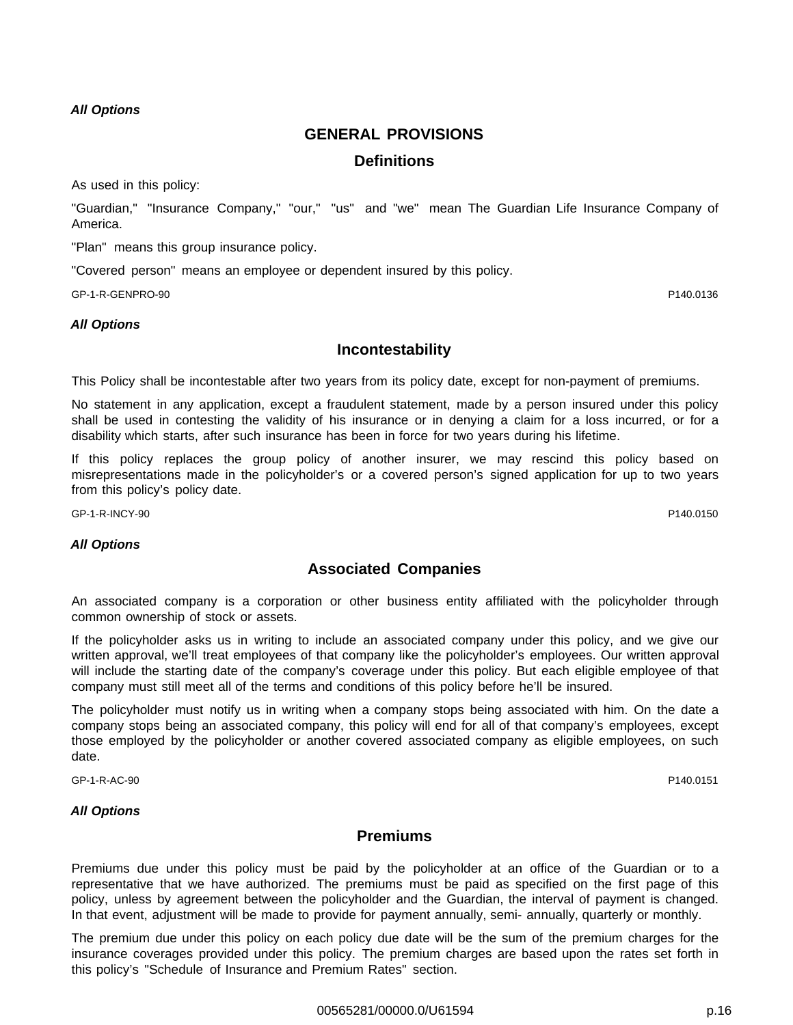## **GENERAL PROVISIONS**

## **Definitions**

As used in this policy:

"Guardian," "Insurance Company," "our," "us" and "we" mean The Guardian Life Insurance Company of America.

"Plan" means this group insurance policy.

"Covered person" means an employee or dependent insured by this policy.

GP-1-R-GENPRO-90 P140.0136

## **All Options**

## **Incontestability**

This Policy shall be incontestable after two years from its policy date, except for non-payment of premiums.

No statement in any application, except a fraudulent statement, made by a person insured under this policy shall be used in contesting the validity of his insurance or in denying a claim for a loss incurred, or for a disability which starts, after such insurance has been in force for two years during his lifetime.

If this policy replaces the group policy of another insurer, we may rescind this policy based on misrepresentations made in the policyholder's or a covered person's signed application for up to two years from this policy's policy date.

GP-1-R-INCY-90 P140.0150

## **All Options**

## **Associated Companies**

An associated company is a corporation or other business entity affiliated with the policyholder through common ownership of stock or assets.

If the policyholder asks us in writing to include an associated company under this policy, and we give our written approval, we'll treat employees of that company like the policyholder's employees. Our written approval will include the starting date of the company's coverage under this policy. But each eligible employee of that company must still meet all of the terms and conditions of this policy before he'll be insured.

The policyholder must notify us in writing when a company stops being associated with him. On the date a company stops being an associated company, this policy will end for all of that company's employees, except those employed by the policyholder or another covered associated company as eligible employees, on such date.

GP-1-R-AC-90 P140.0151

## **All Options**

## **Premiums**

Premiums due under this policy must be paid by the policyholder at an office of the Guardian or to a representative that we have authorized. The premiums must be paid as specified on the first page of this policy, unless by agreement between the policyholder and the Guardian, the interval of payment is changed. In that event, adjustment will be made to provide for payment annually, semi- annually, quarterly or monthly.

The premium due under this policy on each policy due date will be the sum of the premium charges for the insurance coverages provided under this policy. The premium charges are based upon the rates set forth in this policy's "Schedule of Insurance and Premium Rates" section.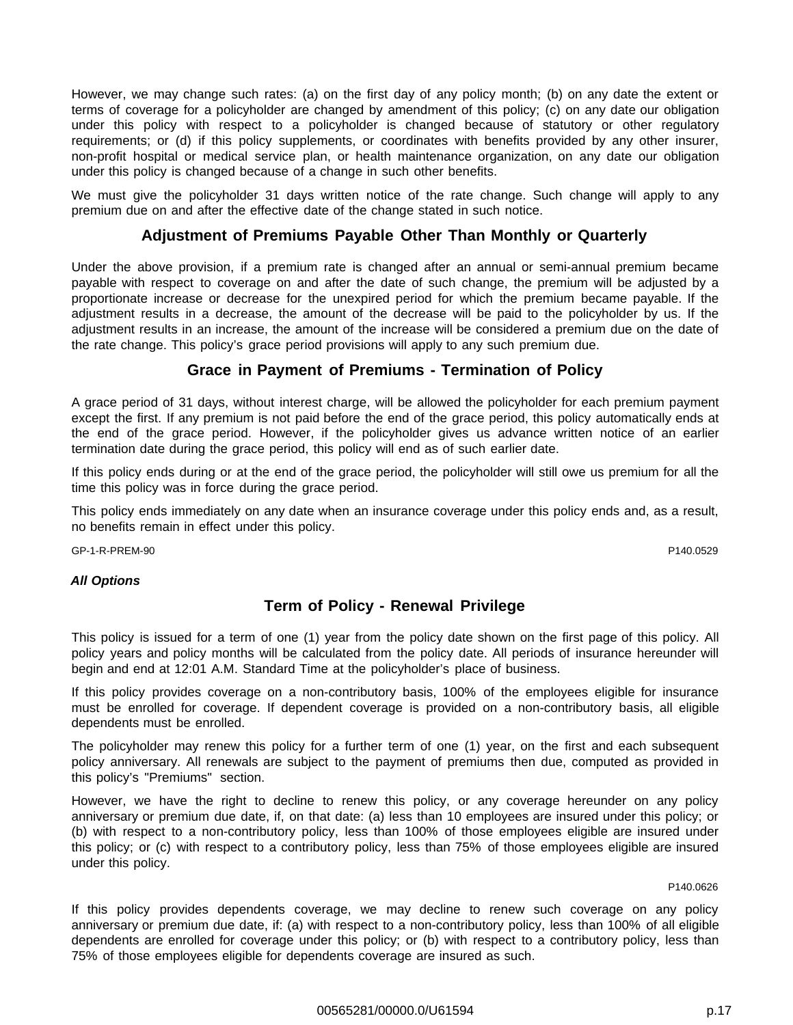However, we may change such rates: (a) on the first day of any policy month; (b) on any date the extent or terms of coverage for a policyholder are changed by amendment of this policy; (c) on any date our obligation under this policy with respect to a policyholder is changed because of statutory or other regulatory requirements; or (d) if this policy supplements, or coordinates with benefits provided by any other insurer, non-profit hospital or medical service plan, or health maintenance organization, on any date our obligation under this policy is changed because of a change in such other benefits.

We must give the policyholder 31 days written notice of the rate change. Such change will apply to any premium due on and after the effective date of the change stated in such notice.

## **Adjustment of Premiums Payable Other Than Monthly or Quarterly**

Under the above provision, if a premium rate is changed after an annual or semi-annual premium became payable with respect to coverage on and after the date of such change, the premium will be adjusted by a proportionate increase or decrease for the unexpired period for which the premium became payable. If the adjustment results in a decrease, the amount of the decrease will be paid to the policyholder by us. If the adjustment results in an increase, the amount of the increase will be considered a premium due on the date of the rate change. This policy's grace period provisions will apply to any such premium due.

## **Grace in Payment of Premiums - Termination of Policy**

A grace period of 31 days, without interest charge, will be allowed the policyholder for each premium payment except the first. If any premium is not paid before the end of the grace period, this policy automatically ends at the end of the grace period. However, if the policyholder gives us advance written notice of an earlier termination date during the grace period, this policy will end as of such earlier date.

If this policy ends during or at the end of the grace period, the policyholder will still owe us premium for all the time this policy was in force during the grace period.

This policy ends immediately on any date when an insurance coverage under this policy ends and, as a result, no benefits remain in effect under this policy.

GP-1-R-PREM-90 P140.0529

## **All Options**

## **Term of Policy - Renewal Privilege**

This policy is issued for a term of one (1) year from the policy date shown on the first page of this policy. All policy years and policy months will be calculated from the policy date. All periods of insurance hereunder will begin and end at 12:01 A.M. Standard Time at the policyholder's place of business.

If this policy provides coverage on a non-contributory basis, 100% of the employees eligible for insurance must be enrolled for coverage. If dependent coverage is provided on a non-contributory basis, all eligible dependents must be enrolled.

The policyholder may renew this policy for a further term of one (1) year, on the first and each subsequent policy anniversary. All renewals are subject to the payment of premiums then due, computed as provided in this policy's "Premiums" section.

However, we have the right to decline to renew this policy, or any coverage hereunder on any policy anniversary or premium due date, if, on that date: (a) less than 10 employees are insured under this policy; or (b) with respect to a non-contributory policy, less than 100% of those employees eligible are insured under this policy; or (c) with respect to a contributory policy, less than 75% of those employees eligible are insured under this policy.

P140.0626

If this policy provides dependents coverage, we may decline to renew such coverage on any policy anniversary or premium due date, if: (a) with respect to a non-contributory policy, less than 100% of all eligible dependents are enrolled for coverage under this policy; or (b) with respect to a contributory policy, less than 75% of those employees eligible for dependents coverage are insured as such.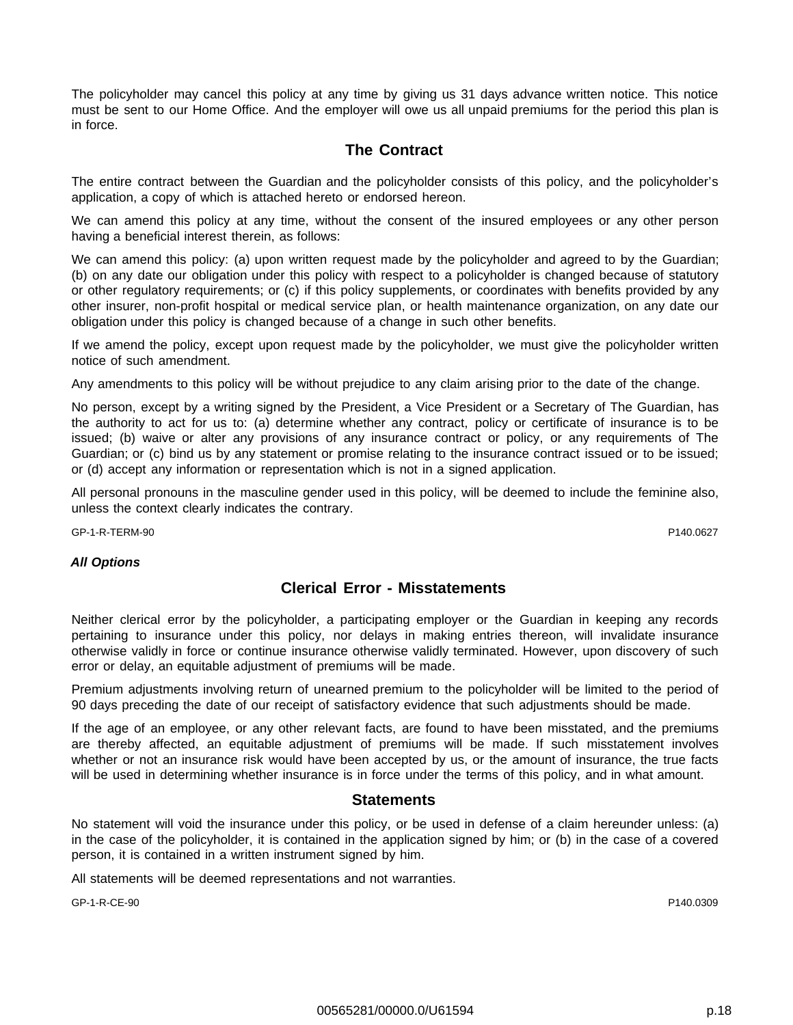The policyholder may cancel this policy at any time by giving us 31 days advance written notice. This notice must be sent to our Home Office. And the employer will owe us all unpaid premiums for the period this plan is in force.

## **The Contract**

The entire contract between the Guardian and the policyholder consists of this policy, and the policyholder's application, a copy of which is attached hereto or endorsed hereon.

We can amend this policy at any time, without the consent of the insured employees or any other person having a beneficial interest therein, as follows:

We can amend this policy: (a) upon written request made by the policyholder and agreed to by the Guardian; (b) on any date our obligation under this policy with respect to a policyholder is changed because of statutory or other regulatory requirements; or (c) if this policy supplements, or coordinates with benefits provided by any other insurer, non-profit hospital or medical service plan, or health maintenance organization, on any date our obligation under this policy is changed because of a change in such other benefits.

If we amend the policy, except upon request made by the policyholder, we must give the policyholder written notice of such amendment.

Any amendments to this policy will be without prejudice to any claim arising prior to the date of the change.

No person, except by a writing signed by the President, a Vice President or a Secretary of The Guardian, has the authority to act for us to: (a) determine whether any contract, policy or certificate of insurance is to be issued; (b) waive or alter any provisions of any insurance contract or policy, or any requirements of The Guardian; or (c) bind us by any statement or promise relating to the insurance contract issued or to be issued; or (d) accept any information or representation which is not in a signed application.

All personal pronouns in the masculine gender used in this policy, will be deemed to include the feminine also, unless the context clearly indicates the contrary.

GP-1-R-TERM-90 P140.0627

## **All Options**

## **Clerical Error - Misstatements**

Neither clerical error by the policyholder, a participating employer or the Guardian in keeping any records pertaining to insurance under this policy, nor delays in making entries thereon, will invalidate insurance otherwise validly in force or continue insurance otherwise validly terminated. However, upon discovery of such error or delay, an equitable adjustment of premiums will be made.

Premium adjustments involving return of unearned premium to the policyholder will be limited to the period of 90 days preceding the date of our receipt of satisfactory evidence that such adjustments should be made.

If the age of an employee, or any other relevant facts, are found to have been misstated, and the premiums are thereby affected, an equitable adjustment of premiums will be made. If such misstatement involves whether or not an insurance risk would have been accepted by us, or the amount of insurance, the true facts will be used in determining whether insurance is in force under the terms of this policy, and in what amount.

## **Statements**

No statement will void the insurance under this policy, or be used in defense of a claim hereunder unless: (a) in the case of the policyholder, it is contained in the application signed by him; or (b) in the case of a covered person, it is contained in a written instrument signed by him.

All statements will be deemed representations and not warranties.

GP-1-R-CE-90 P140.0309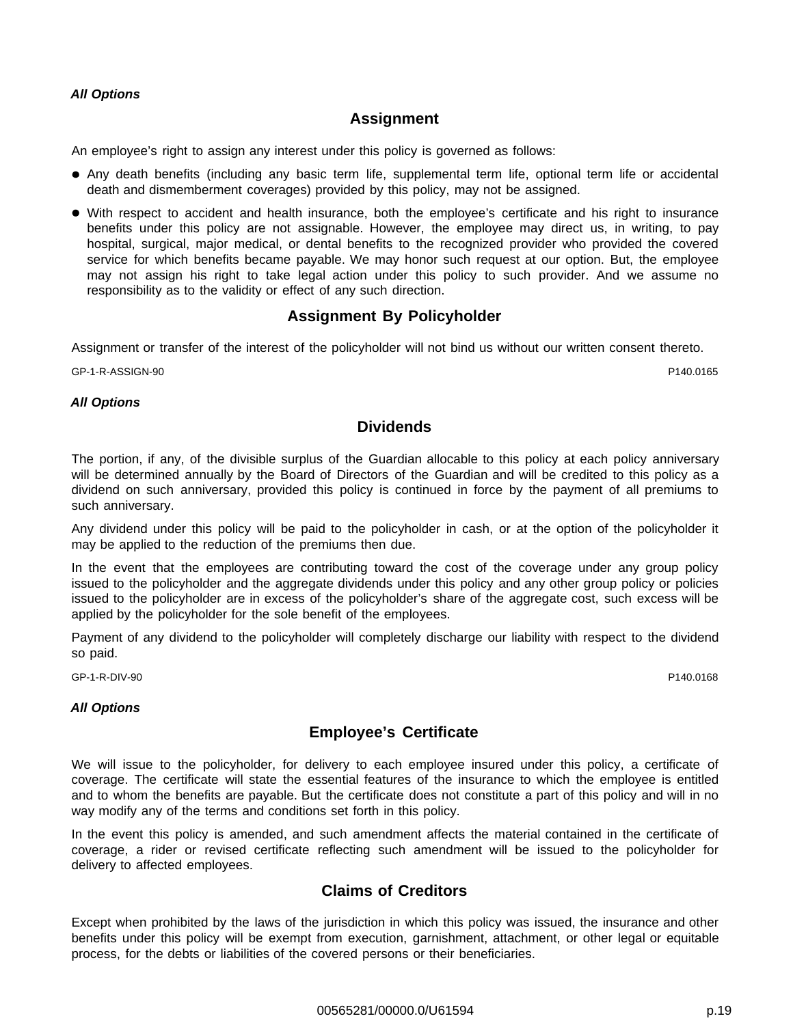## **Assignment**

An employee's right to assign any interest under this policy is governed as follows:

- Any death benefits (including any basic term life, supplemental term life, optional term life or accidental death and dismemberment coverages) provided by this policy, may not be assigned.
- With respect to accident and health insurance, both the employee's certificate and his right to insurance benefits under this policy are not assignable. However, the employee may direct us, in writing, to pay hospital, surgical, major medical, or dental benefits to the recognized provider who provided the covered service for which benefits became payable. We may honor such request at our option. But, the employee may not assign his right to take legal action under this policy to such provider. And we assume no responsibility as to the validity or effect of any such direction.

## **Assignment By Policyholder**

Assignment or transfer of the interest of the policyholder will not bind us without our written consent thereto.

GP-1-R-ASSIGN-90 P140.0165

**All Options**

## **Dividends**

The portion, if any, of the divisible surplus of the Guardian allocable to this policy at each policy anniversary will be determined annually by the Board of Directors of the Guardian and will be credited to this policy as a dividend on such anniversary, provided this policy is continued in force by the payment of all premiums to such anniversary.

Any dividend under this policy will be paid to the policyholder in cash, or at the option of the policyholder it may be applied to the reduction of the premiums then due.

In the event that the employees are contributing toward the cost of the coverage under any group policy issued to the policyholder and the aggregate dividends under this policy and any other group policy or policies issued to the policyholder are in excess of the policyholder's share of the aggregate cost, such excess will be applied by the policyholder for the sole benefit of the employees.

Payment of any dividend to the policyholder will completely discharge our liability with respect to the dividend so paid.

GP-1-R-DIV-90 P140.0168

## **All Options**

## **Employee's Certificate**

We will issue to the policyholder, for delivery to each employee insured under this policy, a certificate of coverage. The certificate will state the essential features of the insurance to which the employee is entitled and to whom the benefits are payable. But the certificate does not constitute a part of this policy and will in no way modify any of the terms and conditions set forth in this policy.

In the event this policy is amended, and such amendment affects the material contained in the certificate of coverage, a rider or revised certificate reflecting such amendment will be issued to the policyholder for delivery to affected employees.

## **Claims of Creditors**

Except when prohibited by the laws of the jurisdiction in which this policy was issued, the insurance and other benefits under this policy will be exempt from execution, garnishment, attachment, or other legal or equitable process, for the debts or liabilities of the covered persons or their beneficiaries.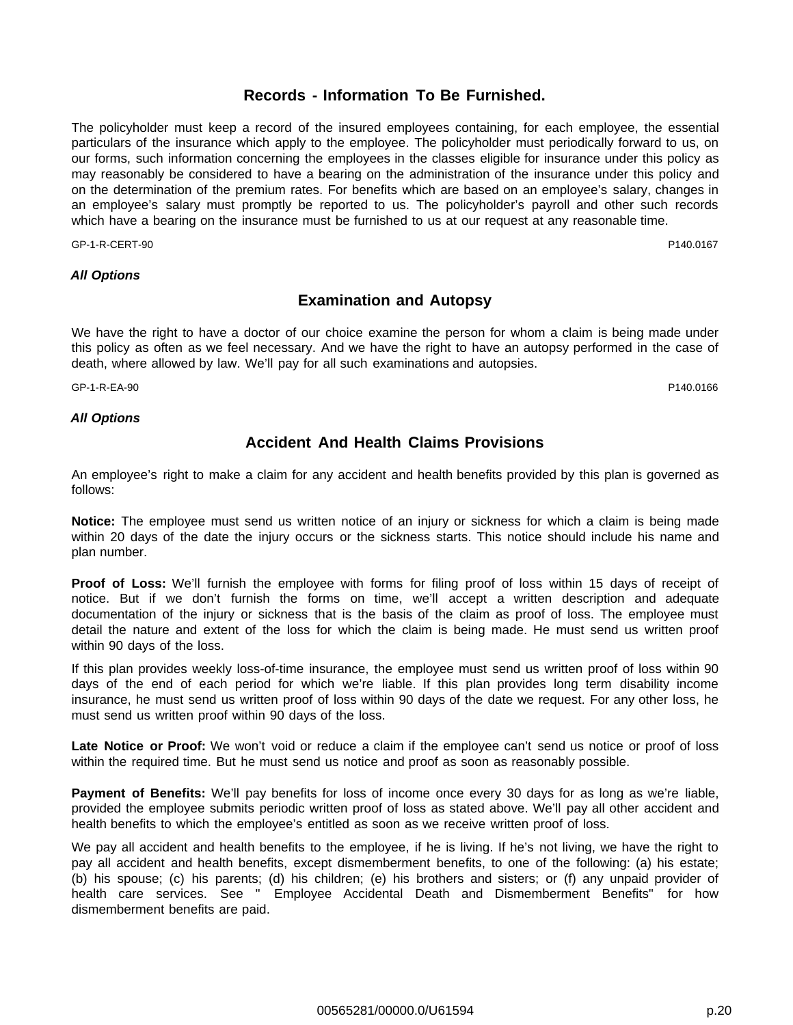## **Records - Information To Be Furnished.**

The policyholder must keep a record of the insured employees containing, for each employee, the essential particulars of the insurance which apply to the employee. The policyholder must periodically forward to us, on our forms, such information concerning the employees in the classes eligible for insurance under this policy as may reasonably be considered to have a bearing on the administration of the insurance under this policy and on the determination of the premium rates. For benefits which are based on an employee's salary, changes in an employee's salary must promptly be reported to us. The policyholder's payroll and other such records which have a bearing on the insurance must be furnished to us at our request at any reasonable time.

GP-1-R-CERT-90 P140.0167

## **All Options**

## **Examination and Autopsy**

We have the right to have a doctor of our choice examine the person for whom a claim is being made under this policy as often as we feel necessary. And we have the right to have an autopsy performed in the case of death, where allowed by law. We'll pay for all such examinations and autopsies.

GP-1-R-EA-90 P140.0166

**All Options**

## **Accident And Health Claims Provisions**

An employee's right to make a claim for any accident and health benefits provided by this plan is governed as follows:

**Notice:** The employee must send us written notice of an injury or sickness for which a claim is being made within 20 days of the date the injury occurs or the sickness starts. This notice should include his name and plan number.

**Proof of Loss:** We'll furnish the employee with forms for filing proof of loss within 15 days of receipt of notice. But if we don't furnish the forms on time, we'll accept a written description and adequate documentation of the injury or sickness that is the basis of the claim as proof of loss. The employee must detail the nature and extent of the loss for which the claim is being made. He must send us written proof within 90 days of the loss.

If this plan provides weekly loss-of-time insurance, the employee must send us written proof of loss within 90 days of the end of each period for which we're liable. If this plan provides long term disability income insurance, he must send us written proof of loss within 90 days of the date we request. For any other loss, he must send us written proof within 90 days of the loss.

**Late Notice or Proof:** We won't void or reduce a claim if the employee can't send us notice or proof of loss within the required time. But he must send us notice and proof as soon as reasonably possible.

**Payment of Benefits:** We'll pay benefits for loss of income once every 30 days for as long as we're liable, provided the employee submits periodic written proof of loss as stated above. We'll pay all other accident and health benefits to which the employee's entitled as soon as we receive written proof of loss.

We pay all accident and health benefits to the employee, if he is living. If he's not living, we have the right to pay all accident and health benefits, except dismemberment benefits, to one of the following: (a) his estate; (b) his spouse; (c) his parents; (d) his children; (e) his brothers and sisters; or (f) any unpaid provider of health care services. See " Employee Accidental Death and Dismemberment Benefits" for how dismemberment benefits are paid.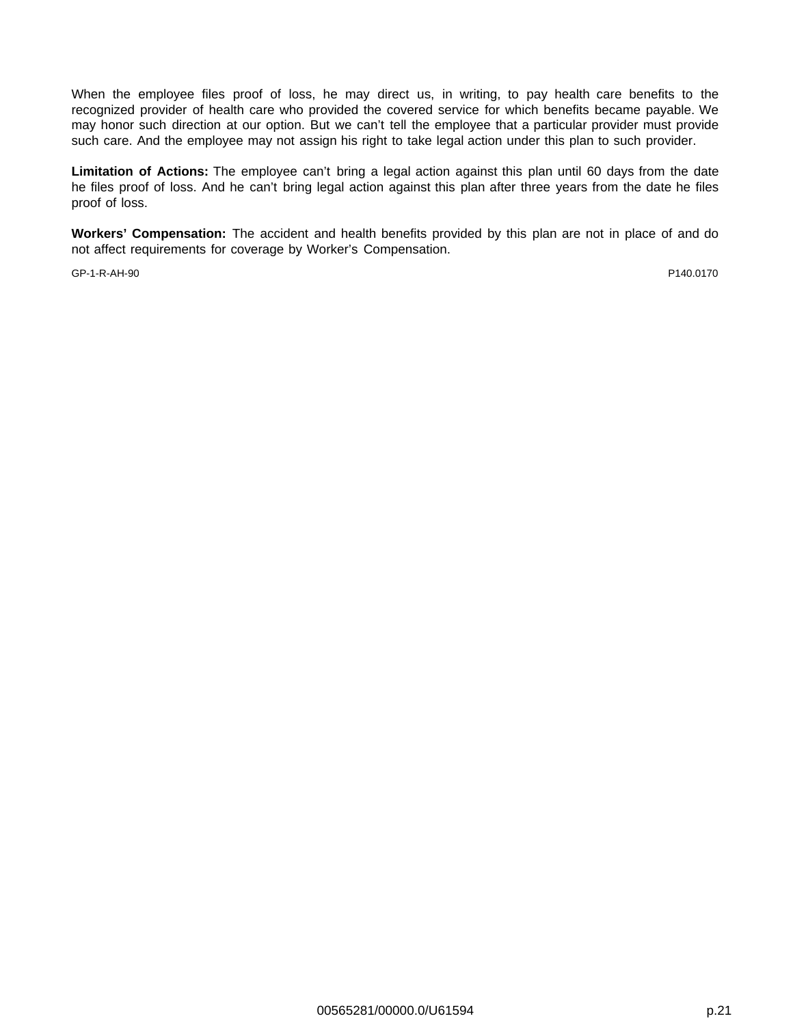When the employee files proof of loss, he may direct us, in writing, to pay health care benefits to the recognized provider of health care who provided the covered service for which benefits became payable. We may honor such direction at our option. But we can't tell the employee that a particular provider must provide such care. And the employee may not assign his right to take legal action under this plan to such provider.

**Limitation of Actions:** The employee can't bring a legal action against this plan until 60 days from the date he files proof of loss. And he can't bring legal action against this plan after three years from the date he files proof of loss.

**Workers' Compensation:** The accident and health benefits provided by this plan are not in place of and do not affect requirements for coverage by Worker's Compensation.

GP-1-R-AH-90 P140.0170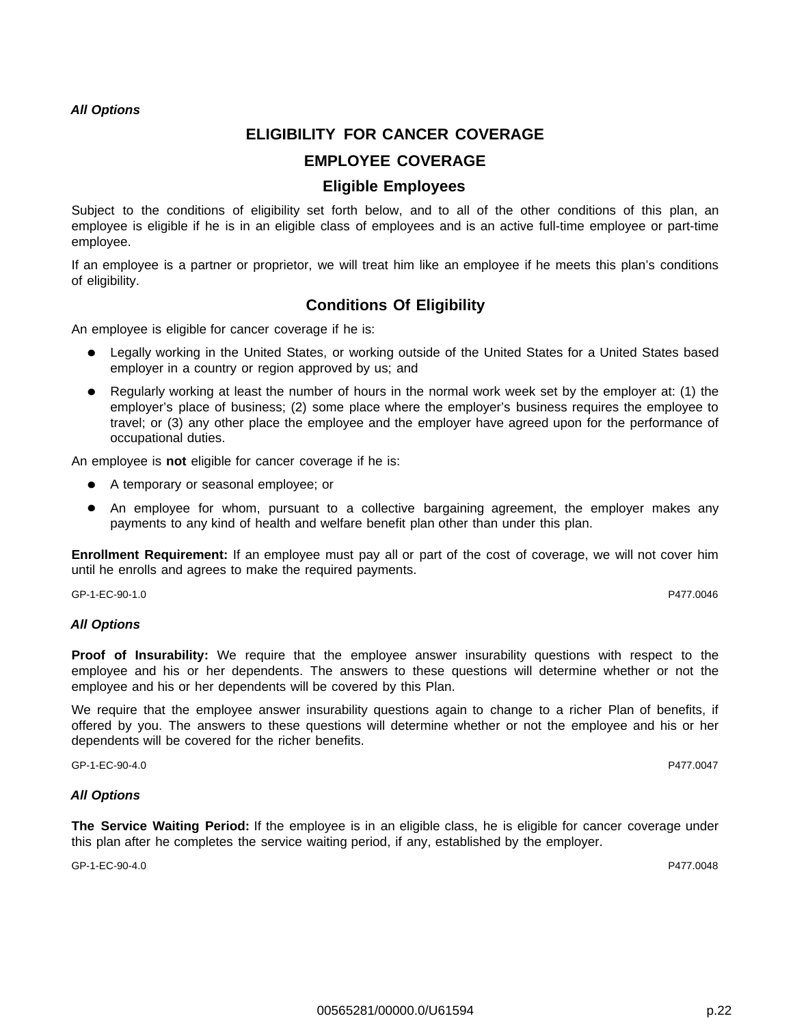## **ELIGIBILITY FOR CANCER COVERAGE**

## **EMPLOYEE COVERAGE**

## **Eligible Employees**

Subject to the conditions of eligibility set forth below, and to all of the other conditions of this plan, an employee is eligible if he is in an eligible class of employees and is an active full-time employee or part-time employee.

If an employee is a partner or proprietor, we will treat him like an employee if he meets this plan's conditions of eligibility.

## **Conditions Of Eligibility**

An employee is eligible for cancer coverage if he is:

- Legally working in the United States, or working outside of the United States for a United States based  $\bullet$ employer in a country or region approved by us; and
- Regularly working at least the number of hours in the normal work week set by the employer at: (1) the employer's place of business; (2) some place where the employer's business requires the employee to travel; or (3) any other place the employee and the employer have agreed upon for the performance of occupational duties.

An employee is **not** eligible for cancer coverage if he is:

- A temporary or seasonal employee; or
- An employee for whom, pursuant to a collective bargaining agreement, the employer makes any payments to any kind of health and welfare benefit plan other than under this plan.

**Enrollment Requirement:** If an employee must pay all or part of the cost of coverage, we will not cover him until he enrolls and agrees to make the required payments.

GP-1-EC-90-1.0 P477.0046

## **All Options**

**Proof of Insurability:** We require that the employee answer insurability questions with respect to the employee and his or her dependents. The answers to these questions will determine whether or not the employee and his or her dependents will be covered by this Plan.

We require that the employee answer insurability questions again to change to a richer Plan of benefits, if offered by you. The answers to these questions will determine whether or not the employee and his or her dependents will be covered for the richer benefits.

GP-1-EC-90-4.0 P477.0047

## **All Options**

**The Service Waiting Period:** If the employee is in an eligible class, he is eligible for cancer coverage under this plan after he completes the service waiting period, if any, established by the employer.

GP-1-EC-90-4.0 P477.0048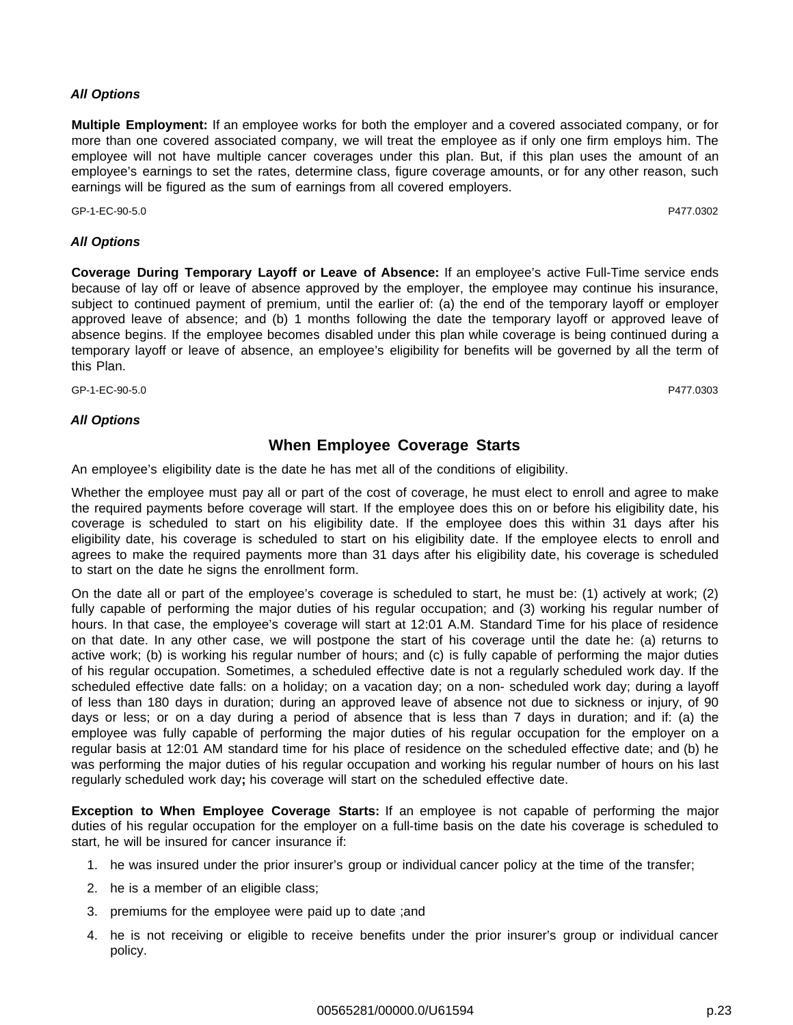**Multiple Employment:** If an employee works for both the employer and a covered associated company, or for more than one covered associated company, we will treat the employee as if only one firm employs him. The employee will not have multiple cancer coverages under this plan. But, if this plan uses the amount of an employee's earnings to set the rates, determine class, figure coverage amounts, or for any other reason, such earnings will be figured as the sum of earnings from all covered employers.

GP-1-EC-90-5.0 P477.0302

## **All Options**

**Coverage During Temporary Layoff or Leave of Absence:** If an employee's active Full-Time service ends because of lay off or leave of absence approved by the employer, the employee may continue his insurance, subject to continued payment of premium, until the earlier of: (a) the end of the temporary layoff or employer approved leave of absence; and (b) 1 months following the date the temporary layoff or approved leave of absence begins. If the employee becomes disabled under this plan while coverage is being continued during a temporary layoff or leave of absence, an employee's eligibility for benefits will be governed by all the term of this Plan.

GP-1-EC-90-5.0 P477.0303

## **All Options**

## **When Employee Coverage Starts**

An employee's eligibility date is the date he has met all of the conditions of eligibility.

Whether the employee must pay all or part of the cost of coverage, he must elect to enroll and agree to make the required payments before coverage will start. If the employee does this on or before his eligibility date, his coverage is scheduled to start on his eligibility date. If the employee does this within 31 days after his eligibility date, his coverage is scheduled to start on his eligibility date. If the employee elects to enroll and agrees to make the required payments more than 31 days after his eligibility date, his coverage is scheduled to start on the date he signs the enrollment form.

On the date all or part of the employee's coverage is scheduled to start, he must be: (1) actively at work; (2) fully capable of performing the major duties of his regular occupation; and (3) working his regular number of hours. In that case, the employee's coverage will start at 12:01 A.M. Standard Time for his place of residence on that date. In any other case, we will postpone the start of his coverage until the date he: (a) returns to active work; (b) is working his regular number of hours; and (c) is fully capable of performing the major duties of his regular occupation. Sometimes, a scheduled effective date is not a regularly scheduled work day. If the scheduled effective date falls: on a holiday; on a vacation day; on a non- scheduled work day; during a layoff of less than 180 days in duration; during an approved leave of absence not due to sickness or injury, of 90 days or less; or on a day during a period of absence that is less than 7 days in duration; and if: (a) the employee was fully capable of performing the major duties of his regular occupation for the employer on a regular basis at 12:01 AM standard time for his place of residence on the scheduled effective date; and (b) he was performing the major duties of his regular occupation and working his regular number of hours on his last regularly scheduled work day**;** his coverage will start on the scheduled effective date.

**Exception to When Employee Coverage Starts:** If an employee is not capable of performing the major duties of his regular occupation for the employer on a full-time basis on the date his coverage is scheduled to start, he will be insured for cancer insurance if:

- 1. he was insured under the prior insurer's group or individual cancer policy at the time of the transfer;
- 2. he is a member of an eligible class;
- 3. premiums for the employee were paid up to date ;and
- 4. he is not receiving or eligible to receive benefits under the prior insurer's group or individual cancer policy.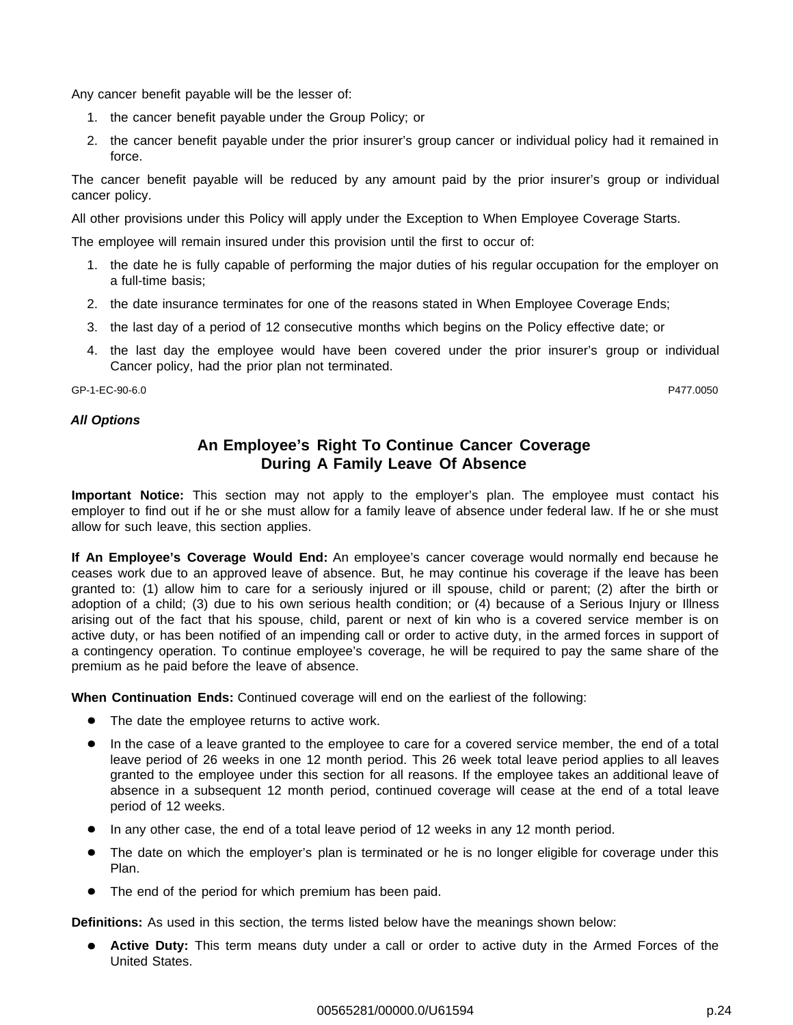Any cancer benefit payable will be the lesser of:

- 1. the cancer benefit payable under the Group Policy; or
- 2. the cancer benefit payable under the prior insurer's group cancer or individual policy had it remained in force.

The cancer benefit payable will be reduced by any amount paid by the prior insurer's group or individual cancer policy.

All other provisions under this Policy will apply under the Exception to When Employee Coverage Starts.

The employee will remain insured under this provision until the first to occur of:

- 1. the date he is fully capable of performing the major duties of his regular occupation for the employer on a full-time basis;
- 2. the date insurance terminates for one of the reasons stated in When Employee Coverage Ends;
- 3. the last day of a period of 12 consecutive months which begins on the Policy effective date; or
- 4. the last day the employee would have been covered under the prior insurer's group or individual Cancer policy, had the prior plan not terminated.

GP-1-EC-90-6.0 P477.0050

#### **All Options**

## **An Employee's Right To Continue Cancer Coverage During A Family Leave Of Absence**

**Important Notice:** This section may not apply to the employer's plan. The employee must contact his employer to find out if he or she must allow for a family leave of absence under federal law. If he or she must allow for such leave, this section applies.

**If An Employee's Coverage Would End:** An employee's cancer coverage would normally end because he ceases work due to an approved leave of absence. But, he may continue his coverage if the leave has been granted to: (1) allow him to care for a seriously injured or ill spouse, child or parent; (2) after the birth or adoption of a child; (3) due to his own serious health condition; or (4) because of a Serious Injury or Illness arising out of the fact that his spouse, child, parent or next of kin who is a covered service member is on active duty, or has been notified of an impending call or order to active duty, in the armed forces in support of a contingency operation. To continue employee's coverage, he will be required to pay the same share of the premium as he paid before the leave of absence.

**When Continuation Ends:** Continued coverage will end on the earliest of the following:

- The date the employee returns to active work.
- In the case of a leave granted to the employee to care for a covered service member, the end of a total leave period of 26 weeks in one 12 month period. This 26 week total leave period applies to all leaves granted to the employee under this section for all reasons. If the employee takes an additional leave of absence in a subsequent 12 month period, continued coverage will cease at the end of a total leave period of 12 weeks.
- In any other case, the end of a total leave period of 12 weeks in any 12 month period.
- The date on which the employer's plan is terminated or he is no longer eligible for coverage under this Plan.
- The end of the period for which premium has been paid.

**Definitions:** As used in this section, the terms listed below have the meanings shown below:

**Active Duty:** This term means duty under a call or order to active duty in the Armed Forces of the United States.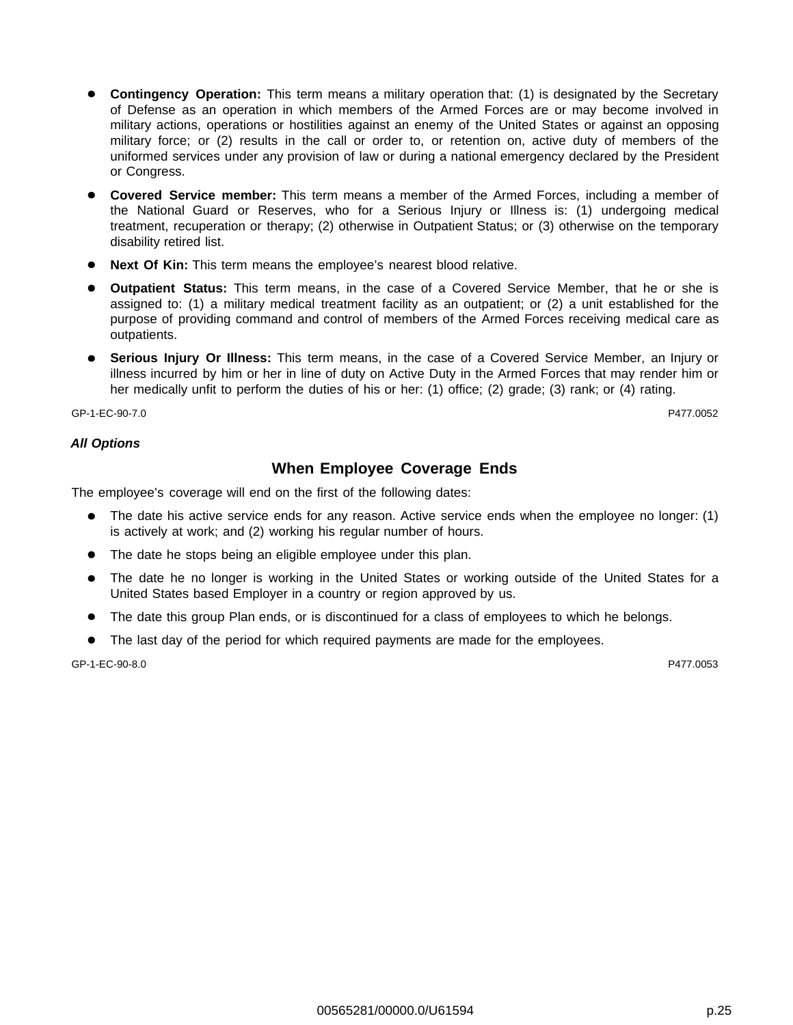- **Contingency Operation:** This term means a military operation that: (1) is designated by the Secretary of Defense as an operation in which members of the Armed Forces are or may become involved in military actions, operations or hostilities against an enemy of the United States or against an opposing military force; or (2) results in the call or order to, or retention on, active duty of members of the uniformed services under any provision of law or during a national emergency declared by the President or Congress.
- **Covered Service member:** This term means a member of the Armed Forces, including a member of the National Guard or Reserves, who for a Serious Injury or Illness is: (1) undergoing medical treatment, recuperation or therapy; (2) otherwise in Outpatient Status; or (3) otherwise on the temporary disability retired list.
- **Next Of Kin:** This term means the employee's nearest blood relative.
- **Outpatient Status:** This term means, in the case of a Covered Service Member, that he or she is assigned to: (1) a military medical treatment facility as an outpatient; or (2) a unit established for the purpose of providing command and control of members of the Armed Forces receiving medical care as outpatients.
- **Serious Injury Or Illness:** This term means, in the case of a Covered Service Member, an Injury or illness incurred by him or her in line of duty on Active Duty in the Armed Forces that may render him or her medically unfit to perform the duties of his or her: (1) office; (2) grade; (3) rank; or (4) rating.

GP-1-EC-90-7.0 P477.0052

## **All Options**

## **When Employee Coverage Ends**

The employee's coverage will end on the first of the following dates:

- The date his active service ends for any reason. Active service ends when the employee no longer: (1)  $\bullet$ is actively at work; and (2) working his regular number of hours.
- The date he stops being an eligible employee under this plan.
- The date he no longer is working in the United States or working outside of the United States for a  $\bullet$ United States based Employer in a country or region approved by us.
- The date this group Plan ends, or is discontinued for a class of employees to which he belongs.
- The last day of the period for which required payments are made for the employees.

GP-1-EC-90-8.0 P477.0053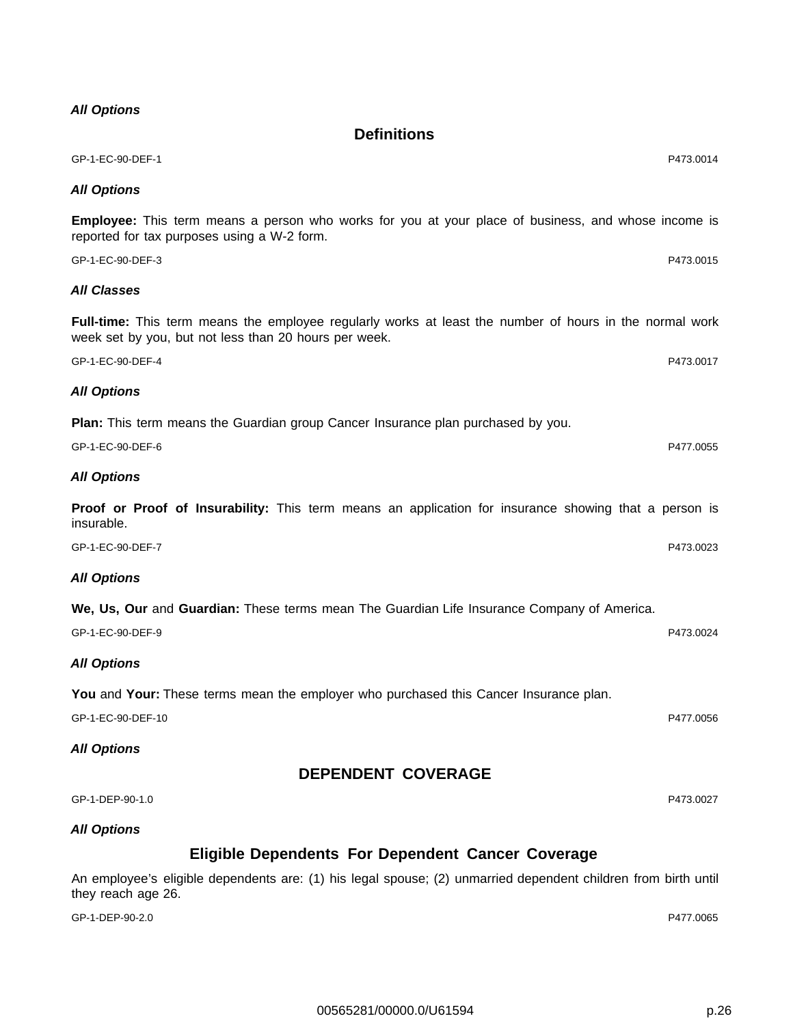GP-1-EC-90-DEF-1 P473.0014

**All Options**

**Employee:** This term means a person who works for you at your place of business, and whose income is reported for tax purposes using a W-2 form.

**Definitions**

GP-1-EC-90-DEF-3 P473.0015 **All Classes**

**Full-time:** This term means the employee regularly works at least the number of hours in the normal work week set by you, but not less than 20 hours per week.

GP-1-EC-90-DEF-4 P473.0017

**Plan:** This term means the Guardian group Cancer Insurance plan purchased by you.

GP-1-EC-90-DEF-6 P477.0055 **All Options**

**Proof or Proof of Insurability:** This term means an application for insurance showing that a person is insurable.

GP-1-EC-90-DEF-7 P473.0023

## **All Options**

**All Options**

**We, Us, Our** and **Guardian:** These terms mean The Guardian Life Insurance Company of America.

**All Options**

**You** and **Your:** These terms mean the employer who purchased this Cancer Insurance plan.

GP-1-EC-90-DEF-10 P477.0056

**All Options**

**DEPENDENT COVERAGE**

GP-1-DEP-90-1.0 P473.0027

## **All Options**

## **Eligible Dependents For Dependent Cancer Coverage**

An employee's eligible dependents are: (1) his legal spouse; (2) unmarried dependent children from birth until they reach age 26.

GP-1-DEP-90-2.0 P477.0065

GP-1-EC-90-DEF-9 P473.0024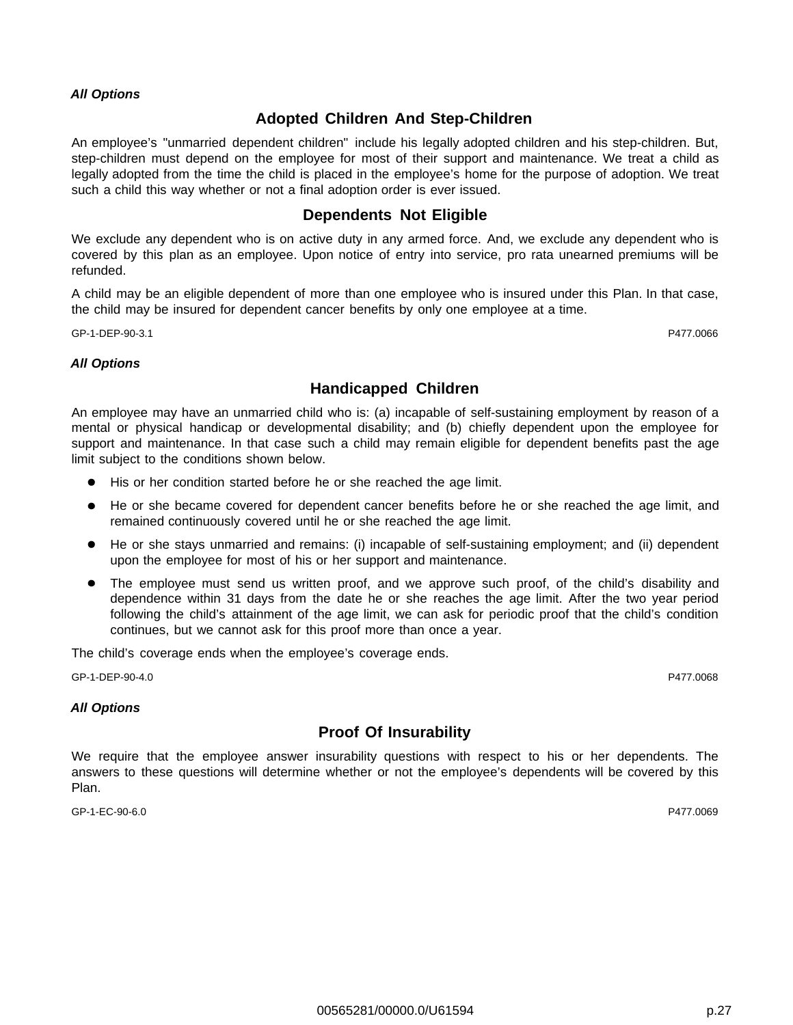## **Adopted Children And Step-Children**

An employee's "unmarried dependent children" include his legally adopted children and his step-children. But, step-children must depend on the employee for most of their support and maintenance. We treat a child as legally adopted from the time the child is placed in the employee's home for the purpose of adoption. We treat such a child this way whether or not a final adoption order is ever issued.

## **Dependents Not Eligible**

We exclude any dependent who is on active duty in any armed force. And, we exclude any dependent who is covered by this plan as an employee. Upon notice of entry into service, pro rata unearned premiums will be refunded.

A child may be an eligible dependent of more than one employee who is insured under this Plan. In that case, the child may be insured for dependent cancer benefits by only one employee at a time.

GP-1-DEP-90-3.1 P477.0066

#### **All Options**

## **Handicapped Children**

An employee may have an unmarried child who is: (a) incapable of self-sustaining employment by reason of a mental or physical handicap or developmental disability; and (b) chiefly dependent upon the employee for support and maintenance. In that case such a child may remain eligible for dependent benefits past the age limit subject to the conditions shown below.

- His or her condition started before he or she reached the age limit.
- He or she became covered for dependent cancer benefits before he or she reached the age limit, and remained continuously covered until he or she reached the age limit.
- He or she stays unmarried and remains: (i) incapable of self-sustaining employment; and (ii) dependent  $\bullet$ upon the employee for most of his or her support and maintenance.
- The employee must send us written proof, and we approve such proof, of the child's disability and dependence within 31 days from the date he or she reaches the age limit. After the two year period following the child's attainment of the age limit, we can ask for periodic proof that the child's condition continues, but we cannot ask for this proof more than once a year.

The child's coverage ends when the employee's coverage ends.

GP-1-DEP-90-4.0 P477.0068

## **All Options**

## **Proof Of Insurability**

We require that the employee answer insurability questions with respect to his or her dependents. The answers to these questions will determine whether or not the employee's dependents will be covered by this Plan.

GP-1-EC-90-6.0 P477.0069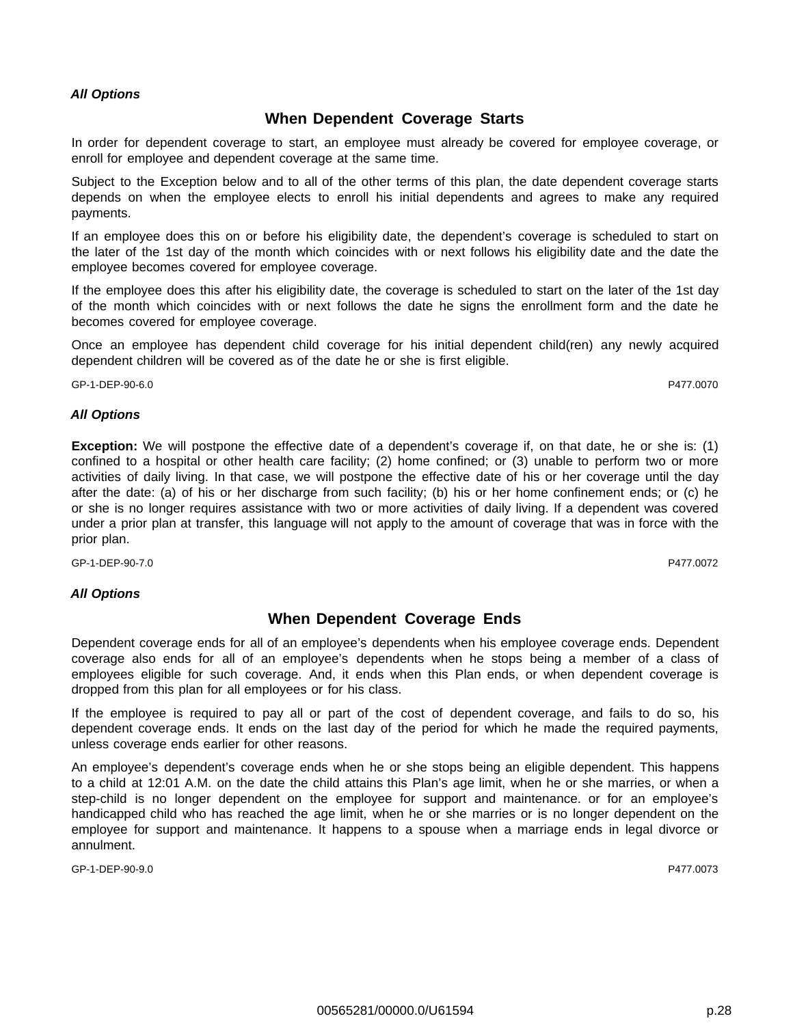## **When Dependent Coverage Starts**

In order for dependent coverage to start, an employee must already be covered for employee coverage, or enroll for employee and dependent coverage at the same time.

Subject to the Exception below and to all of the other terms of this plan, the date dependent coverage starts depends on when the employee elects to enroll his initial dependents and agrees to make any required payments.

If an employee does this on or before his eligibility date, the dependent's coverage is scheduled to start on the later of the 1st day of the month which coincides with or next follows his eligibility date and the date the employee becomes covered for employee coverage.

If the employee does this after his eligibility date, the coverage is scheduled to start on the later of the 1st day of the month which coincides with or next follows the date he signs the enrollment form and the date he becomes covered for employee coverage.

Once an employee has dependent child coverage for his initial dependent child(ren) any newly acquired dependent children will be covered as of the date he or she is first eligible.

GP-1-DEP-90-6.0 P477.0070

#### **All Options**

**Exception:** We will postpone the effective date of a dependent's coverage if, on that date, he or she is: (1) confined to a hospital or other health care facility; (2) home confined; or (3) unable to perform two or more activities of daily living. In that case, we will postpone the effective date of his or her coverage until the day after the date: (a) of his or her discharge from such facility; (b) his or her home confinement ends; or (c) he or she is no longer requires assistance with two or more activities of daily living. If a dependent was covered under a prior plan at transfer, this language will not apply to the amount of coverage that was in force with the prior plan.

GP-1-DEP-90-7.0 P477.0072

## **All Options**

## **When Dependent Coverage Ends**

Dependent coverage ends for all of an employee's dependents when his employee coverage ends. Dependent coverage also ends for all of an employee's dependents when he stops being a member of a class of employees eligible for such coverage. And, it ends when this Plan ends, or when dependent coverage is dropped from this plan for all employees or for his class.

If the employee is required to pay all or part of the cost of dependent coverage, and fails to do so, his dependent coverage ends. It ends on the last day of the period for which he made the required payments, unless coverage ends earlier for other reasons.

An employee's dependent's coverage ends when he or she stops being an eligible dependent. This happens to a child at 12:01 A.M. on the date the child attains this Plan's age limit, when he or she marries, or when a step-child is no longer dependent on the employee for support and maintenance. or for an employee's handicapped child who has reached the age limit, when he or she marries or is no longer dependent on the employee for support and maintenance. It happens to a spouse when a marriage ends in legal divorce or annulment.

GP-1-DEP-90-9.0 P477.0073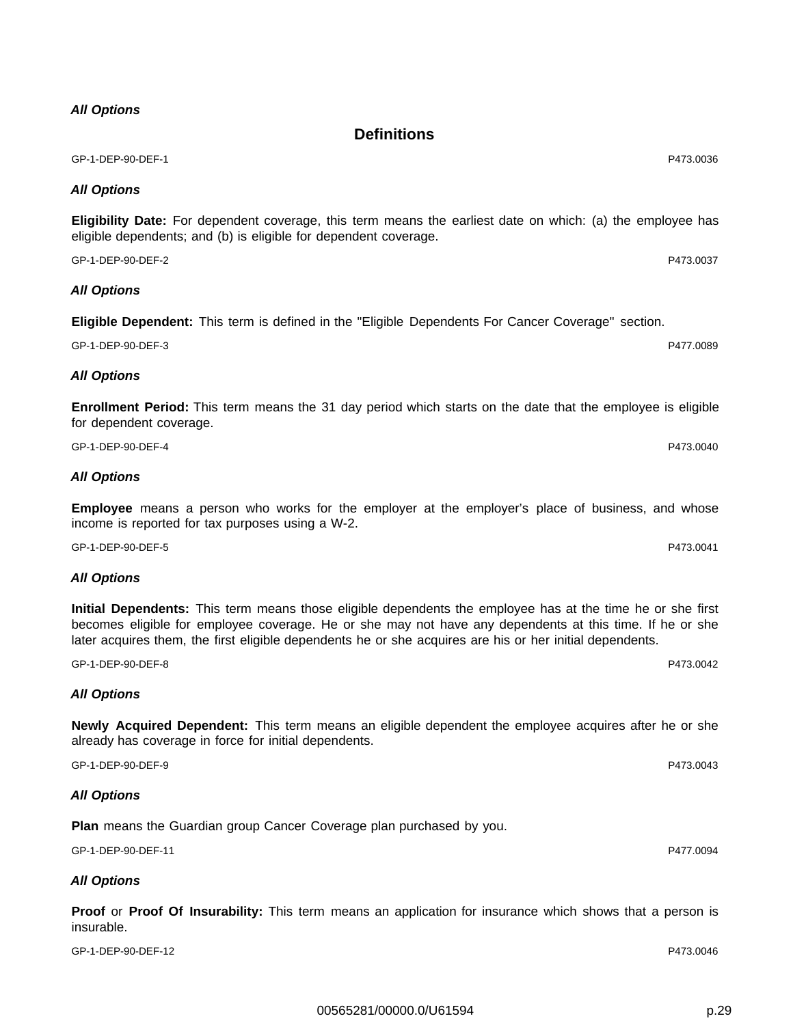GP-1-DEP-90-DEF-1 P473.0036

#### **All Options**

**Eligibility Date:** For dependent coverage, this term means the earliest date on which: (a) the employee has eligible dependents; and (b) is eligible for dependent coverage.

**Definitions**

GP-1-DEP-90-DEF-2 P473.0037

## **All Options**

**Eligible Dependent:** This term is defined in the "Eligible Dependents For Cancer Coverage" section.

GP-1-DEP-90-DEF-3 P477.0089

## **All Options**

**Enrollment Period:** This term means the 31 day period which starts on the date that the employee is eligible for dependent coverage.

GP-1-DEP-90-DEF-4 P473.0040

## **All Options**

**Employee** means a person who works for the employer at the employer's place of business, and whose income is reported for tax purposes using a W-2.

GP-1-DEP-90-DEF-5 P473.0041

## **All Options**

**Initial Dependents:** This term means those eligible dependents the employee has at the time he or she first becomes eligible for employee coverage. He or she may not have any dependents at this time. If he or she later acquires them, the first eligible dependents he or she acquires are his or her initial dependents.

GP-1-DEP-90-DEF-8 P473.0042

## **All Options**

**Newly Acquired Dependent:** This term means an eligible dependent the employee acquires after he or she already has coverage in force for initial dependents.

GP-1-DEP-90-DEF-9 P473.0043

## **All Options**

**Plan** means the Guardian group Cancer Coverage plan purchased by you.

GP-1-DEP-90-DEF-11 P477.0094

## **All Options**

**Proof** or **Proof Of Insurability:** This term means an application for insurance which shows that a person is insurable.

GP-1-DEP-90-DEF-12 P473.0046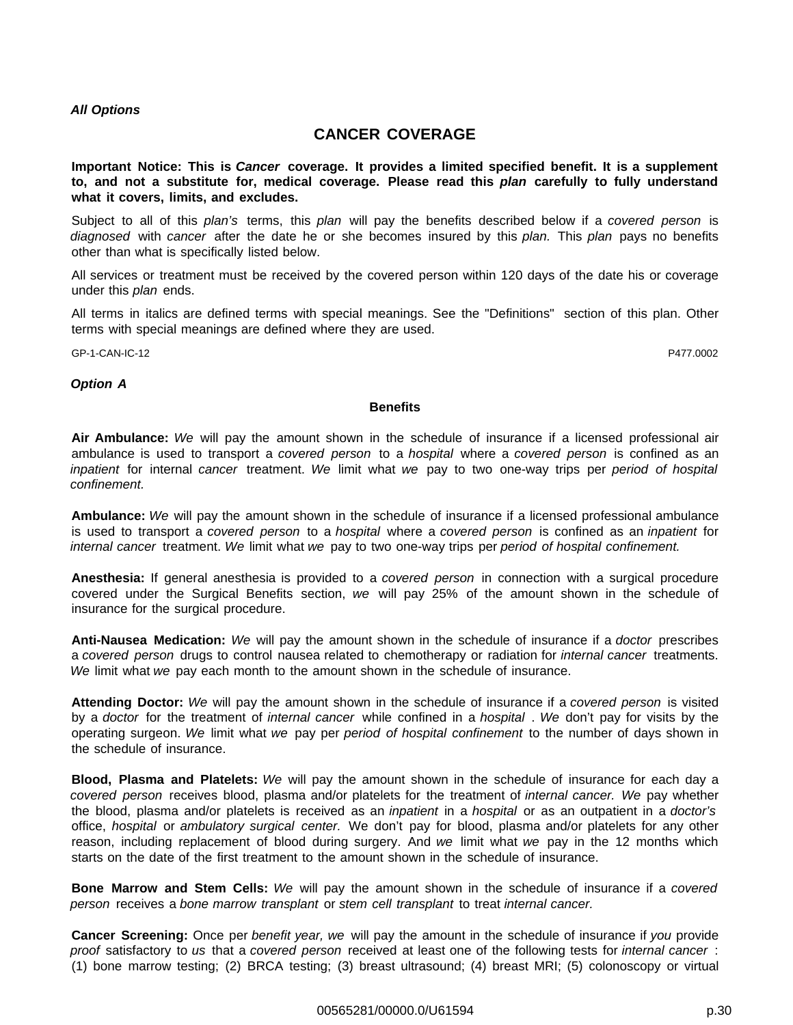## **CANCER COVERAGE**

**Important Notice: This is Cancer coverage. It provides a limited specified benefit. It is a supplement to, and not a substitute for, medical coverage. Please read this plan carefully to fully understand what it covers, limits, and excludes.**

Subject to all of this plan's terms, this plan will pay the benefits described below if a covered person is diagnosed with cancer after the date he or she becomes insured by this plan. This plan pays no benefits other than what is specifically listed below.

All services or treatment must be received by the covered person within 120 days of the date his or coverage under this plan ends.

All terms in italics are defined terms with special meanings. See the "Definitions" section of this plan. Other terms with special meanings are defined where they are used.

GP-1-CAN-IC-12 P477.0002

#### **Option A**

#### **Benefits**

**Air Ambulance:** We will pay the amount shown in the schedule of insurance if a licensed professional air ambulance is used to transport a covered person to a hospital where a covered person is confined as an inpatient for internal cancer treatment. We limit what we pay to two one-way trips per period of hospital confinement.

**Ambulance:** We will pay the amount shown in the schedule of insurance if a licensed professional ambulance is used to transport a covered person to a hospital where a covered person is confined as an inpatient for internal cancer treatment. We limit what we pay to two one-way trips per period of hospital confinement.

**Anesthesia:** If general anesthesia is provided to a covered person in connection with a surgical procedure covered under the Surgical Benefits section, we will pay 25% of the amount shown in the schedule of insurance for the surgical procedure.

**Anti-Nausea Medication:** We will pay the amount shown in the schedule of insurance if a doctor prescribes a covered person drugs to control nausea related to chemotherapy or radiation for internal cancer treatments. We limit what we pay each month to the amount shown in the schedule of insurance.

**Attending Doctor:** We will pay the amount shown in the schedule of insurance if a covered person is visited by a doctor for the treatment of internal cancer while confined in a hospital. We don't pay for visits by the operating surgeon. We limit what we pay per period of hospital confinement to the number of days shown in the schedule of insurance.

**Blood, Plasma and Platelets:** We will pay the amount shown in the schedule of insurance for each day a covered person receives blood, plasma and/or platelets for the treatment of internal cancer. We pay whether the blood, plasma and/or platelets is received as an *inpatient* in a hospital or as an outpatient in a doctor's office, hospital or ambulatory surgical center. We don't pay for blood, plasma and/or platelets for any other reason, including replacement of blood during surgery. And we limit what we pay in the 12 months which starts on the date of the first treatment to the amount shown in the schedule of insurance.

**Bone Marrow and Stem Cells:** We will pay the amount shown in the schedule of insurance if a covered person receives a bone marrow transplant or stem cell transplant to treat internal cancer.

**Cancer Screening:** Once per benefit year, we will pay the amount in the schedule of insurance if you provide proof satisfactory to us that a covered person received at least one of the following tests for internal cancer: (1) bone marrow testing; (2) BRCA testing; (3) breast ultrasound; (4) breast MRI; (5) colonoscopy or virtual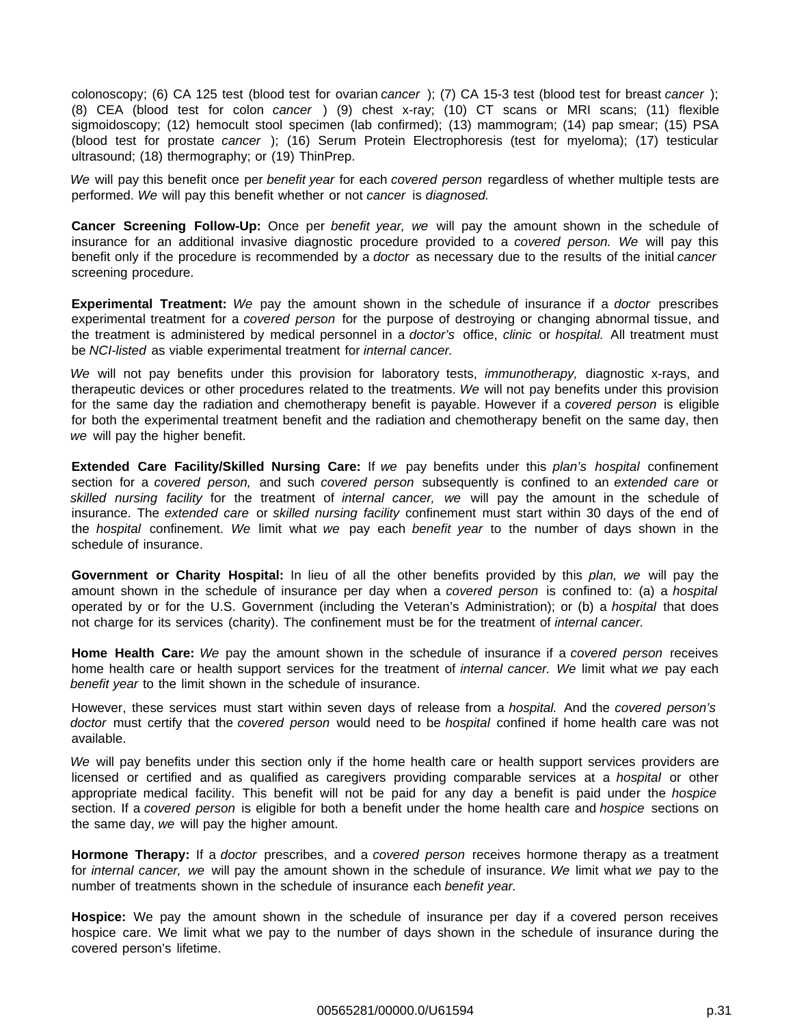colonoscopy; (6) CA 125 test (blood test for ovarian cancer); (7) CA 15-3 test (blood test for breast cancer); (8) CEA (blood test for colon cancer ) (9) chest x-ray; (10) CT scans or MRI scans; (11) flexible sigmoidoscopy; (12) hemocult stool specimen (lab confirmed); (13) mammogram; (14) pap smear; (15) PSA (blood test for prostate cancer ); (16) Serum Protein Electrophoresis (test for myeloma); (17) testicular ultrasound; (18) thermography; or (19) ThinPrep.

We will pay this benefit once per benefit year for each covered person regardless of whether multiple tests are performed. We will pay this benefit whether or not cancer is diagnosed.

**Cancer Screening Follow-Up:** Once per benefit year, we will pay the amount shown in the schedule of insurance for an additional invasive diagnostic procedure provided to a covered person. We will pay this benefit only if the procedure is recommended by a *doctor* as necessary due to the results of the initial cancer screening procedure.

**Experimental Treatment:** We pay the amount shown in the schedule of insurance if a doctor prescribes experimental treatment for a covered person for the purpose of destroying or changing abnormal tissue, and the treatment is administered by medical personnel in a doctor's office, clinic or hospital. All treatment must be NCI-listed as viable experimental treatment for internal cancer.

We will not pay benefits under this provision for laboratory tests, *immunotherapy*, diagnostic x-rays, and therapeutic devices or other procedures related to the treatments. We will not pay benefits under this provision for the same day the radiation and chemotherapy benefit is payable. However if a covered person is eligible for both the experimental treatment benefit and the radiation and chemotherapy benefit on the same day, then we will pay the higher benefit.

**Extended Care Facility/Skilled Nursing Care:** If we pay benefits under this plan's hospital confinement section for a covered person, and such covered person subsequently is confined to an extended care or skilled nursing facility for the treatment of internal cancer, we will pay the amount in the schedule of insurance. The extended care or skilled nursing facility confinement must start within 30 days of the end of the *hospital* confinement. We limit what we pay each benefit year to the number of days shown in the schedule of insurance.

**Government or Charity Hospital:** In lieu of all the other benefits provided by this plan, we will pay the amount shown in the schedule of insurance per day when a covered person is confined to: (a) a hospital operated by or for the U.S. Government (including the Veteran's Administration); or (b) a *hospital* that does not charge for its services (charity). The confinement must be for the treatment of internal cancer.

**Home Health Care:** We pay the amount shown in the schedule of insurance if a covered person receives home health care or health support services for the treatment of *internal cancer.* We limit what we pay each benefit year to the limit shown in the schedule of insurance.

However, these services must start within seven days of release from a hospital. And the covered person's doctor must certify that the covered person would need to be hospital confined if home health care was not available.

We will pay benefits under this section only if the home health care or health support services providers are licensed or certified and as qualified as caregivers providing comparable services at a hospital or other appropriate medical facility. This benefit will not be paid for any day a benefit is paid under the hospice section. If a covered person is eligible for both a benefit under the home health care and hospice sections on the same day, we will pay the higher amount.

**Hormone Therapy:** If a doctor prescribes, and a covered person receives hormone therapy as a treatment for *internal cancer*, we will pay the amount shown in the schedule of insurance. We limit what we pay to the number of treatments shown in the schedule of insurance each benefit year.

**Hospice:** We pay the amount shown in the schedule of insurance per day if a covered person receives hospice care. We limit what we pay to the number of days shown in the schedule of insurance during the covered person's lifetime.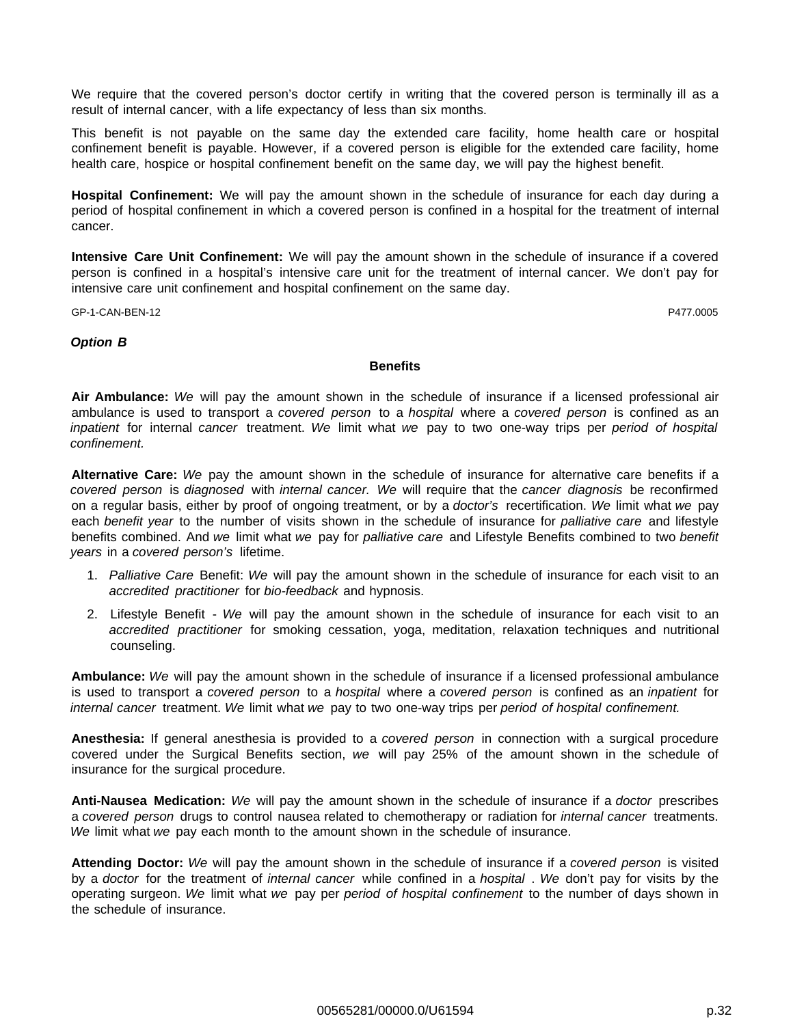We require that the covered person's doctor certify in writing that the covered person is terminally ill as a result of internal cancer, with a life expectancy of less than six months.

This benefit is not payable on the same day the extended care facility, home health care or hospital confinement benefit is payable. However, if a covered person is eligible for the extended care facility, home health care, hospice or hospital confinement benefit on the same day, we will pay the highest benefit.

**Hospital Confinement:** We will pay the amount shown in the schedule of insurance for each day during a period of hospital confinement in which a covered person is confined in a hospital for the treatment of internal cancer.

**Intensive Care Unit Confinement:** We will pay the amount shown in the schedule of insurance if a covered person is confined in a hospital's intensive care unit for the treatment of internal cancer. We don't pay for intensive care unit confinement and hospital confinement on the same day.

GP-1-CAN-BEN-12 P477.0005

#### **Option B**

#### **Benefits**

**Air Ambulance:** We will pay the amount shown in the schedule of insurance if a licensed professional air ambulance is used to transport a covered person to a hospital where a covered person is confined as an inpatient for internal cancer treatment. We limit what we pay to two one-way trips per period of hospital confinement.

**Alternative Care:** We pay the amount shown in the schedule of insurance for alternative care benefits if a covered person is diagnosed with internal cancer. We will require that the cancer diagnosis be reconfirmed on a regular basis, either by proof of ongoing treatment, or by a doctor's recertification. We limit what we pay each benefit year to the number of visits shown in the schedule of insurance for palliative care and lifestyle benefits combined. And we limit what we pay for palliative care and Lifestyle Benefits combined to two benefit years in a covered person's lifetime.

- 1. Palliative Care Benefit: We will pay the amount shown in the schedule of insurance for each visit to an accredited practitioner for bio-feedback and hypnosis.
- 2. Lifestyle Benefit We will pay the amount shown in the schedule of insurance for each visit to an accredited practitioner for smoking cessation, yoga, meditation, relaxation techniques and nutritional counseling.

**Ambulance:** We will pay the amount shown in the schedule of insurance if a licensed professional ambulance is used to transport a covered person to a hospital where a covered person is confined as an inpatient for internal cancer treatment. We limit what we pay to two one-way trips per period of hospital confinement.

**Anesthesia:** If general anesthesia is provided to a covered person in connection with a surgical procedure covered under the Surgical Benefits section, we will pay 25% of the amount shown in the schedule of insurance for the surgical procedure.

**Anti-Nausea Medication:** We will pay the amount shown in the schedule of insurance if a doctor prescribes a covered person drugs to control nausea related to chemotherapy or radiation for internal cancer treatments. We limit what we pay each month to the amount shown in the schedule of insurance.

**Attending Doctor:** We will pay the amount shown in the schedule of insurance if a covered person is visited by a doctor for the treatment of *internal cancer* while confined in a *hospital*. We don't pay for visits by the operating surgeon. We limit what we pay per period of hospital confinement to the number of days shown in the schedule of insurance.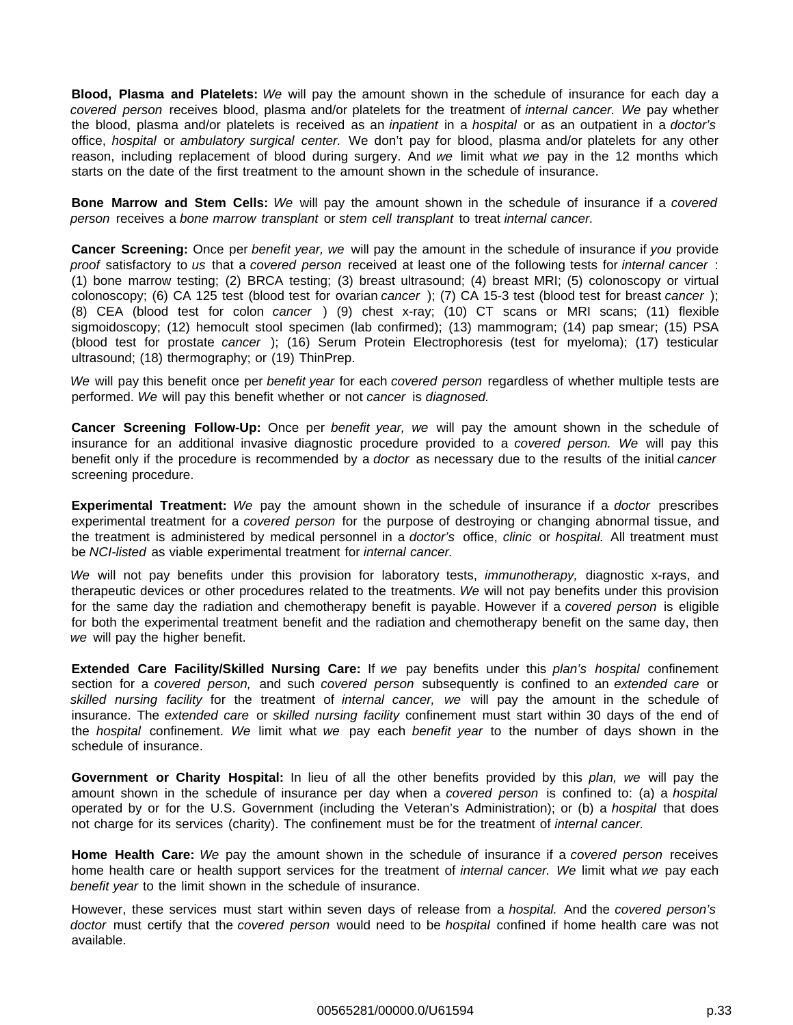**Blood, Plasma and Platelets:** We will pay the amount shown in the schedule of insurance for each day a covered person receives blood, plasma and/or platelets for the treatment of internal cancer. We pay whether the blood, plasma and/or platelets is received as an *inpatient* in a *hospital* or as an outpatient in a *doctor's* office, hospital or ambulatory surgical center. We don't pay for blood, plasma and/or platelets for any other reason, including replacement of blood during surgery. And we limit what we pay in the 12 months which starts on the date of the first treatment to the amount shown in the schedule of insurance.

**Bone Marrow and Stem Cells:** We will pay the amount shown in the schedule of insurance if a covered person receives a bone marrow transplant or stem cell transplant to treat internal cancer.

**Cancer Screening:** Once per benefit year, we will pay the amount in the schedule of insurance if you provide proof satisfactory to us that a covered person received at least one of the following tests for internal cancer: (1) bone marrow testing; (2) BRCA testing; (3) breast ultrasound; (4) breast MRI; (5) colonoscopy or virtual colonoscopy; (6) CA 125 test (blood test for ovarian cancer); (7) CA 15-3 test (blood test for breast cancer); (8) CEA (blood test for colon cancer ) (9) chest x-ray; (10) CT scans or MRI scans; (11) flexible sigmoidoscopy; (12) hemocult stool specimen (lab confirmed); (13) mammogram; (14) pap smear; (15) PSA (blood test for prostate cancer ); (16) Serum Protein Electrophoresis (test for myeloma); (17) testicular ultrasound; (18) thermography; or (19) ThinPrep.

We will pay this benefit once per benefit year for each covered person regardless of whether multiple tests are performed. We will pay this benefit whether or not cancer is diagnosed.

**Cancer Screening Follow-Up:** Once per benefit year, we will pay the amount shown in the schedule of insurance for an additional invasive diagnostic procedure provided to a covered person. We will pay this benefit only if the procedure is recommended by a *doctor* as necessary due to the results of the initial cancer screening procedure.

**Experimental Treatment:** We pay the amount shown in the schedule of insurance if a doctor prescribes experimental treatment for a covered person for the purpose of destroying or changing abnormal tissue, and the treatment is administered by medical personnel in a *doctor's* office, *clinic* or *hospital*. All treatment must be NCI-listed as viable experimental treatment for internal cancer.

We will not pay benefits under this provision for laboratory tests, *immunotherapy*, diagnostic x-rays, and therapeutic devices or other procedures related to the treatments. We will not pay benefits under this provision for the same day the radiation and chemotherapy benefit is payable. However if a covered person is eligible for both the experimental treatment benefit and the radiation and chemotherapy benefit on the same day, then we will pay the higher benefit.

**Extended Care Facility/Skilled Nursing Care:** If we pay benefits under this plan's hospital confinement section for a covered person, and such covered person subsequently is confined to an extended care or skilled nursing facility for the treatment of internal cancer, we will pay the amount in the schedule of insurance. The extended care or skilled nursing facility confinement must start within 30 days of the end of the *hospital* confinement. We limit what we pay each benefit year to the number of days shown in the schedule of insurance.

**Government or Charity Hospital:** In lieu of all the other benefits provided by this plan, we will pay the amount shown in the schedule of insurance per day when a covered person is confined to: (a) a hospital operated by or for the U.S. Government (including the Veteran's Administration); or (b) a hospital that does not charge for its services (charity). The confinement must be for the treatment of internal cancer.

**Home Health Care:** We pay the amount shown in the schedule of insurance if a covered person receives home health care or health support services for the treatment of *internal cancer.* We limit what we pay each benefit year to the limit shown in the schedule of insurance.

However, these services must start within seven days of release from a hospital. And the covered person's doctor must certify that the covered person would need to be hospital confined if home health care was not available.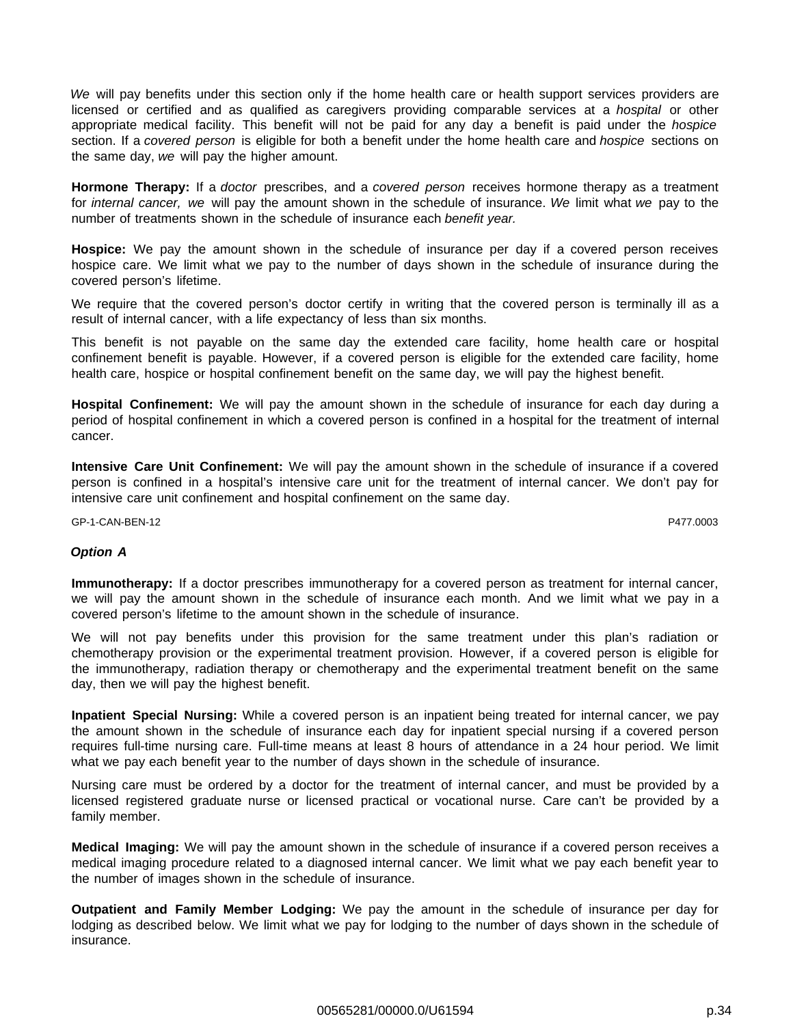We will pay benefits under this section only if the home health care or health support services providers are licensed or certified and as qualified as caregivers providing comparable services at a hospital or other appropriate medical facility. This benefit will not be paid for any day a benefit is paid under the hospice section. If a covered person is eligible for both a benefit under the home health care and hospice sections on the same day, we will pay the higher amount.

**Hormone Therapy:** If a doctor prescribes, and a covered person receives hormone therapy as a treatment for *internal cancer*, we will pay the amount shown in the schedule of insurance. We limit what we pay to the number of treatments shown in the schedule of insurance each benefit year.

**Hospice:** We pay the amount shown in the schedule of insurance per day if a covered person receives hospice care. We limit what we pay to the number of days shown in the schedule of insurance during the covered person's lifetime.

We require that the covered person's doctor certify in writing that the covered person is terminally ill as a result of internal cancer, with a life expectancy of less than six months.

This benefit is not payable on the same day the extended care facility, home health care or hospital confinement benefit is payable. However, if a covered person is eligible for the extended care facility, home health care, hospice or hospital confinement benefit on the same day, we will pay the highest benefit.

**Hospital Confinement:** We will pay the amount shown in the schedule of insurance for each day during a period of hospital confinement in which a covered person is confined in a hospital for the treatment of internal cancer.

**Intensive Care Unit Confinement:** We will pay the amount shown in the schedule of insurance if a covered person is confined in a hospital's intensive care unit for the treatment of internal cancer. We don't pay for intensive care unit confinement and hospital confinement on the same day.

GP-1-CAN-BEN-12 P477.0003

## **Option A**

**Immunotherapy:** If a doctor prescribes immunotherapy for a covered person as treatment for internal cancer, we will pay the amount shown in the schedule of insurance each month. And we limit what we pay in a covered person's lifetime to the amount shown in the schedule of insurance.

We will not pay benefits under this provision for the same treatment under this plan's radiation or chemotherapy provision or the experimental treatment provision. However, if a covered person is eligible for the immunotherapy, radiation therapy or chemotherapy and the experimental treatment benefit on the same day, then we will pay the highest benefit.

**Inpatient Special Nursing:** While a covered person is an inpatient being treated for internal cancer, we pay the amount shown in the schedule of insurance each day for inpatient special nursing if a covered person requires full-time nursing care. Full-time means at least 8 hours of attendance in a 24 hour period. We limit what we pay each benefit year to the number of days shown in the schedule of insurance.

Nursing care must be ordered by a doctor for the treatment of internal cancer, and must be provided by a licensed registered graduate nurse or licensed practical or vocational nurse. Care can't be provided by a family member.

**Medical Imaging:** We will pay the amount shown in the schedule of insurance if a covered person receives a medical imaging procedure related to a diagnosed internal cancer. We limit what we pay each benefit year to the number of images shown in the schedule of insurance.

**Outpatient and Family Member Lodging:** We pay the amount in the schedule of insurance per day for lodging as described below. We limit what we pay for lodging to the number of days shown in the schedule of insurance.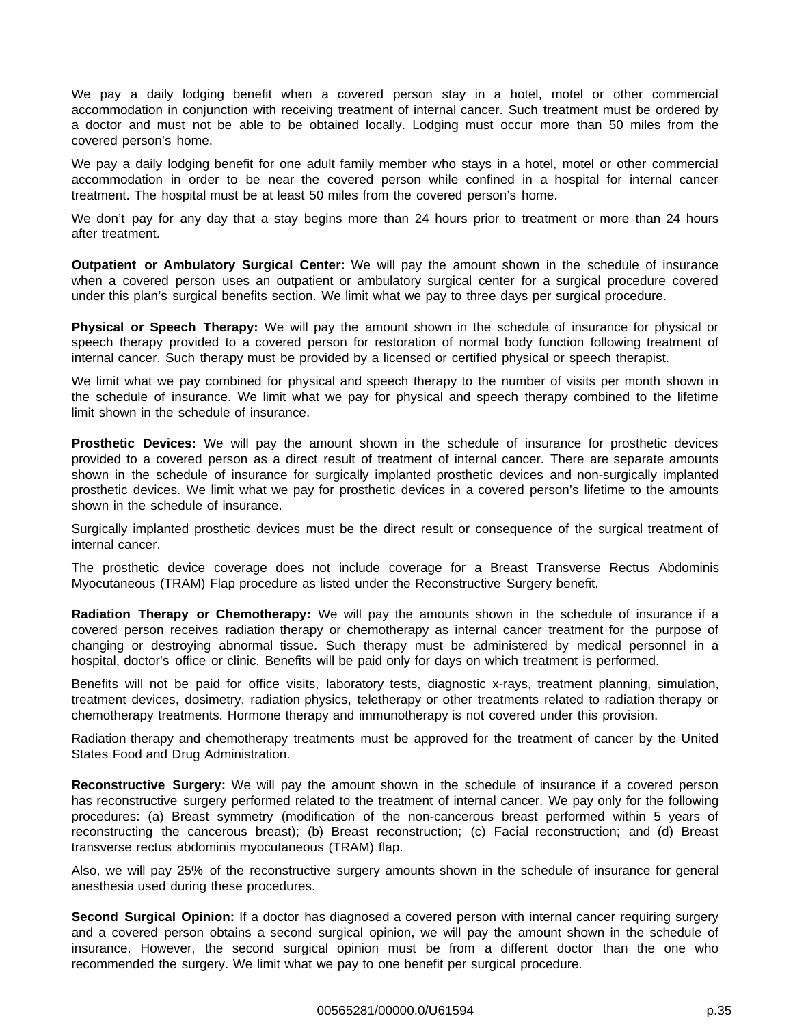We pay a daily lodging benefit when a covered person stay in a hotel, motel or other commercial accommodation in conjunction with receiving treatment of internal cancer. Such treatment must be ordered by a doctor and must not be able to be obtained locally. Lodging must occur more than 50 miles from the covered person's home.

We pay a daily lodging benefit for one adult family member who stays in a hotel, motel or other commercial accommodation in order to be near the covered person while confined in a hospital for internal cancer treatment. The hospital must be at least 50 miles from the covered person's home.

We don't pay for any day that a stay begins more than 24 hours prior to treatment or more than 24 hours after treatment.

**Outpatient or Ambulatory Surgical Center:** We will pay the amount shown in the schedule of insurance when a covered person uses an outpatient or ambulatory surgical center for a surgical procedure covered under this plan's surgical benefits section. We limit what we pay to three days per surgical procedure.

**Physical or Speech Therapy:** We will pay the amount shown in the schedule of insurance for physical or speech therapy provided to a covered person for restoration of normal body function following treatment of internal cancer. Such therapy must be provided by a licensed or certified physical or speech therapist.

We limit what we pay combined for physical and speech therapy to the number of visits per month shown in the schedule of insurance. We limit what we pay for physical and speech therapy combined to the lifetime limit shown in the schedule of insurance.

**Prosthetic Devices:** We will pay the amount shown in the schedule of insurance for prosthetic devices provided to a covered person as a direct result of treatment of internal cancer. There are separate amounts shown in the schedule of insurance for surgically implanted prosthetic devices and non-surgically implanted prosthetic devices. We limit what we pay for prosthetic devices in a covered person's lifetime to the amounts shown in the schedule of insurance.

Surgically implanted prosthetic devices must be the direct result or consequence of the surgical treatment of internal cancer.

The prosthetic device coverage does not include coverage for a Breast Transverse Rectus Abdominis Myocutaneous (TRAM) Flap procedure as listed under the Reconstructive Surgery benefit.

**Radiation Therapy or Chemotherapy:** We will pay the amounts shown in the schedule of insurance if a covered person receives radiation therapy or chemotherapy as internal cancer treatment for the purpose of changing or destroying abnormal tissue. Such therapy must be administered by medical personnel in a hospital, doctor's office or clinic. Benefits will be paid only for days on which treatment is performed.

Benefits will not be paid for office visits, laboratory tests, diagnostic x-rays, treatment planning, simulation, treatment devices, dosimetry, radiation physics, teletherapy or other treatments related to radiation therapy or chemotherapy treatments. Hormone therapy and immunotherapy is not covered under this provision.

Radiation therapy and chemotherapy treatments must be approved for the treatment of cancer by the United States Food and Drug Administration.

**Reconstructive Surgery:** We will pay the amount shown in the schedule of insurance if a covered person has reconstructive surgery performed related to the treatment of internal cancer. We pay only for the following procedures: (a) Breast symmetry (modification of the non-cancerous breast performed within 5 years of reconstructing the cancerous breast); (b) Breast reconstruction; (c) Facial reconstruction; and (d) Breast transverse rectus abdominis myocutaneous (TRAM) flap.

Also, we will pay 25% of the reconstructive surgery amounts shown in the schedule of insurance for general anesthesia used during these procedures.

**Second Surgical Opinion:** If a doctor has diagnosed a covered person with internal cancer requiring surgery and a covered person obtains a second surgical opinion, we will pay the amount shown in the schedule of insurance. However, the second surgical opinion must be from a different doctor than the one who recommended the surgery. We limit what we pay to one benefit per surgical procedure.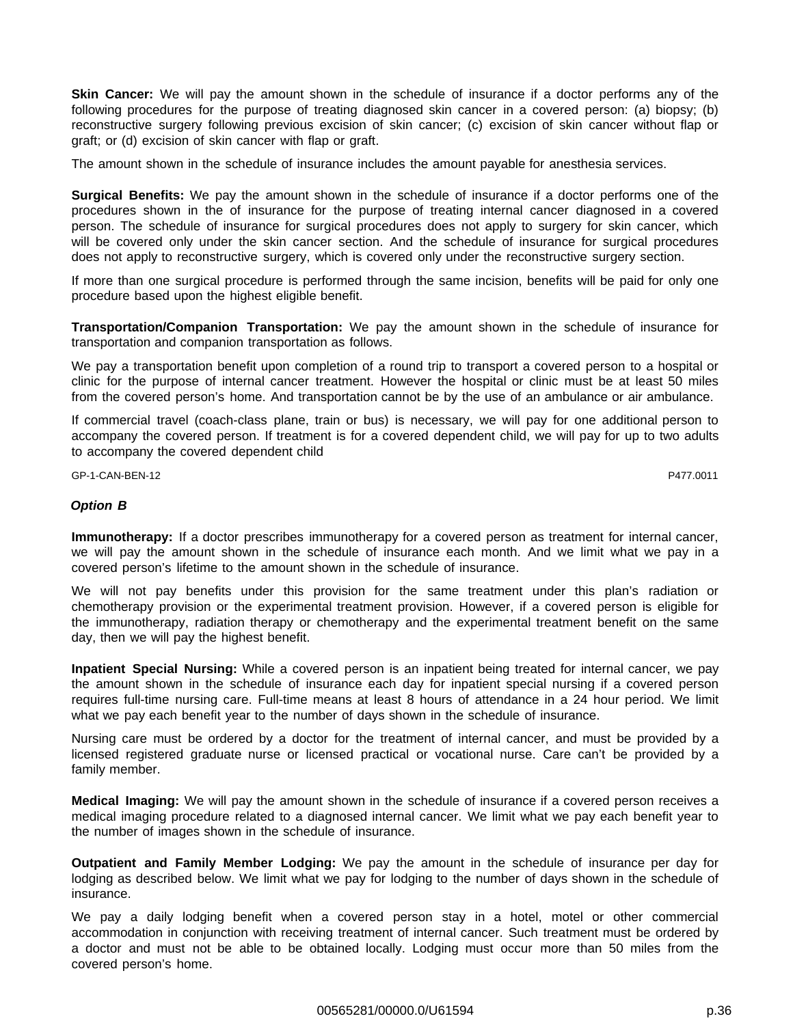**Skin Cancer:** We will pay the amount shown in the schedule of insurance if a doctor performs any of the following procedures for the purpose of treating diagnosed skin cancer in a covered person: (a) biopsy; (b) reconstructive surgery following previous excision of skin cancer; (c) excision of skin cancer without flap or graft; or (d) excision of skin cancer with flap or graft.

The amount shown in the schedule of insurance includes the amount payable for anesthesia services.

**Surgical Benefits:** We pay the amount shown in the schedule of insurance if a doctor performs one of the procedures shown in the of insurance for the purpose of treating internal cancer diagnosed in a covered person. The schedule of insurance for surgical procedures does not apply to surgery for skin cancer, which will be covered only under the skin cancer section. And the schedule of insurance for surgical procedures does not apply to reconstructive surgery, which is covered only under the reconstructive surgery section.

If more than one surgical procedure is performed through the same incision, benefits will be paid for only one procedure based upon the highest eligible benefit.

**Transportation/Companion Transportation:** We pay the amount shown in the schedule of insurance for transportation and companion transportation as follows.

We pay a transportation benefit upon completion of a round trip to transport a covered person to a hospital or clinic for the purpose of internal cancer treatment. However the hospital or clinic must be at least 50 miles from the covered person's home. And transportation cannot be by the use of an ambulance or air ambulance.

If commercial travel (coach-class plane, train or bus) is necessary, we will pay for one additional person to accompany the covered person. If treatment is for a covered dependent child, we will pay for up to two adults to accompany the covered dependent child

GP-1-CAN-BEN-12 P477.0011

#### **Option B**

**Immunotherapy:** If a doctor prescribes immunotherapy for a covered person as treatment for internal cancer, we will pay the amount shown in the schedule of insurance each month. And we limit what we pay in a covered person's lifetime to the amount shown in the schedule of insurance.

We will not pay benefits under this provision for the same treatment under this plan's radiation or chemotherapy provision or the experimental treatment provision. However, if a covered person is eligible for the immunotherapy, radiation therapy or chemotherapy and the experimental treatment benefit on the same day, then we will pay the highest benefit.

**Inpatient Special Nursing:** While a covered person is an inpatient being treated for internal cancer, we pay the amount shown in the schedule of insurance each day for inpatient special nursing if a covered person requires full-time nursing care. Full-time means at least 8 hours of attendance in a 24 hour period. We limit what we pay each benefit year to the number of days shown in the schedule of insurance.

Nursing care must be ordered by a doctor for the treatment of internal cancer, and must be provided by a licensed registered graduate nurse or licensed practical or vocational nurse. Care can't be provided by a family member.

**Medical Imaging:** We will pay the amount shown in the schedule of insurance if a covered person receives a medical imaging procedure related to a diagnosed internal cancer. We limit what we pay each benefit year to the number of images shown in the schedule of insurance.

**Outpatient and Family Member Lodging:** We pay the amount in the schedule of insurance per day for lodging as described below. We limit what we pay for lodging to the number of days shown in the schedule of insurance.

We pay a daily lodging benefit when a covered person stay in a hotel, motel or other commercial accommodation in conjunction with receiving treatment of internal cancer. Such treatment must be ordered by a doctor and must not be able to be obtained locally. Lodging must occur more than 50 miles from the covered person's home.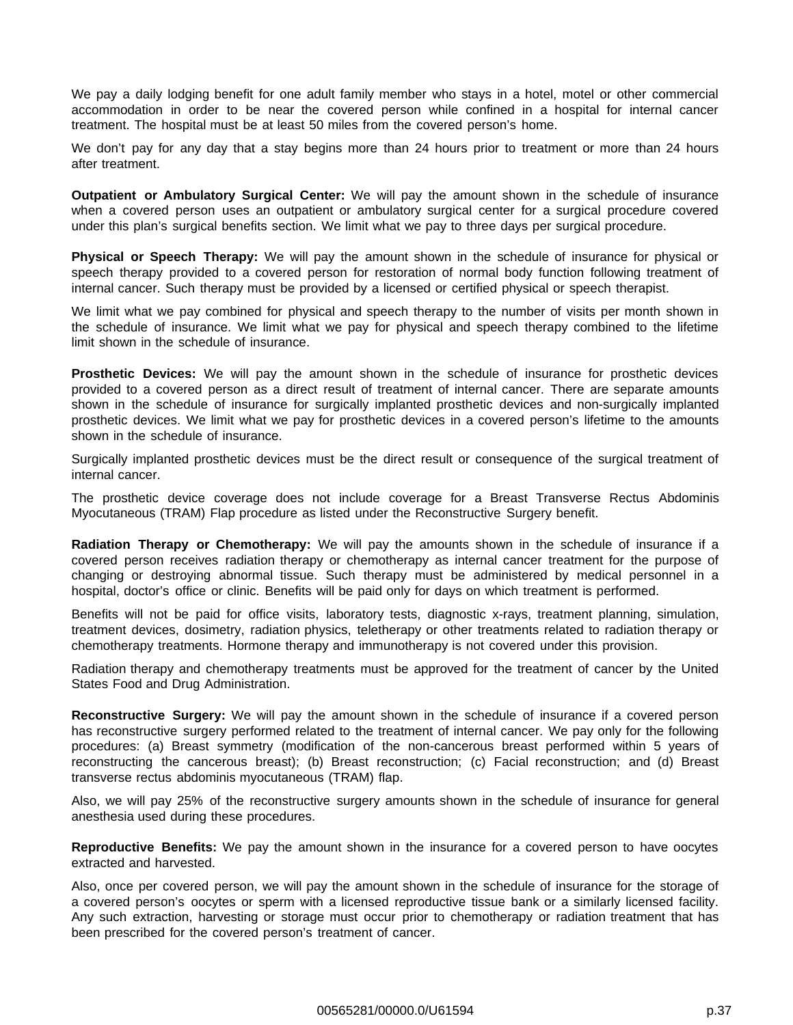We pay a daily lodging benefit for one adult family member who stays in a hotel, motel or other commercial accommodation in order to be near the covered person while confined in a hospital for internal cancer treatment. The hospital must be at least 50 miles from the covered person's home.

We don't pay for any day that a stay begins more than 24 hours prior to treatment or more than 24 hours after treatment.

**Outpatient or Ambulatory Surgical Center:** We will pay the amount shown in the schedule of insurance when a covered person uses an outpatient or ambulatory surgical center for a surgical procedure covered under this plan's surgical benefits section. We limit what we pay to three days per surgical procedure.

**Physical or Speech Therapy:** We will pay the amount shown in the schedule of insurance for physical or speech therapy provided to a covered person for restoration of normal body function following treatment of internal cancer. Such therapy must be provided by a licensed or certified physical or speech therapist.

We limit what we pay combined for physical and speech therapy to the number of visits per month shown in the schedule of insurance. We limit what we pay for physical and speech therapy combined to the lifetime limit shown in the schedule of insurance.

**Prosthetic Devices:** We will pay the amount shown in the schedule of insurance for prosthetic devices provided to a covered person as a direct result of treatment of internal cancer. There are separate amounts shown in the schedule of insurance for surgically implanted prosthetic devices and non-surgically implanted prosthetic devices. We limit what we pay for prosthetic devices in a covered person's lifetime to the amounts shown in the schedule of insurance.

Surgically implanted prosthetic devices must be the direct result or consequence of the surgical treatment of internal cancer.

The prosthetic device coverage does not include coverage for a Breast Transverse Rectus Abdominis Myocutaneous (TRAM) Flap procedure as listed under the Reconstructive Surgery benefit.

**Radiation Therapy or Chemotherapy:** We will pay the amounts shown in the schedule of insurance if a covered person receives radiation therapy or chemotherapy as internal cancer treatment for the purpose of changing or destroying abnormal tissue. Such therapy must be administered by medical personnel in a hospital, doctor's office or clinic. Benefits will be paid only for days on which treatment is performed.

Benefits will not be paid for office visits, laboratory tests, diagnostic x-rays, treatment planning, simulation, treatment devices, dosimetry, radiation physics, teletherapy or other treatments related to radiation therapy or chemotherapy treatments. Hormone therapy and immunotherapy is not covered under this provision.

Radiation therapy and chemotherapy treatments must be approved for the treatment of cancer by the United States Food and Drug Administration.

**Reconstructive Surgery:** We will pay the amount shown in the schedule of insurance if a covered person has reconstructive surgery performed related to the treatment of internal cancer. We pay only for the following procedures: (a) Breast symmetry (modification of the non-cancerous breast performed within 5 years of reconstructing the cancerous breast); (b) Breast reconstruction; (c) Facial reconstruction; and (d) Breast transverse rectus abdominis myocutaneous (TRAM) flap.

Also, we will pay 25% of the reconstructive surgery amounts shown in the schedule of insurance for general anesthesia used during these procedures.

**Reproductive Benefits:** We pay the amount shown in the insurance for a covered person to have oocytes extracted and harvested.

Also, once per covered person, we will pay the amount shown in the schedule of insurance for the storage of a covered person's oocytes or sperm with a licensed reproductive tissue bank or a similarly licensed facility. Any such extraction, harvesting or storage must occur prior to chemotherapy or radiation treatment that has been prescribed for the covered person's treatment of cancer.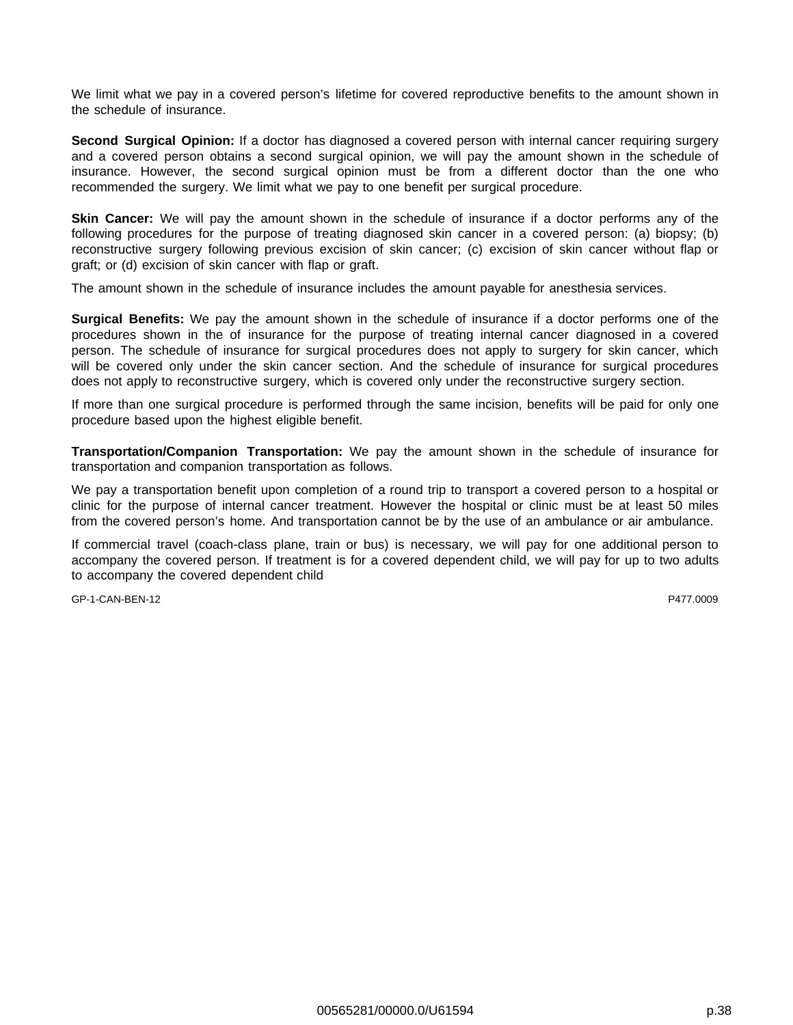We limit what we pay in a covered person's lifetime for covered reproductive benefits to the amount shown in the schedule of insurance.

**Second Surgical Opinion:** If a doctor has diagnosed a covered person with internal cancer requiring surgery and a covered person obtains a second surgical opinion, we will pay the amount shown in the schedule of insurance. However, the second surgical opinion must be from a different doctor than the one who recommended the surgery. We limit what we pay to one benefit per surgical procedure.

**Skin Cancer:** We will pay the amount shown in the schedule of insurance if a doctor performs any of the following procedures for the purpose of treating diagnosed skin cancer in a covered person: (a) biopsy; (b) reconstructive surgery following previous excision of skin cancer; (c) excision of skin cancer without flap or graft; or (d) excision of skin cancer with flap or graft.

The amount shown in the schedule of insurance includes the amount payable for anesthesia services.

**Surgical Benefits:** We pay the amount shown in the schedule of insurance if a doctor performs one of the procedures shown in the of insurance for the purpose of treating internal cancer diagnosed in a covered person. The schedule of insurance for surgical procedures does not apply to surgery for skin cancer, which will be covered only under the skin cancer section. And the schedule of insurance for surgical procedures does not apply to reconstructive surgery, which is covered only under the reconstructive surgery section.

If more than one surgical procedure is performed through the same incision, benefits will be paid for only one procedure based upon the highest eligible benefit.

**Transportation/Companion Transportation:** We pay the amount shown in the schedule of insurance for transportation and companion transportation as follows.

We pay a transportation benefit upon completion of a round trip to transport a covered person to a hospital or clinic for the purpose of internal cancer treatment. However the hospital or clinic must be at least 50 miles from the covered person's home. And transportation cannot be by the use of an ambulance or air ambulance.

If commercial travel (coach-class plane, train or bus) is necessary, we will pay for one additional person to accompany the covered person. If treatment is for a covered dependent child, we will pay for up to two adults to accompany the covered dependent child

GP-1-CAN-BEN-12 P477.0009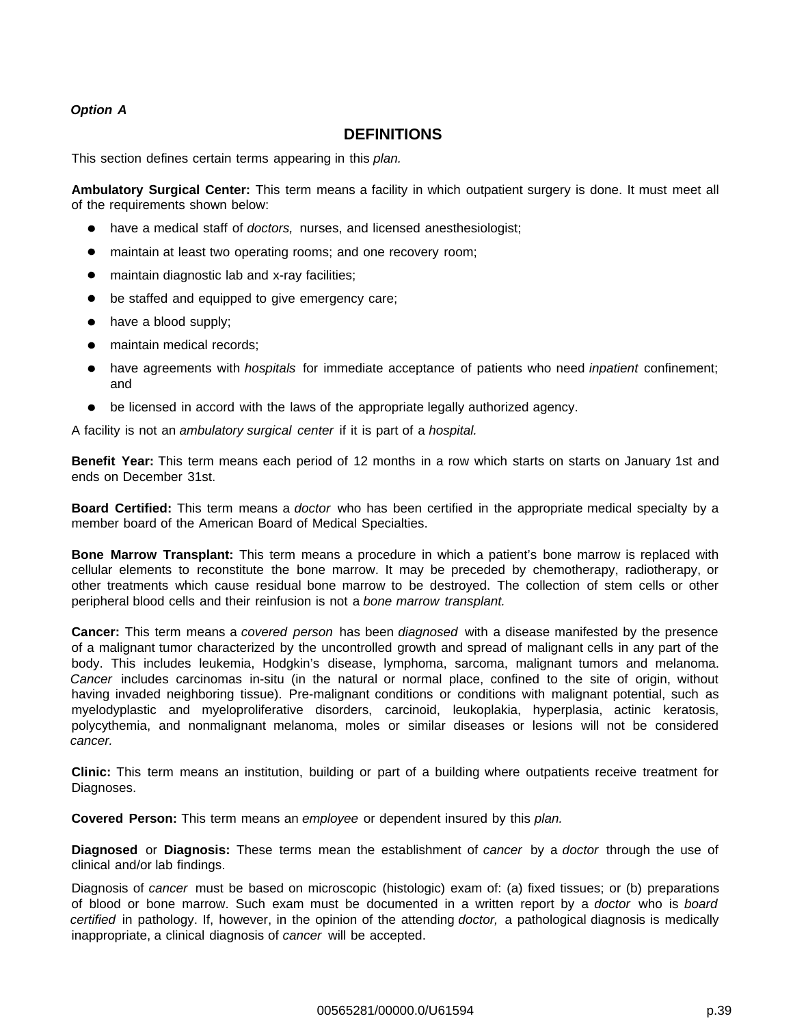## **Option A**

## **DEFINITIONS**

This section defines certain terms appearing in this plan.

**Ambulatory Surgical Center:** This term means a facility in which outpatient surgery is done. It must meet all of the requirements shown below:

- have a medical staff of doctors, nurses, and licensed anesthesiologist;  $\bullet$
- maintain at least two operating rooms; and one recovery room;
- maintain diagnostic lab and x-ray facilities;
- be staffed and equipped to give emergency care;
- have a blood supply;  $\bullet$
- maintain medical records;
- have agreements with *hospitals* for immediate acceptance of patients who need *inpatient* confinement; and
- be licensed in accord with the laws of the appropriate legally authorized agency.

A facility is not an ambulatory surgical center if it is part of a hospital.

**Benefit Year:** This term means each period of 12 months in a row which starts on starts on January 1st and ends on December 31st.

**Board Certified:** This term means a doctor who has been certified in the appropriate medical specialty by a member board of the American Board of Medical Specialties.

**Bone Marrow Transplant:** This term means a procedure in which a patient's bone marrow is replaced with cellular elements to reconstitute the bone marrow. It may be preceded by chemotherapy, radiotherapy, or other treatments which cause residual bone marrow to be destroyed. The collection of stem cells or other peripheral blood cells and their reinfusion is not a bone marrow transplant.

**Cancer:** This term means a covered person has been diagnosed with a disease manifested by the presence of a malignant tumor characterized by the uncontrolled growth and spread of malignant cells in any part of the body. This includes leukemia, Hodgkin's disease, lymphoma, sarcoma, malignant tumors and melanoma. Cancer includes carcinomas in-situ (in the natural or normal place, confined to the site of origin, without having invaded neighboring tissue). Pre-malignant conditions or conditions with malignant potential, such as myelodyplastic and myeloproliferative disorders, carcinoid, leukoplakia, hyperplasia, actinic keratosis, polycythemia, and nonmalignant melanoma, moles or similar diseases or lesions will not be considered cancer.

**Clinic:** This term means an institution, building or part of a building where outpatients receive treatment for Diagnoses.

**Covered Person:** This term means an employee or dependent insured by this plan.

**Diagnosed** or **Diagnosis:** These terms mean the establishment of cancer by a doctor through the use of clinical and/or lab findings.

Diagnosis of cancer must be based on microscopic (histologic) exam of: (a) fixed tissues; or (b) preparations of blood or bone marrow. Such exam must be documented in a written report by a doctor who is board certified in pathology. If, however, in the opinion of the attending doctor, a pathological diagnosis is medically inappropriate, a clinical diagnosis of cancer will be accepted.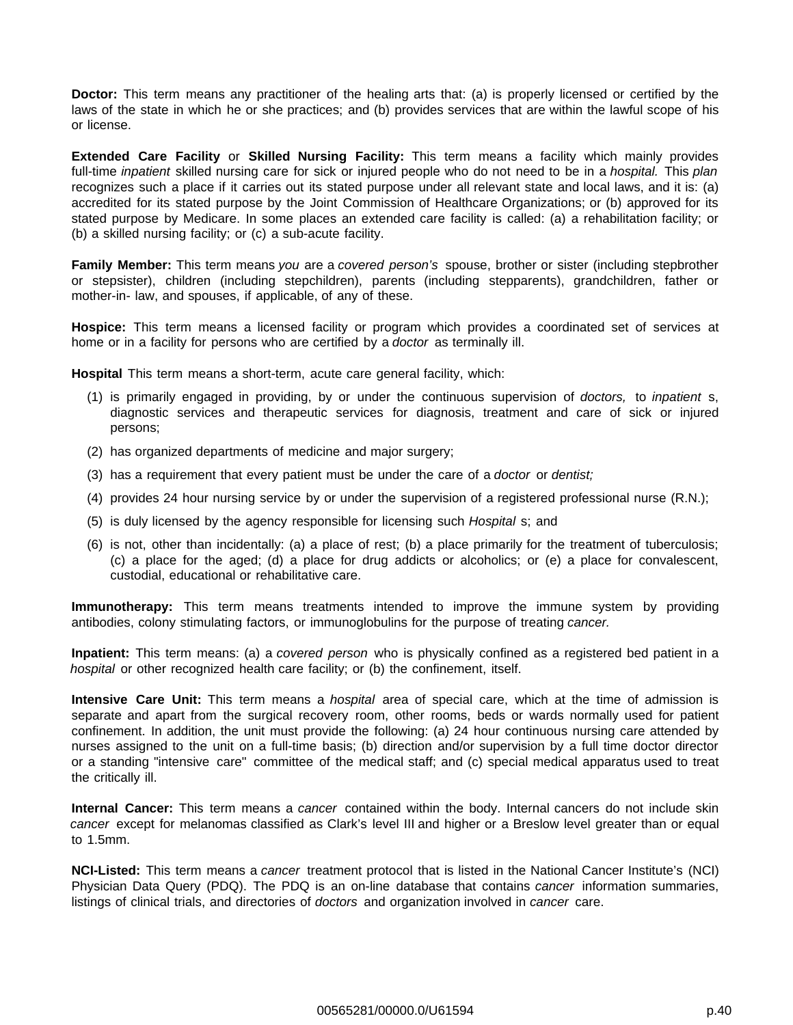**Doctor:** This term means any practitioner of the healing arts that: (a) is properly licensed or certified by the laws of the state in which he or she practices; and (b) provides services that are within the lawful scope of his or license.

**Extended Care Facility** or **Skilled Nursing Facility:** This term means a facility which mainly provides full-time inpatient skilled nursing care for sick or injured people who do not need to be in a hospital. This plan recognizes such a place if it carries out its stated purpose under all relevant state and local laws, and it is: (a) accredited for its stated purpose by the Joint Commission of Healthcare Organizations; or (b) approved for its stated purpose by Medicare. In some places an extended care facility is called: (a) a rehabilitation facility; or (b) a skilled nursing facility; or (c) a sub-acute facility.

**Family Member:** This term means you are a covered person's spouse, brother or sister (including stepbrother or stepsister), children (including stepchildren), parents (including stepparents), grandchildren, father or mother-in- law, and spouses, if applicable, of any of these.

**Hospice:** This term means a licensed facility or program which provides a coordinated set of services at home or in a facility for persons who are certified by a *doctor* as terminally ill.

**Hospital** This term means a short-term, acute care general facility, which:

- (1) is primarily engaged in providing, by or under the continuous supervision of doctors, to inpatient s, diagnostic services and therapeutic services for diagnosis, treatment and care of sick or injured persons;
- (2) has organized departments of medicine and major surgery;
- (3) has a requirement that every patient must be under the care of a *doctor* or *dentist*;
- (4) provides 24 hour nursing service by or under the supervision of a registered professional nurse (R.N.);
- (5) is duly licensed by the agency responsible for licensing such Hospital s; and
- (6) is not, other than incidentally: (a) a place of rest; (b) a place primarily for the treatment of tuberculosis; (c) a place for the aged; (d) a place for drug addicts or alcoholics; or (e) a place for convalescent, custodial, educational or rehabilitative care.

**Immunotherapy:** This term means treatments intended to improve the immune system by providing antibodies, colony stimulating factors, or immunoglobulins for the purpose of treating cancer.

**Inpatient:** This term means: (a) a covered person who is physically confined as a registered bed patient in a hospital or other recognized health care facility; or (b) the confinement, itself.

**Intensive Care Unit:** This term means a hospital area of special care, which at the time of admission is separate and apart from the surgical recovery room, other rooms, beds or wards normally used for patient confinement. In addition, the unit must provide the following: (a) 24 hour continuous nursing care attended by nurses assigned to the unit on a full-time basis; (b) direction and/or supervision by a full time doctor director or a standing "intensive care" committee of the medical staff; and (c) special medical apparatus used to treat the critically ill.

**Internal Cancer:** This term means a cancer contained within the body. Internal cancers do not include skin cancer except for melanomas classified as Clark's level III and higher or a Breslow level greater than or equal to 1.5mm.

**NCI-Listed:** This term means a cancer treatment protocol that is listed in the National Cancer Institute's (NCI) Physician Data Query (PDQ). The PDQ is an on-line database that contains *cancer* information summaries, listings of clinical trials, and directories of doctors and organization involved in cancer care.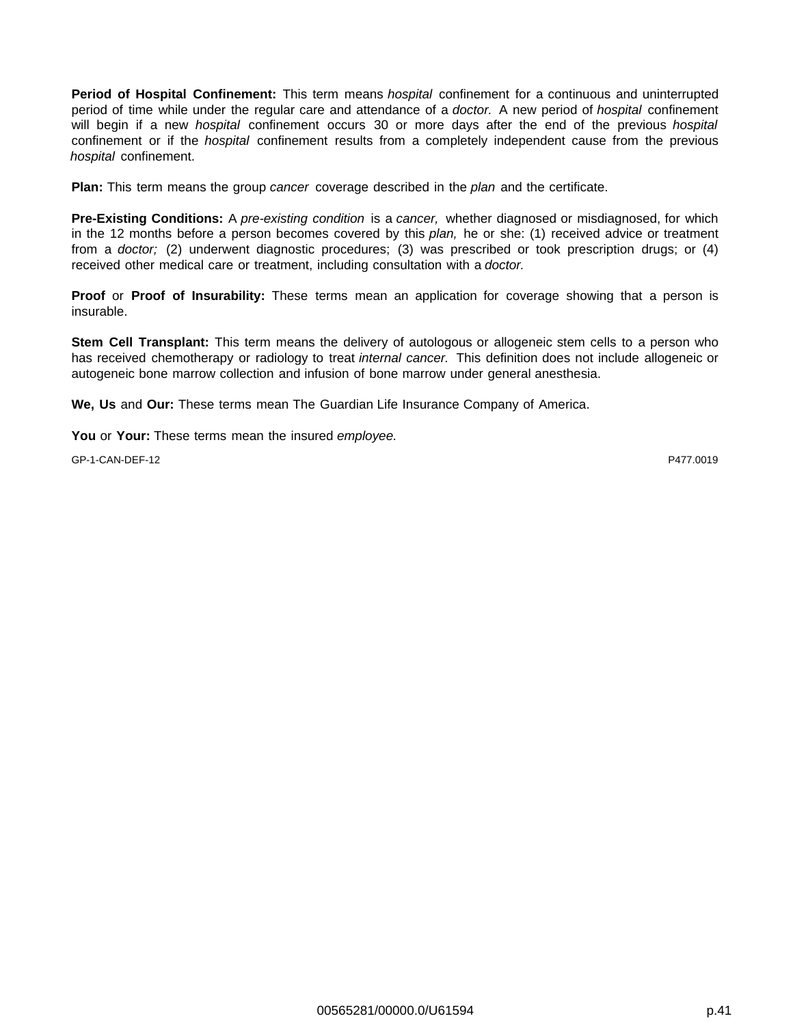**Period of Hospital Confinement:** This term means hospital confinement for a continuous and uninterrupted period of time while under the regular care and attendance of a *doctor*. A new period of *hospital* confinement will begin if a new *hospital* confinement occurs 30 or more days after the end of the previous hospital confinement or if the *hospital* confinement results from a completely independent cause from the previous hospital confinement.

**Plan:** This term means the group cancer coverage described in the plan and the certificate.

**Pre-Existing Conditions:** A pre-existing condition is a cancer, whether diagnosed or misdiagnosed, for which in the 12 months before a person becomes covered by this plan, he or she: (1) received advice or treatment from a doctor; (2) underwent diagnostic procedures; (3) was prescribed or took prescription drugs; or (4) received other medical care or treatment, including consultation with a doctor.

**Proof** or **Proof of Insurability:** These terms mean an application for coverage showing that a person is insurable.

**Stem Cell Transplant:** This term means the delivery of autologous or allogeneic stem cells to a person who has received chemotherapy or radiology to treat *internal cancer*. This definition does not include allogeneic or autogeneic bone marrow collection and infusion of bone marrow under general anesthesia.

**We, Us** and **Our:** These terms mean The Guardian Life Insurance Company of America.

**You** or **Your:** These terms mean the insured employee.

GP-1-CAN-DEF-12 P477.0019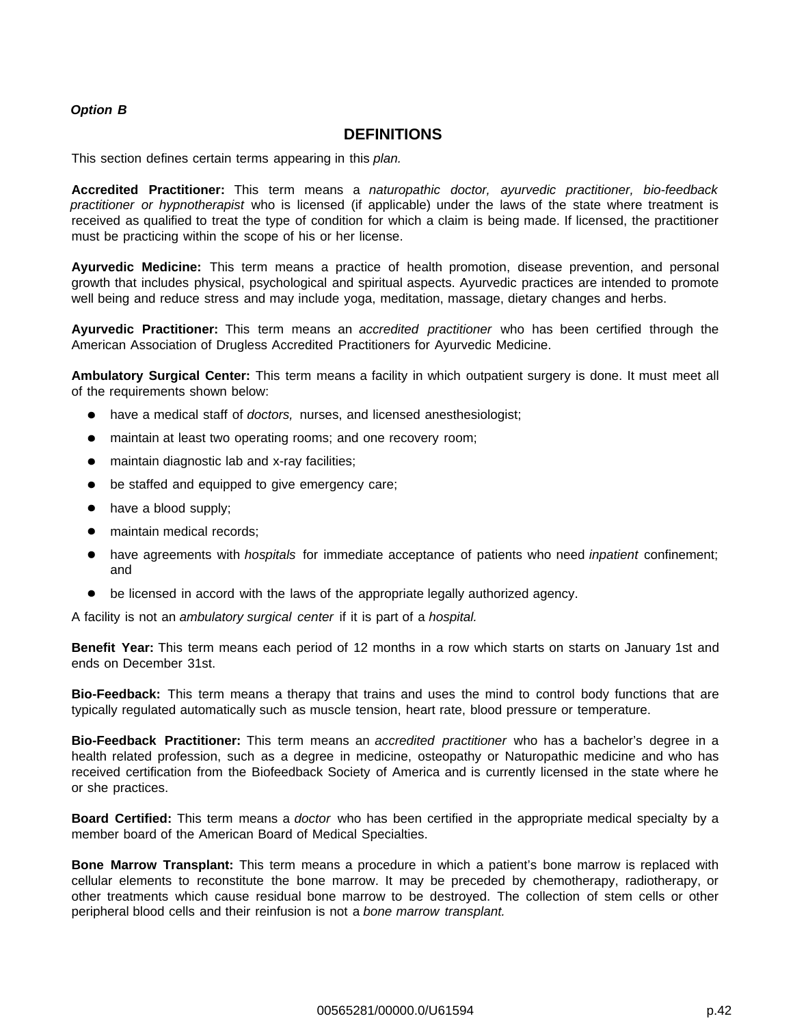## **Option B**

## **DEFINITIONS**

This section defines certain terms appearing in this plan.

**Accredited Practitioner:** This term means a naturopathic doctor, ayurvedic practitioner, bio-feedback practitioner or hypnotherapist who is licensed (if applicable) under the laws of the state where treatment is received as qualified to treat the type of condition for which a claim is being made. If licensed, the practitioner must be practicing within the scope of his or her license.

**Ayurvedic Medicine:** This term means a practice of health promotion, disease prevention, and personal growth that includes physical, psychological and spiritual aspects. Ayurvedic practices are intended to promote well being and reduce stress and may include yoga, meditation, massage, dietary changes and herbs.

**Ayurvedic Practitioner:** This term means an accredited practitioner who has been certified through the American Association of Drugless Accredited Practitioners for Ayurvedic Medicine.

**Ambulatory Surgical Center:** This term means a facility in which outpatient surgery is done. It must meet all of the requirements shown below:

- have a medical staff of doctors, nurses, and licensed anesthesiologist;
- maintain at least two operating rooms; and one recovery room;
- maintain diagnostic lab and x-ray facilities;
- be staffed and equipped to give emergency care;
- have a blood supply;
- maintain medical records;
- have agreements with *hospitals* for immediate acceptance of patients who need *inpatient* confinement; and
- be licensed in accord with the laws of the appropriate legally authorized agency.  $\bullet$

A facility is not an ambulatory surgical center if it is part of a hospital.

**Benefit Year:** This term means each period of 12 months in a row which starts on starts on January 1st and ends on December 31st.

**Bio-Feedback:** This term means a therapy that trains and uses the mind to control body functions that are typically regulated automatically such as muscle tension, heart rate, blood pressure or temperature.

**Bio-Feedback Practitioner:** This term means an accredited practitioner who has a bachelor's degree in a health related profession, such as a degree in medicine, osteopathy or Naturopathic medicine and who has received certification from the Biofeedback Society of America and is currently licensed in the state where he or she practices.

**Board Certified:** This term means a doctor who has been certified in the appropriate medical specialty by a member board of the American Board of Medical Specialties.

**Bone Marrow Transplant:** This term means a procedure in which a patient's bone marrow is replaced with cellular elements to reconstitute the bone marrow. It may be preceded by chemotherapy, radiotherapy, or other treatments which cause residual bone marrow to be destroyed. The collection of stem cells or other peripheral blood cells and their reinfusion is not a bone marrow transplant.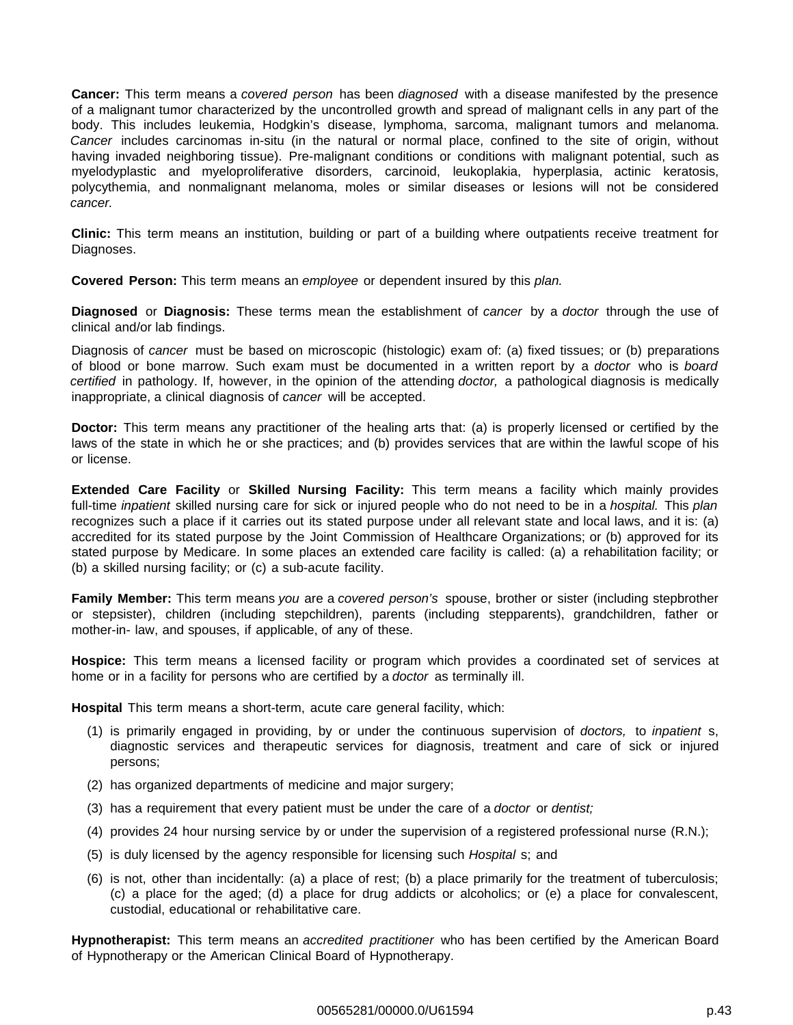**Cancer:** This term means a covered person has been diagnosed with a disease manifested by the presence of a malignant tumor characterized by the uncontrolled growth and spread of malignant cells in any part of the body. This includes leukemia, Hodgkin's disease, lymphoma, sarcoma, malignant tumors and melanoma. Cancer includes carcinomas in-situ (in the natural or normal place, confined to the site of origin, without having invaded neighboring tissue). Pre-malignant conditions or conditions with malignant potential, such as myelodyplastic and myeloproliferative disorders, carcinoid, leukoplakia, hyperplasia, actinic keratosis, polycythemia, and nonmalignant melanoma, moles or similar diseases or lesions will not be considered cancer.

**Clinic:** This term means an institution, building or part of a building where outpatients receive treatment for Diagnoses.

**Covered Person:** This term means an employee or dependent insured by this plan.

**Diagnosed** or **Diagnosis:** These terms mean the establishment of cancer by a doctor through the use of clinical and/or lab findings.

Diagnosis of cancer must be based on microscopic (histologic) exam of: (a) fixed tissues; or (b) preparations of blood or bone marrow. Such exam must be documented in a written report by a doctor who is board certified in pathology. If, however, in the opinion of the attending doctor, a pathological diagnosis is medically inappropriate, a clinical diagnosis of cancer will be accepted.

**Doctor:** This term means any practitioner of the healing arts that: (a) is properly licensed or certified by the laws of the state in which he or she practices; and (b) provides services that are within the lawful scope of his or license.

**Extended Care Facility** or **Skilled Nursing Facility:** This term means a facility which mainly provides full-time inpatient skilled nursing care for sick or injured people who do not need to be in a hospital. This plan recognizes such a place if it carries out its stated purpose under all relevant state and local laws, and it is: (a) accredited for its stated purpose by the Joint Commission of Healthcare Organizations; or (b) approved for its stated purpose by Medicare. In some places an extended care facility is called: (a) a rehabilitation facility; or (b) a skilled nursing facility; or (c) a sub-acute facility.

**Family Member:** This term means you are a covered person's spouse, brother or sister (including stepbrother or stepsister), children (including stepchildren), parents (including stepparents), grandchildren, father or mother-in- law, and spouses, if applicable, of any of these.

**Hospice:** This term means a licensed facility or program which provides a coordinated set of services at home or in a facility for persons who are certified by a doctor as terminally ill.

**Hospital** This term means a short-term, acute care general facility, which:

- (1) is primarily engaged in providing, by or under the continuous supervision of doctors, to inpatient s, diagnostic services and therapeutic services for diagnosis, treatment and care of sick or injured persons;
- (2) has organized departments of medicine and major surgery;
- (3) has a requirement that every patient must be under the care of a *doctor* or *dentist*;
- (4) provides 24 hour nursing service by or under the supervision of a registered professional nurse (R.N.);
- (5) is duly licensed by the agency responsible for licensing such Hospital s; and
- (6) is not, other than incidentally: (a) a place of rest; (b) a place primarily for the treatment of tuberculosis; (c) a place for the aged; (d) a place for drug addicts or alcoholics; or (e) a place for convalescent, custodial, educational or rehabilitative care.

**Hypnotherapist:** This term means an accredited practitioner who has been certified by the American Board of Hypnotherapy or the American Clinical Board of Hypnotherapy.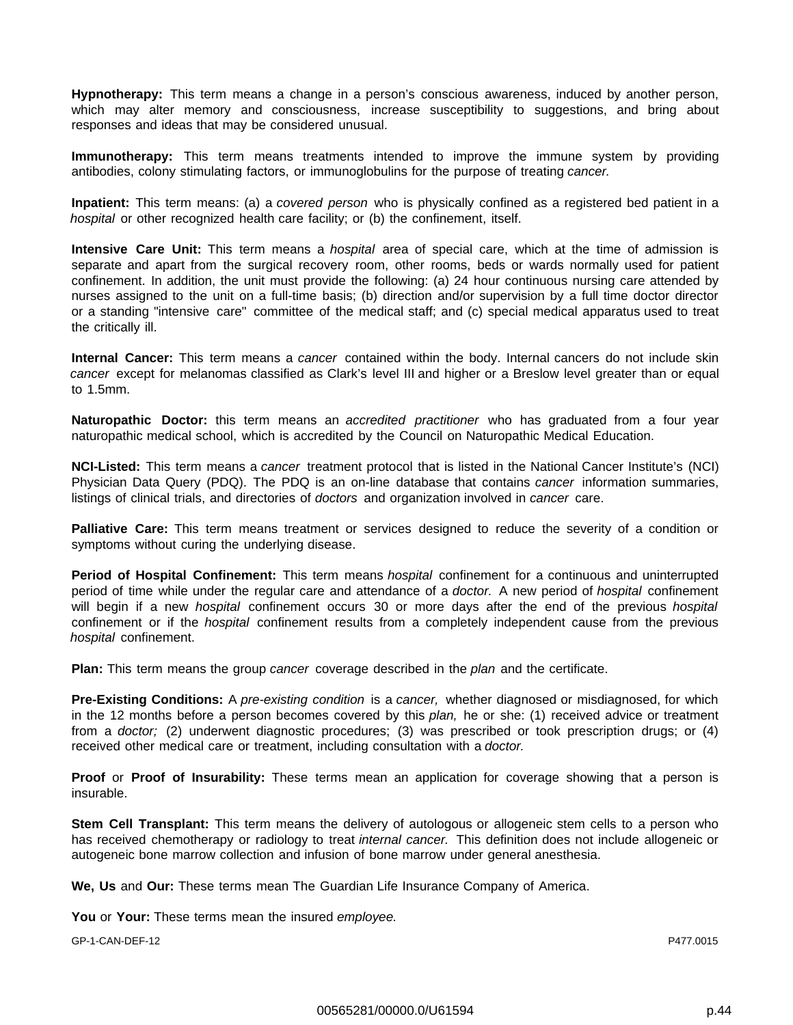**Hypnotherapy:** This term means a change in a person's conscious awareness, induced by another person, which may alter memory and consciousness, increase susceptibility to suggestions, and bring about responses and ideas that may be considered unusual.

**Immunotherapy:** This term means treatments intended to improve the immune system by providing antibodies, colony stimulating factors, or immunoglobulins for the purpose of treating cancer.

**Inpatient:** This term means: (a) a covered person who is physically confined as a registered bed patient in a hospital or other recognized health care facility; or (b) the confinement, itself.

**Intensive Care Unit:** This term means a hospital area of special care, which at the time of admission is separate and apart from the surgical recovery room, other rooms, beds or wards normally used for patient confinement. In addition, the unit must provide the following: (a) 24 hour continuous nursing care attended by nurses assigned to the unit on a full-time basis; (b) direction and/or supervision by a full time doctor director or a standing "intensive care" committee of the medical staff; and (c) special medical apparatus used to treat the critically ill.

**Internal Cancer:** This term means a cancer contained within the body. Internal cancers do not include skin cancer except for melanomas classified as Clark's level III and higher or a Breslow level greater than or equal to 1.5mm.

**Naturopathic Doctor:** this term means an accredited practitioner who has graduated from a four year naturopathic medical school, which is accredited by the Council on Naturopathic Medical Education.

**NCI-Listed:** This term means a cancer treatment protocol that is listed in the National Cancer Institute's (NCI) Physician Data Query (PDQ). The PDQ is an on-line database that contains cancer information summaries, listings of clinical trials, and directories of *doctors* and organization involved in cancer care.

**Palliative Care:** This term means treatment or services designed to reduce the severity of a condition or symptoms without curing the underlying disease.

**Period of Hospital Confinement:** This term means hospital confinement for a continuous and uninterrupted period of time while under the regular care and attendance of a *doctor*. A new period of *hospital* confinement will begin if a new hospital confinement occurs 30 or more days after the end of the previous hospital confinement or if the *hospital* confinement results from a completely independent cause from the previous hospital confinement.

**Plan:** This term means the group cancer coverage described in the plan and the certificate.

**Pre-Existing Conditions:** A pre-existing condition is a cancer, whether diagnosed or misdiagnosed, for which in the 12 months before a person becomes covered by this plan, he or she: (1) received advice or treatment from a doctor; (2) underwent diagnostic procedures; (3) was prescribed or took prescription drugs; or (4) received other medical care or treatment, including consultation with a doctor.

**Proof** or **Proof of Insurability:** These terms mean an application for coverage showing that a person is insurable.

**Stem Cell Transplant:** This term means the delivery of autologous or allogeneic stem cells to a person who has received chemotherapy or radiology to treat internal cancer. This definition does not include allogeneic or autogeneic bone marrow collection and infusion of bone marrow under general anesthesia.

**We, Us** and **Our:** These terms mean The Guardian Life Insurance Company of America.

**You** or **Your:** These terms mean the insured employee.

GP-1-CAN-DEF-12 P477.0015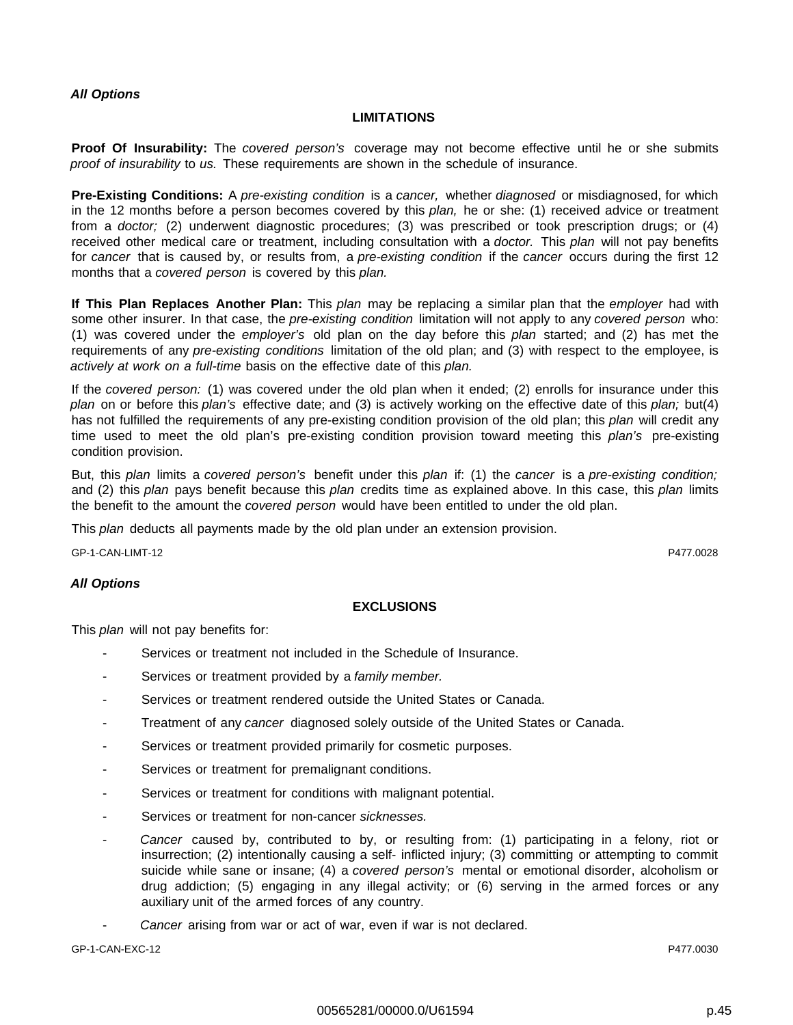#### **LIMITATIONS**

**Proof Of Insurability:** The covered person's coverage may not become effective until he or she submits proof of insurability to us. These requirements are shown in the schedule of insurance.

**Pre-Existing Conditions:** A pre-existing condition is a cancer, whether diagnosed or misdiagnosed, for which in the 12 months before a person becomes covered by this plan, he or she: (1) received advice or treatment from a doctor; (2) underwent diagnostic procedures; (3) was prescribed or took prescription drugs; or (4) received other medical care or treatment, including consultation with a *doctor*. This plan will not pay benefits for cancer that is caused by, or results from, a pre-existing condition if the cancer occurs during the first 12 months that a covered person is covered by this plan.

**If This Plan Replaces Another Plan:** This plan may be replacing a similar plan that the employer had with some other insurer. In that case, the pre-existing condition limitation will not apply to any covered person who: (1) was covered under the employer's old plan on the day before this plan started; and (2) has met the requirements of any pre-existing conditions limitation of the old plan; and (3) with respect to the employee, is actively at work on a full-time basis on the effective date of this plan.

If the covered person: (1) was covered under the old plan when it ended; (2) enrolls for insurance under this plan on or before this plan's effective date; and (3) is actively working on the effective date of this plan; but(4) has not fulfilled the requirements of any pre-existing condition provision of the old plan; this plan will credit any time used to meet the old plan's pre-existing condition provision toward meeting this plan's pre-existing condition provision.

But, this plan limits a covered person's benefit under this plan if: (1) the cancer is a pre-existing condition; and (2) this plan pays benefit because this plan credits time as explained above. In this case, this plan limits the benefit to the amount the *covered person* would have been entitled to under the old plan.

This *plan* deducts all payments made by the old plan under an extension provision.

GP-1-CAN-LIMT-12 P477.0028

## **All Options**

## **EXCLUSIONS**

This *plan* will not pay benefits for:

- Services or treatment not included in the Schedule of Insurance.
- Services or treatment provided by a family member.
- Services or treatment rendered outside the United States or Canada.
- Treatment of any cancer diagnosed solely outside of the United States or Canada.
- Services or treatment provided primarily for cosmetic purposes.
- Services or treatment for premalignant conditions.
- Services or treatment for conditions with malignant potential.
- Services or treatment for non-cancer sicknesses.
- Cancer caused by, contributed to by, or resulting from: (1) participating in a felony, riot or insurrection; (2) intentionally causing a self- inflicted injury; (3) committing or attempting to commit suicide while sane or insane; (4) a covered person's mental or emotional disorder, alcoholism or drug addiction; (5) engaging in any illegal activity; or (6) serving in the armed forces or any auxiliary unit of the armed forces of any country.
- Cancer arising from war or act of war, even if war is not declared.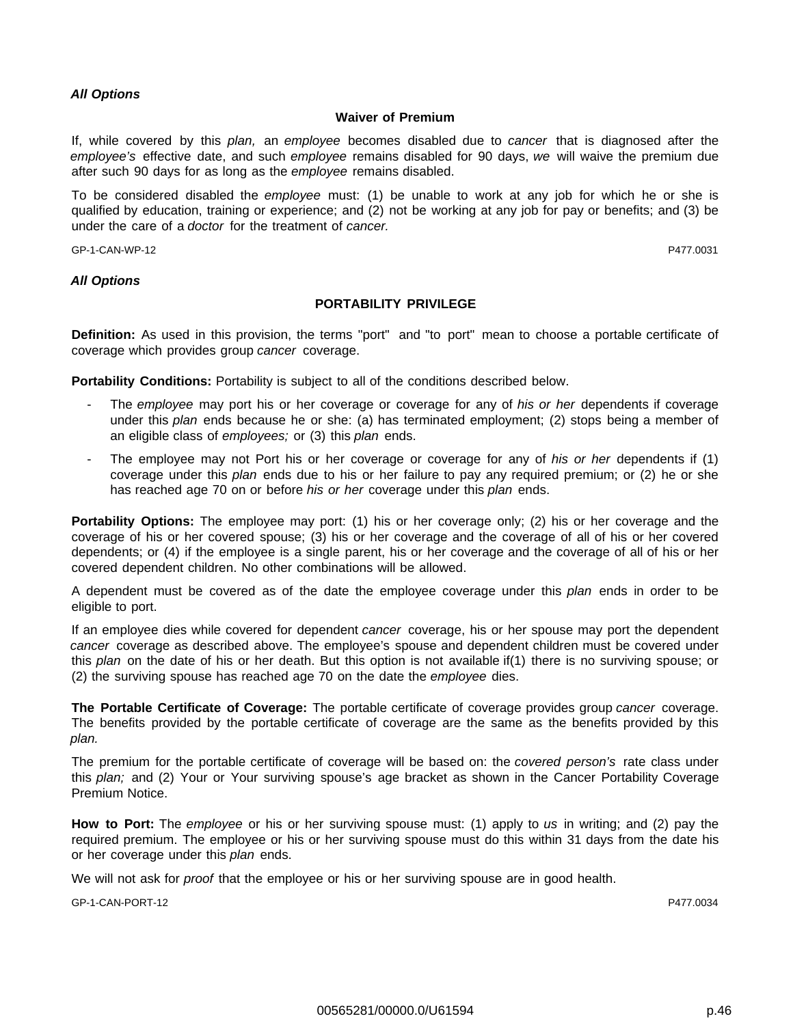#### **Waiver of Premium**

If, while covered by this plan, an employee becomes disabled due to cancer that is diagnosed after the employee's effective date, and such employee remains disabled for 90 days, we will waive the premium due after such 90 days for as long as the employee remains disabled.

To be considered disabled the employee must: (1) be unable to work at any job for which he or she is qualified by education, training or experience; and (2) not be working at any job for pay or benefits; and (3) be under the care of a doctor for the treatment of cancer.

GP-1-CAN-WP-12 P477.0031

#### **All Options**

#### **PORTABILITY PRIVILEGE**

**Definition:** As used in this provision, the terms "port" and "to port" mean to choose a portable certificate of coverage which provides group cancer coverage.

**Portability Conditions:** Portability is subject to all of the conditions described below.

- The employee may port his or her coverage or coverage for any of his or her dependents if coverage under this plan ends because he or she: (a) has terminated employment; (2) stops being a member of an eligible class of employees; or (3) this plan ends.
- The employee may not Port his or her coverage or coverage for any of his or her dependents if (1) coverage under this *plan* ends due to his or her failure to pay any required premium; or (2) he or she has reached age 70 on or before his or her coverage under this plan ends.

**Portability Options:** The employee may port: (1) his or her coverage only; (2) his or her coverage and the coverage of his or her covered spouse; (3) his or her coverage and the coverage of all of his or her covered dependents; or (4) if the employee is a single parent, his or her coverage and the coverage of all of his or her covered dependent children. No other combinations will be allowed.

A dependent must be covered as of the date the employee coverage under this plan ends in order to be eligible to port.

If an employee dies while covered for dependent cancer coverage, his or her spouse may port the dependent cancer coverage as described above. The employee's spouse and dependent children must be covered under this plan on the date of his or her death. But this option is not available if(1) there is no surviving spouse; or (2) the surviving spouse has reached age 70 on the date the employee dies.

**The Portable Certificate of Coverage:** The portable certificate of coverage provides group cancer coverage. The benefits provided by the portable certificate of coverage are the same as the benefits provided by this plan.

The premium for the portable certificate of coverage will be based on: the covered person's rate class under this plan; and (2) Your or Your surviving spouse's age bracket as shown in the Cancer Portability Coverage Premium Notice.

**How to Port:** The employee or his or her surviving spouse must: (1) apply to us in writing; and (2) pay the required premium. The employee or his or her surviving spouse must do this within 31 days from the date his or her coverage under this plan ends.

We will not ask for *proof* that the employee or his or her surviving spouse are in good health.

GP-1-CAN-PORT-12 P477.0034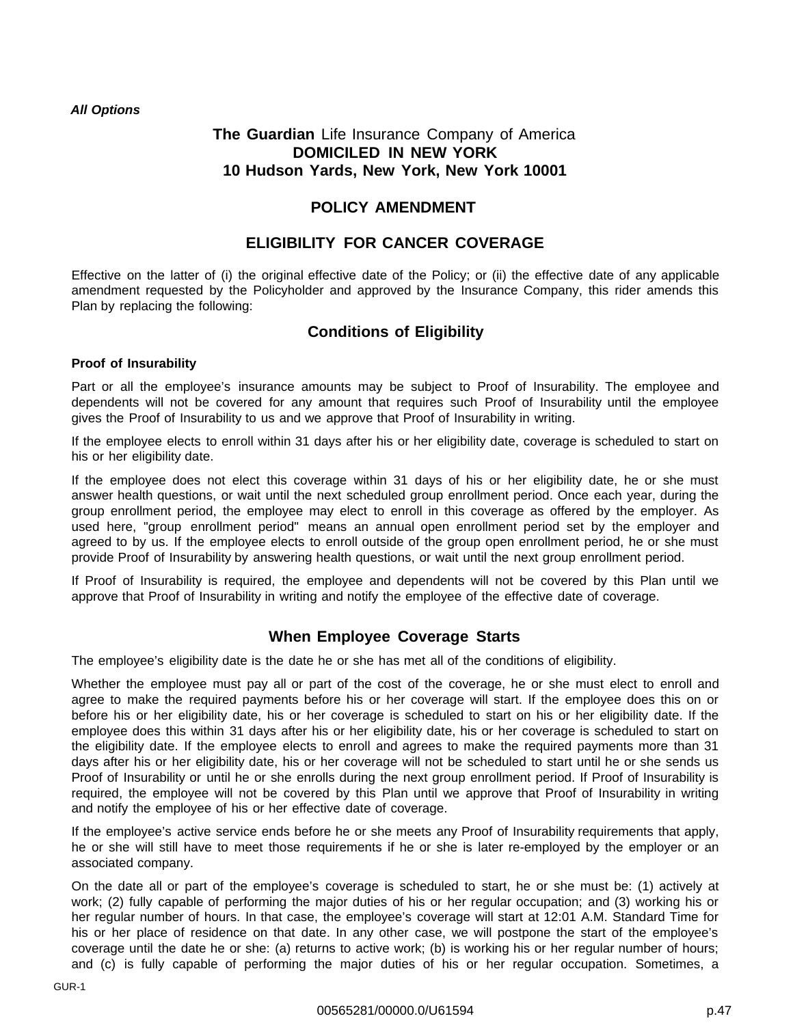## **The Guardian** Life Insurance Company of America **DOMICILED IN NEW YORK 10 Hudson Yards, New York, New York 10001**

## **POLICY AMENDMENT**

## **ELIGIBILITY FOR CANCER COVERAGE**

Effective on the latter of (i) the original effective date of the Policy; or (ii) the effective date of any applicable amendment requested by the Policyholder and approved by the Insurance Company, this rider amends this Plan by replacing the following:

## **Conditions of Eligibility**

## **Proof of Insurability**

Part or all the employee's insurance amounts may be subject to Proof of Insurability. The employee and dependents will not be covered for any amount that requires such Proof of Insurability until the employee gives the Proof of Insurability to us and we approve that Proof of Insurability in writing.

If the employee elects to enroll within 31 days after his or her eligibility date, coverage is scheduled to start on his or her eligibility date.

If the employee does not elect this coverage within 31 days of his or her eligibility date, he or she must answer health questions, or wait until the next scheduled group enrollment period. Once each year, during the group enrollment period, the employee may elect to enroll in this coverage as offered by the employer. As used here, "group enrollment period" means an annual open enrollment period set by the employer and agreed to by us. If the employee elects to enroll outside of the group open enrollment period, he or she must provide Proof of Insurability by answering health questions, or wait until the next group enrollment period.

If Proof of Insurability is required, the employee and dependents will not be covered by this Plan until we approve that Proof of Insurability in writing and notify the employee of the effective date of coverage.

## **When Employee Coverage Starts**

The employee's eligibility date is the date he or she has met all of the conditions of eligibility.

Whether the employee must pay all or part of the cost of the coverage, he or she must elect to enroll and agree to make the required payments before his or her coverage will start. If the employee does this on or before his or her eligibility date, his or her coverage is scheduled to start on his or her eligibility date. If the employee does this within 31 days after his or her eligibility date, his or her coverage is scheduled to start on the eligibility date. If the employee elects to enroll and agrees to make the required payments more than 31 days after his or her eligibility date, his or her coverage will not be scheduled to start until he or she sends us Proof of Insurability or until he or she enrolls during the next group enrollment period. If Proof of Insurability is required, the employee will not be covered by this Plan until we approve that Proof of Insurability in writing and notify the employee of his or her effective date of coverage.

If the employee's active service ends before he or she meets any Proof of Insurability requirements that apply, he or she will still have to meet those requirements if he or she is later re-employed by the employer or an associated company.

On the date all or part of the employee's coverage is scheduled to start, he or she must be: (1) actively at work; (2) fully capable of performing the major duties of his or her regular occupation; and (3) working his or her regular number of hours. In that case, the employee's coverage will start at 12:01 A.M. Standard Time for his or her place of residence on that date. In any other case, we will postpone the start of the employee's coverage until the date he or she: (a) returns to active work; (b) is working his or her regular number of hours; and (c) is fully capable of performing the major duties of his or her regular occupation. Sometimes, a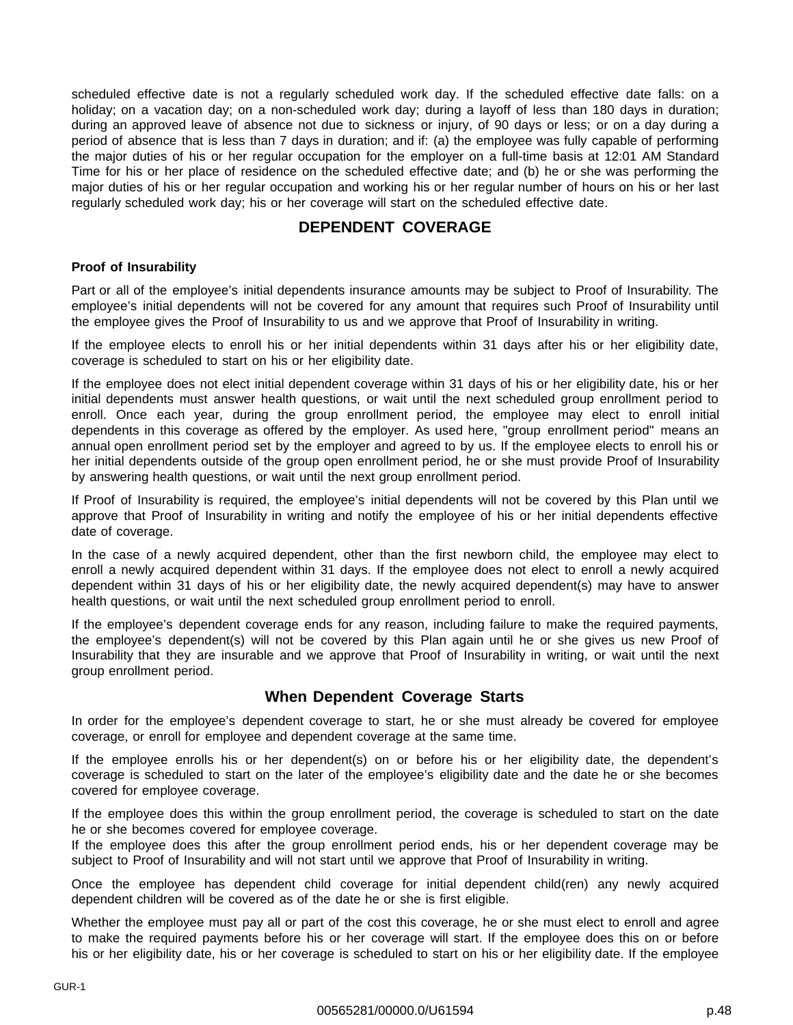scheduled effective date is not a regularly scheduled work day. If the scheduled effective date falls: on a holiday; on a vacation day; on a non-scheduled work day; during a layoff of less than 180 days in duration; during an approved leave of absence not due to sickness or injury, of 90 days or less; or on a day during a period of absence that is less than 7 days in duration; and if: (a) the employee was fully capable of performing the major duties of his or her regular occupation for the employer on a full-time basis at 12:01 AM Standard Time for his or her place of residence on the scheduled effective date; and (b) he or she was performing the major duties of his or her regular occupation and working his or her regular number of hours on his or her last regularly scheduled work day; his or her coverage will start on the scheduled effective date.

## **DEPENDENT COVERAGE**

## **Proof of Insurability**

Part or all of the employee's initial dependents insurance amounts may be subject to Proof of Insurability. The employee's initial dependents will not be covered for any amount that requires such Proof of Insurability until the employee gives the Proof of Insurability to us and we approve that Proof of Insurability in writing.

If the employee elects to enroll his or her initial dependents within 31 days after his or her eligibility date, coverage is scheduled to start on his or her eligibility date.

If the employee does not elect initial dependent coverage within 31 days of his or her eligibility date, his or her initial dependents must answer health questions, or wait until the next scheduled group enrollment period to enroll. Once each year, during the group enrollment period, the employee may elect to enroll initial dependents in this coverage as offered by the employer. As used here, "group enrollment period" means an annual open enrollment period set by the employer and agreed to by us. If the employee elects to enroll his or her initial dependents outside of the group open enrollment period, he or she must provide Proof of Insurability by answering health questions, or wait until the next group enrollment period.

If Proof of Insurability is required, the employee's initial dependents will not be covered by this Plan until we approve that Proof of Insurability in writing and notify the employee of his or her initial dependents effective date of coverage.

In the case of a newly acquired dependent, other than the first newborn child, the employee may elect to enroll a newly acquired dependent within 31 days. If the employee does not elect to enroll a newly acquired dependent within 31 days of his or her eligibility date, the newly acquired dependent(s) may have to answer health questions, or wait until the next scheduled group enrollment period to enroll.

If the employee's dependent coverage ends for any reason, including failure to make the required payments, the employee's dependent(s) will not be covered by this Plan again until he or she gives us new Proof of Insurability that they are insurable and we approve that Proof of Insurability in writing, or wait until the next group enrollment period.

## **When Dependent Coverage Starts**

In order for the employee's dependent coverage to start, he or she must already be covered for employee coverage, or enroll for employee and dependent coverage at the same time.

If the employee enrolls his or her dependent(s) on or before his or her eligibility date, the dependent's coverage is scheduled to start on the later of the employee's eligibility date and the date he or she becomes covered for employee coverage.

If the employee does this within the group enrollment period, the coverage is scheduled to start on the date he or she becomes covered for employee coverage.

If the employee does this after the group enrollment period ends, his or her dependent coverage may be subject to Proof of Insurability and will not start until we approve that Proof of Insurability in writing.

Once the employee has dependent child coverage for initial dependent child(ren) any newly acquired dependent children will be covered as of the date he or she is first eligible.

Whether the employee must pay all or part of the cost this coverage, he or she must elect to enroll and agree to make the required payments before his or her coverage will start. If the employee does this on or before his or her eligibility date, his or her coverage is scheduled to start on his or her eligibility date. If the employee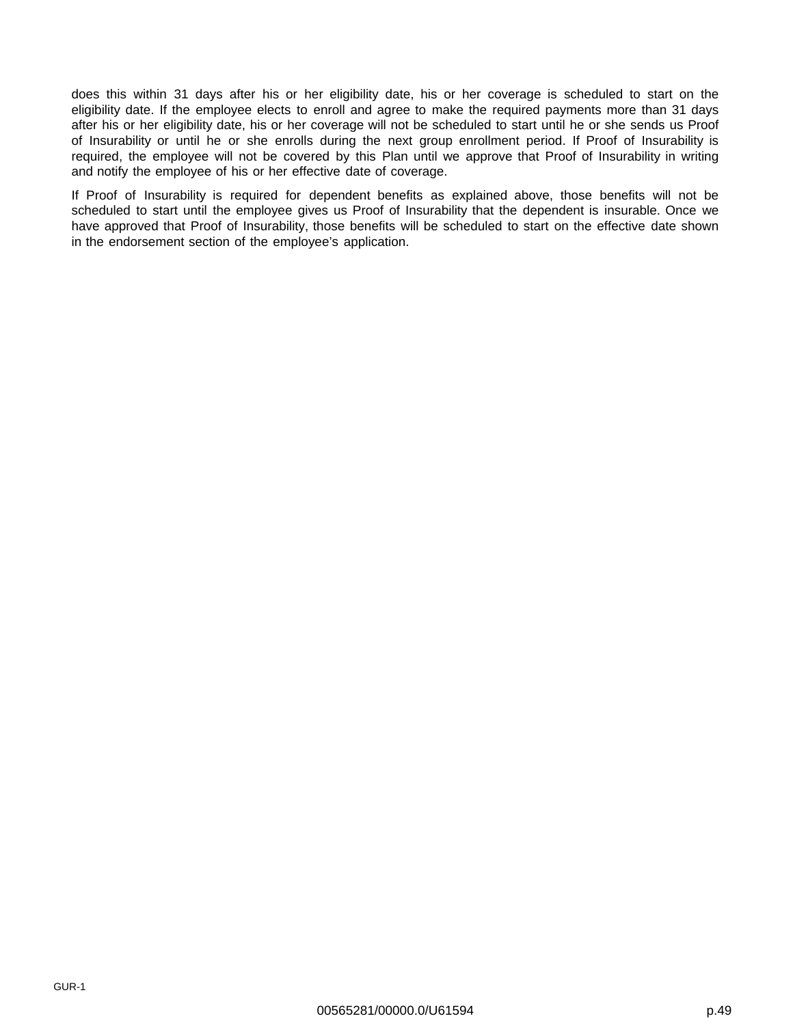does this within 31 days after his or her eligibility date, his or her coverage is scheduled to start on the eligibility date. If the employee elects to enroll and agree to make the required payments more than 31 days after his or her eligibility date, his or her coverage will not be scheduled to start until he or she sends us Proof of Insurability or until he or she enrolls during the next group enrollment period. If Proof of Insurability is required, the employee will not be covered by this Plan until we approve that Proof of Insurability in writing and notify the employee of his or her effective date of coverage.

If Proof of Insurability is required for dependent benefits as explained above, those benefits will not be scheduled to start until the employee gives us Proof of Insurability that the dependent is insurable. Once we have approved that Proof of Insurability, those benefits will be scheduled to start on the effective date shown in the endorsement section of the employee's application.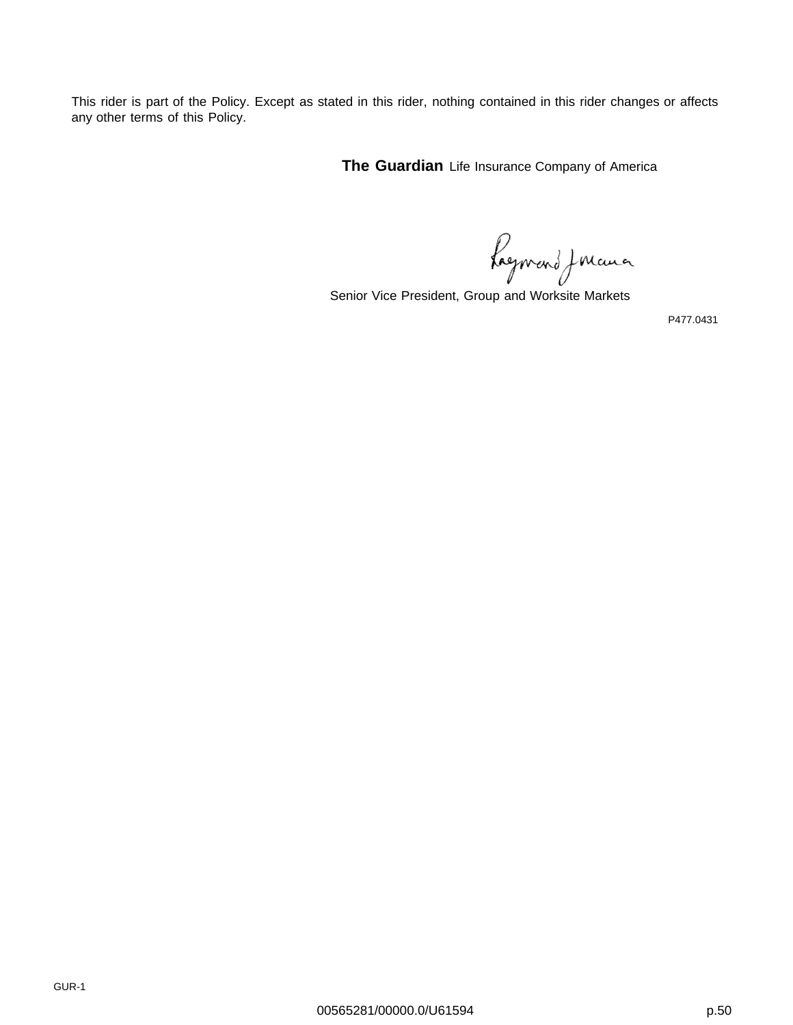This rider is part of the Policy. Except as stated in this rider, nothing contained in this rider changes or affects any other terms of this Policy.

**The Guardian** Life Insurance Company of America

Ragnvand Jouanne

Senior Vice President, Group and Worksite Markets

P477.0431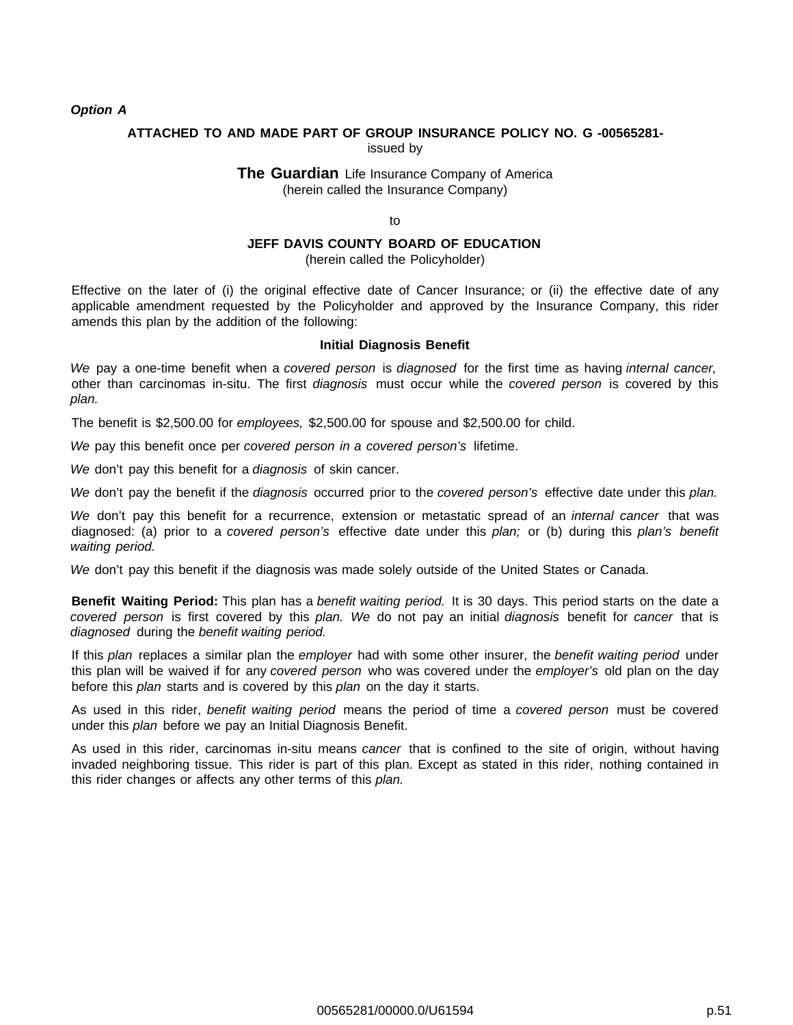#### **Option A**

#### **ATTACHED TO AND MADE PART OF GROUP INSURANCE POLICY NO. G -00565281** issued by

#### **The Guardian** Life Insurance Company of America (herein called the Insurance Company)

to

## **JEFF DAVIS COUNTY BOARD OF EDUCATION**

(herein called the Policyholder)

Effective on the later of (i) the original effective date of Cancer Insurance; or (ii) the effective date of any applicable amendment requested by the Policyholder and approved by the Insurance Company, this rider amends this plan by the addition of the following:

#### **Initial Diagnosis Benefit**

We pay a one-time benefit when a covered person is diagnosed for the first time as having internal cancer, other than carcinomas in-situ. The first diagnosis must occur while the covered person is covered by this plan.

The benefit is \$2,500.00 for employees, \$2,500.00 for spouse and \$2,500.00 for child.

We pay this benefit once per covered person in a covered person's lifetime.

We don't pay this benefit for a diagnosis of skin cancer.

We don't pay the benefit if the *diagnosis* occurred prior to the covered person's effective date under this plan.

We don't pay this benefit for a recurrence, extension or metastatic spread of an *internal cancer* that was diagnosed: (a) prior to a covered person's effective date under this plan; or (b) during this plan's benefit waiting period.

We don't pay this benefit if the diagnosis was made solely outside of the United States or Canada.

**Benefit Waiting Period:** This plan has a benefit waiting period. It is 30 days. This period starts on the date a covered person is first covered by this plan. We do not pay an initial diagnosis benefit for cancer that is diagnosed during the benefit waiting period.

If this plan replaces a similar plan the employer had with some other insurer, the benefit waiting period under this plan will be waived if for any covered person who was covered under the employer's old plan on the day before this plan starts and is covered by this plan on the day it starts.

As used in this rider, benefit waiting period means the period of time a covered person must be covered under this plan before we pay an Initial Diagnosis Benefit.

As used in this rider, carcinomas in-situ means cancer that is confined to the site of origin, without having invaded neighboring tissue. This rider is part of this plan. Except as stated in this rider, nothing contained in this rider changes or affects any other terms of this plan.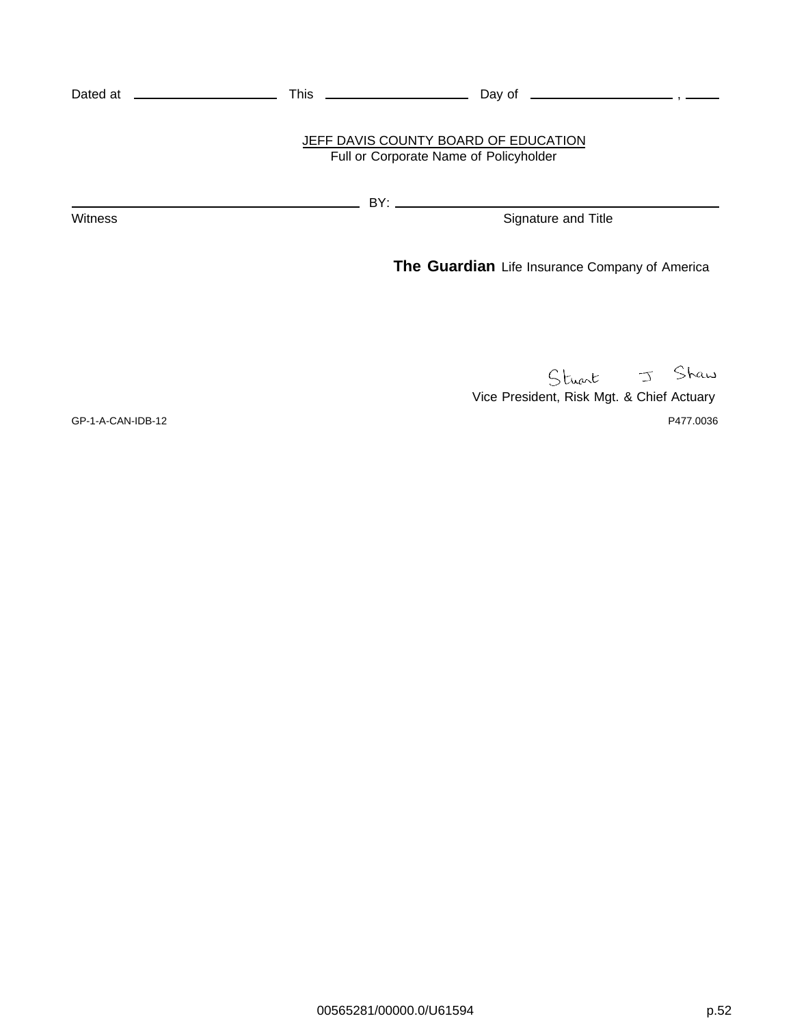|                | JEFF DAVIS COUNTY BOARD OF EDUCATION<br>Full or Corporate Name of Policyholder |
|----------------|--------------------------------------------------------------------------------|
|                |                                                                                |
| <b>Witness</b> | Signature and Title                                                            |
|                | <b>The Guardian</b> Life Insurance Company of America                          |
|                |                                                                                |

Stuart J Shaw

Vice President, Risk Mgt. & Chief Actuary GP-1-A-CAN-IDB-12 P477.0036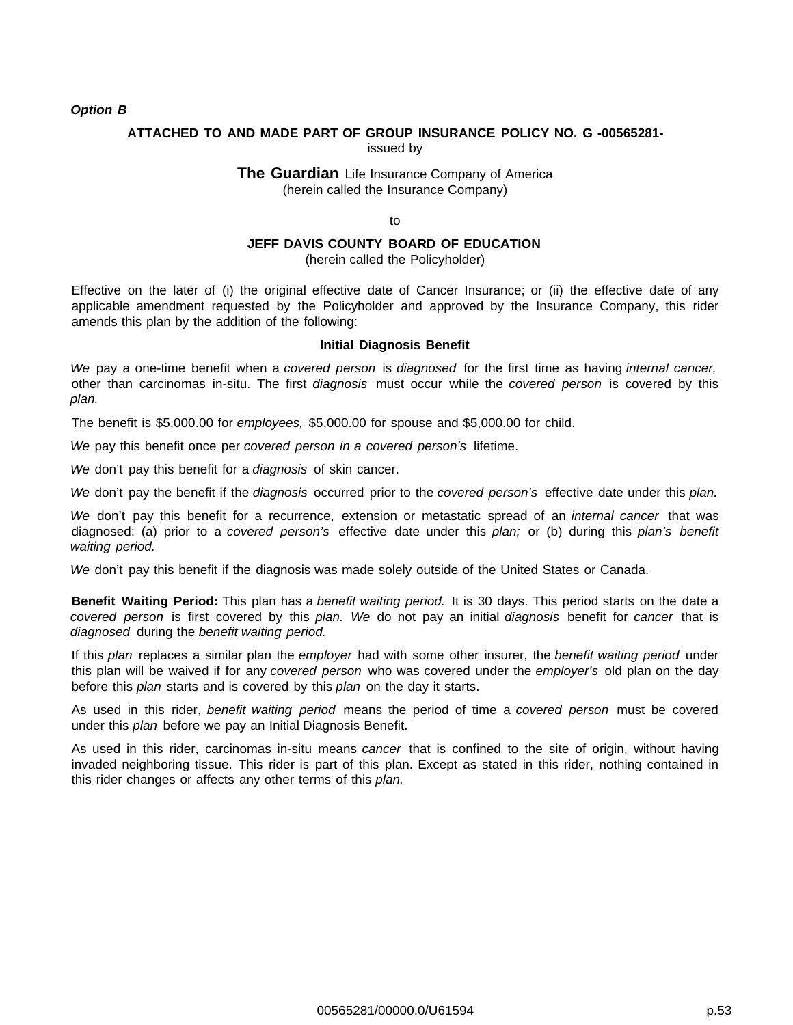#### **Option B**

#### **ATTACHED TO AND MADE PART OF GROUP INSURANCE POLICY NO. G -00565281** issued by

#### **The Guardian** Life Insurance Company of America (herein called the Insurance Company)

to

## **JEFF DAVIS COUNTY BOARD OF EDUCATION**

(herein called the Policyholder)

Effective on the later of (i) the original effective date of Cancer Insurance; or (ii) the effective date of any applicable amendment requested by the Policyholder and approved by the Insurance Company, this rider amends this plan by the addition of the following:

#### **Initial Diagnosis Benefit**

We pay a one-time benefit when a covered person is diagnosed for the first time as having internal cancer, other than carcinomas in-situ. The first diagnosis must occur while the covered person is covered by this plan.

The benefit is \$5,000.00 for employees, \$5,000.00 for spouse and \$5,000.00 for child.

We pay this benefit once per covered person in a covered person's lifetime.

We don't pay this benefit for a diagnosis of skin cancer.

We don't pay the benefit if the *diagnosis* occurred prior to the covered person's effective date under this plan.

We don't pay this benefit for a recurrence, extension or metastatic spread of an *internal cancer* that was diagnosed: (a) prior to a covered person's effective date under this plan; or (b) during this plan's benefit waiting period.

We don't pay this benefit if the diagnosis was made solely outside of the United States or Canada.

**Benefit Waiting Period:** This plan has a benefit waiting period. It is 30 days. This period starts on the date a covered person is first covered by this plan. We do not pay an initial diagnosis benefit for cancer that is diagnosed during the benefit waiting period.

If this plan replaces a similar plan the employer had with some other insurer, the benefit waiting period under this plan will be waived if for any covered person who was covered under the employer's old plan on the day before this plan starts and is covered by this plan on the day it starts.

As used in this rider, benefit waiting period means the period of time a covered person must be covered under this plan before we pay an Initial Diagnosis Benefit.

As used in this rider, carcinomas in-situ means cancer that is confined to the site of origin, without having invaded neighboring tissue. This rider is part of this plan. Except as stated in this rider, nothing contained in this rider changes or affects any other terms of this plan.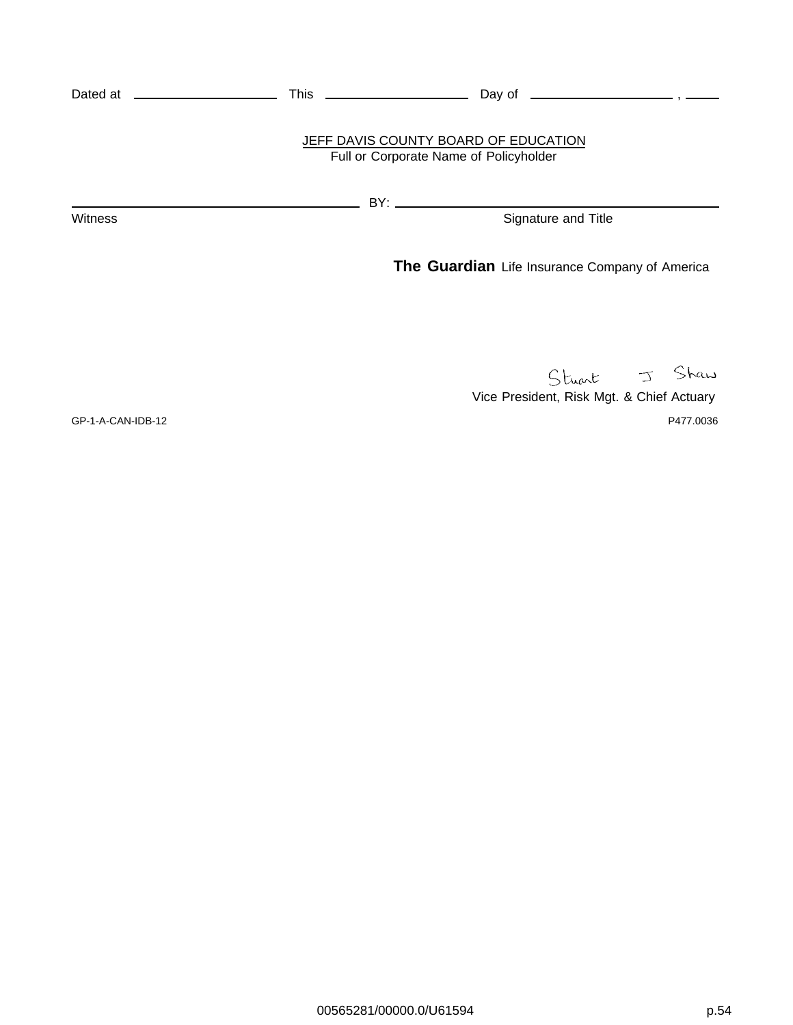|                | JEFF DAVIS COUNTY BOARD OF EDUCATION<br>Full or Corporate Name of Policyholder |
|----------------|--------------------------------------------------------------------------------|
|                |                                                                                |
| <b>Witness</b> | Signature and Title                                                            |
|                | <b>The Guardian</b> Life Insurance Company of America                          |
|                |                                                                                |

Vice President, Risk Mgt. & Chief Actuary

GP-1-A-CAN-IDB-12 P477.0036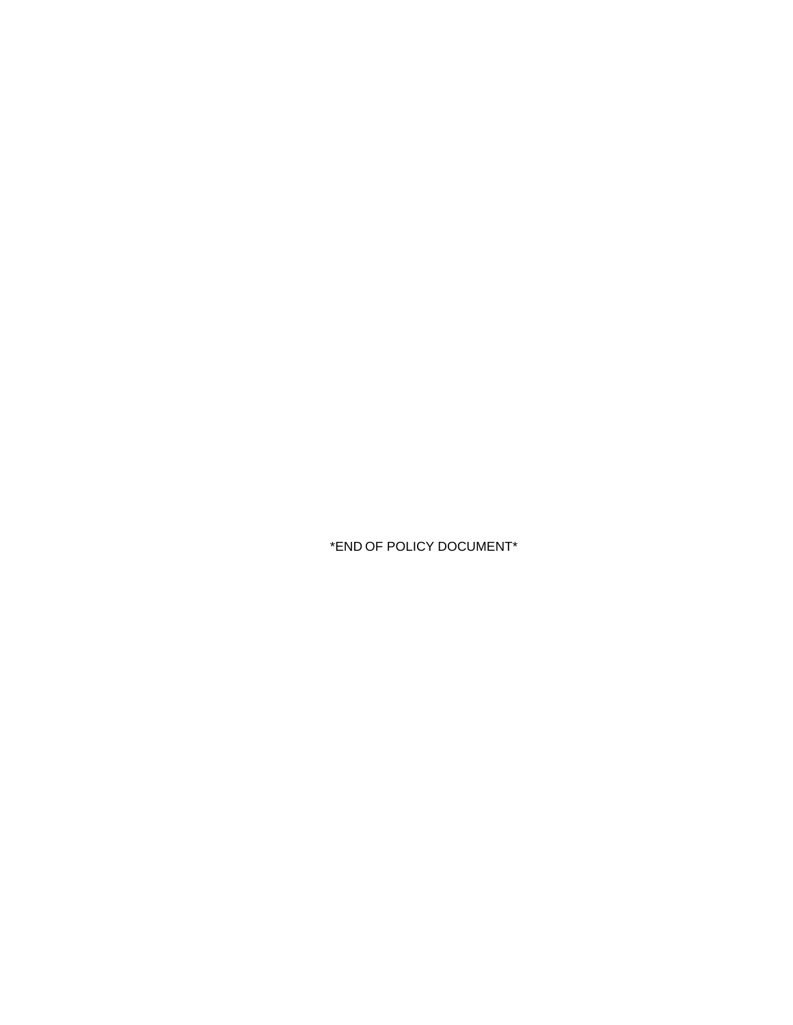\*END OF POLICY DOCUMENT\*